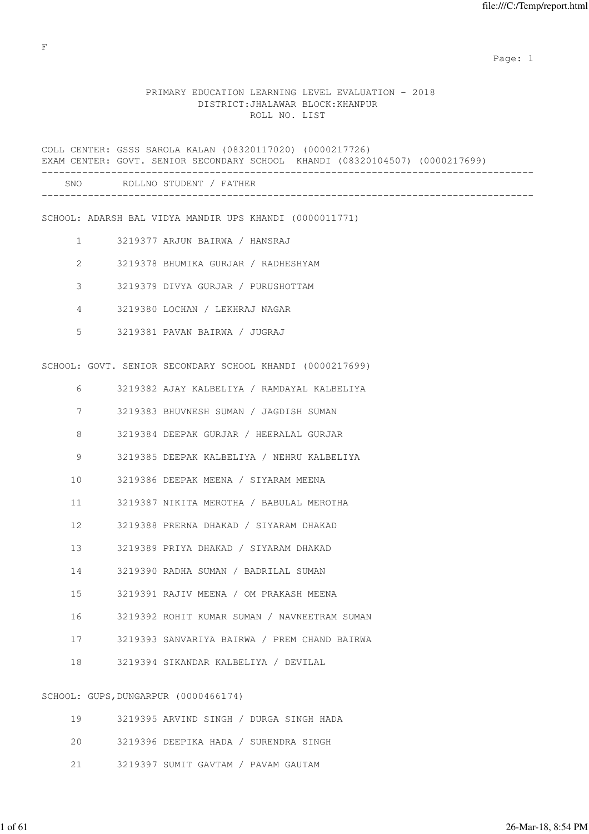# PRIMARY EDUCATION LEARNING LEVEL EVALUATION - 2018 DISTRICT:JHALAWAR BLOCK:KHANPUR ROLL NO. LIST

|                   | COLL CENTER: GSSS SAROLA KALAN (08320117020) (0000217726)<br>EXAM CENTER: GOVT. SENIOR SECONDARY SCHOOL KHANDI (08320104507) (0000217699) |
|-------------------|-------------------------------------------------------------------------------------------------------------------------------------------|
|                   | SNO ROLLNO STUDENT / FATHER                                                                                                               |
|                   | SCHOOL: ADARSH BAL VIDYA MANDIR UPS KHANDI (0000011771)                                                                                   |
| $1 \qquad \qquad$ | 3219377 ARJUN BAIRWA / HANSRAJ                                                                                                            |
| $\mathbf{2}^-$    | 3219378 BHUMIKA GURJAR / RADHESHYAM                                                                                                       |
| 3                 | 3219379 DIVYA GURJAR / PURUSHOTTAM                                                                                                        |
| 4                 | 3219380 LOCHAN / LEKHRAJ NAGAR                                                                                                            |
| 5                 | 3219381 PAVAN BAIRWA / JUGRAJ                                                                                                             |
|                   | SCHOOL: GOVT. SENIOR SECONDARY SCHOOL KHANDI (0000217699)                                                                                 |
| 6                 | 3219382 AJAY KALBELIYA / RAMDAYAL KALBELIYA                                                                                               |
| 7                 | 3219383 BHUVNESH SUMAN / JAGDISH SUMAN                                                                                                    |
| 8                 | 3219384 DEEPAK GURJAR / HEERALAL GURJAR                                                                                                   |
| 9                 | 3219385 DEEPAK KALBELIYA / NEHRU KALBELIYA                                                                                                |
| 10                | 3219386 DEEPAK MEENA / SIYARAM MEENA                                                                                                      |
| 11                | 3219387 NIKITA MEROTHA / BABULAL MEROTHA                                                                                                  |
| $12 \overline{ }$ | 3219388 PRERNA DHAKAD / SIYARAM DHAKAD                                                                                                    |
| 13                | 3219389 PRIYA DHAKAD / SIYARAM DHAKAD                                                                                                     |
| 14                | 3219390 RADHA SUMAN / BADRILAL SUMAN                                                                                                      |
| 15                | 3219391 RAJIV MEENA / OM PRAKASH MEENA                                                                                                    |
| 16                | 3219392 ROHIT KUMAR SUMAN / NAVNEETRAM SUMAN                                                                                              |
| 17                | 3219393 SANVARIYA BAIRWA / PREM CHAND BAIRWA                                                                                              |
| 18                | 3219394 SIKANDAR KALBELIYA / DEVILAL                                                                                                      |
|                   | SCHOOL: GUPS, DUNGARPUR (0000466174)                                                                                                      |
| 19                | 3219395 ARVIND SINGH / DURGA SINGH HADA                                                                                                   |

|  |  | 3219396 DEEPIKA HADA / SURENDRA SINGH |  |
|--|--|---------------------------------------|--|
|  |  |                                       |  |

21 3219397 SUMIT GAVTAM / PAVAM GAUTAM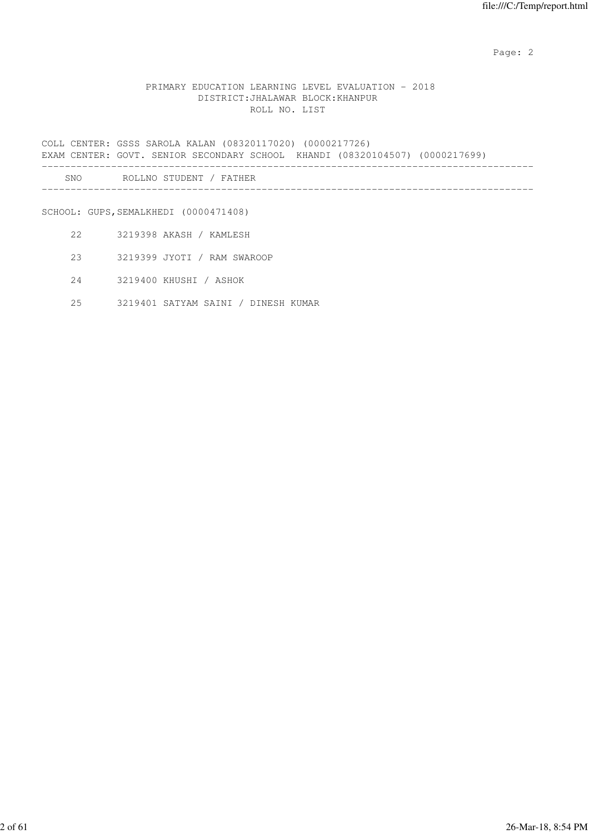## PRIMARY EDUCATION LEARNING LEVEL EVALUATION - 2018 DISTRICT:JHALAWAR BLOCK:KHANPUR ROLL NO. LIST

COLL CENTER: GSSS SAROLA KALAN (08320117020) (0000217726) EXAM CENTER: GOVT. SENIOR SECONDARY SCHOOL KHANDI (08320104507) (0000217699) ------------------------------------------------------------------------------------- SNO ROLLNO STUDENT / FATHER

-------------------------------------------------------------------------------------

SCHOOL: GUPS, SEMALKHEDI (0000471408)

- 22 3219398 AKASH / KAMLESH
- 23 3219399 JYOTI / RAM SWAROOP
- 24 3219400 KHUSHI / ASHOK
- 25 3219401 SATYAM SAINI / DINESH KUMAR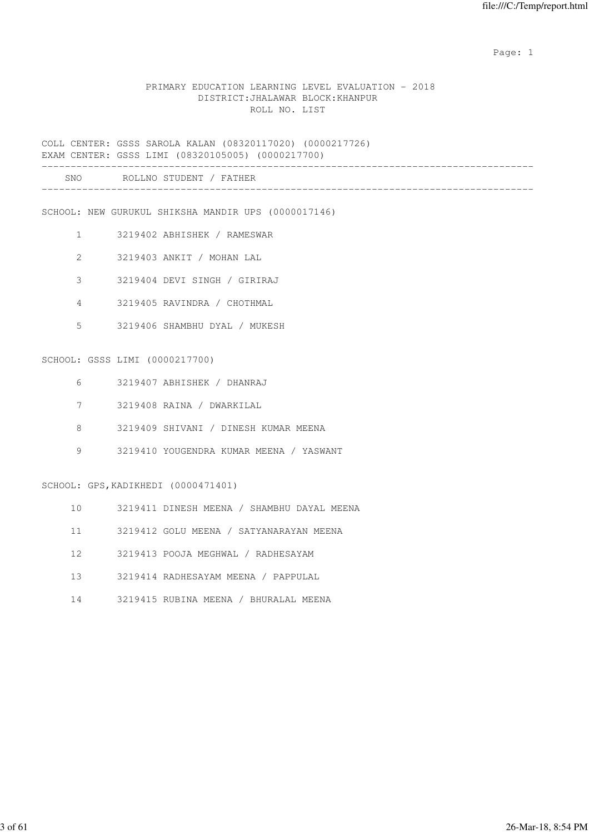## PRIMARY EDUCATION LEARNING LEVEL EVALUATION - 2018 DISTRICT:JHALAWAR BLOCK:KHANPUR ROLL NO. LIST

COLL CENTER: GSSS SAROLA KALAN (08320117020) (0000217726) EXAM CENTER: GSSS LIMI (08320105005) (0000217700) -------------------------------------------------------------------------------------

| SNC | . NH |  |
|-----|------|--|
|     |      |  |

SCHOOL: NEW GURUKUL SHIKSHA MANDIR UPS (0000017146)

- 1 3219402 ABHISHEK / RAMESWAR
- 2 3219403 ANKIT / MOHAN LAL
- 3 3219404 DEVI SINGH / GIRIRAJ
- 4 3219405 RAVINDRA / CHOTHMAL
- 5 3219406 SHAMBHU DYAL / MUKESH

#### SCHOOL: GSSS LIMI (0000217700)

- 6 3219407 ABHISHEK / DHANRAJ
- 7 3219408 RAINA / DWARKILAL
- 8 3219409 SHIVANI / DINESH KUMAR MEENA
- 9 3219410 YOUGENDRA KUMAR MEENA / YASWANT

SCHOOL: GPS,KADIKHEDI (0000471401)

- 10 3219411 DINESH MEENA / SHAMBHU DAYAL MEENA
- 11 3219412 GOLU MEENA / SATYANARAYAN MEENA
- 12 3219413 POOJA MEGHWAL / RADHESAYAM
- 13 3219414 RADHESAYAM MEENA / PAPPULAL
- 14 3219415 RUBINA MEENA / BHURALAL MEENA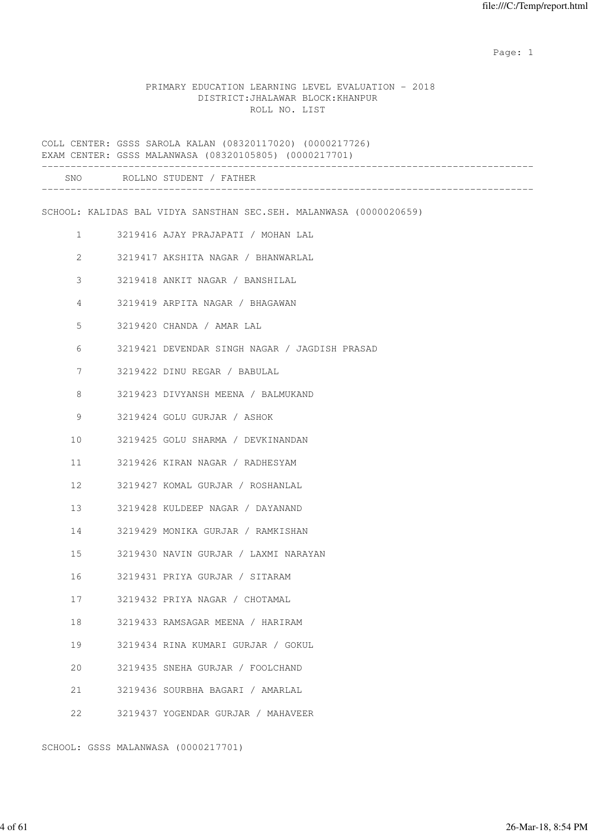#### PRIMARY EDUCATION LEARNING LEVEL EVALUATION - 2018 DISTRICT:JHALAWAR BLOCK:KHANPUR ROLL NO. LIST

COLL CENTER: GSSS SAROLA KALAN (08320117020) (0000217726) EXAM CENTER: GSSS MALANWASA (08320105805) (0000217701) ------------------------------------------------------------------------------------- SNO ROLLNO STUDENT / FATHER ------------------------------------------------------------------------------------- SCHOOL: KALIDAS BAL VIDYA SANSTHAN SEC.SEH. MALANWASA (0000020659) 1 3219416 AJAY PRAJAPATI / MOHAN LAL 2 3219417 AKSHITA NAGAR / BHANWARLAL 3 3219418 ANKIT NAGAR / BANSHILAL 4 3219419 ARPITA NAGAR / BHAGAWAN 5 3219420 CHANDA / AMAR LAL 6 3219421 DEVENDAR SINGH NAGAR / JAGDISH PRASAD 7 3219422 DINU REGAR / BABULAL 8 3219423 DIVYANSH MEENA / BALMUKAND 9 3219424 GOLU GURJAR / ASHOK 10 3219425 GOLU SHARMA / DEVKINANDAN 11 3219426 KIRAN NAGAR / RADHESYAM 12 3219427 KOMAL GURJAR / ROSHANLAL 13 3219428 KULDEEP NAGAR / DAYANAND 14 3219429 MONIKA GURJAR / RAMKISHAN 15 3219430 NAVIN GURJAR / LAXMI NARAYAN 16 3219431 PRIYA GURJAR / SITARAM 17 3219432 PRIYA NAGAR / CHOTAMAL 18 3219433 RAMSAGAR MEENA / HARIRAM 19 3219434 RINA KUMARI GURJAR / GOKUL 20 3219435 SNEHA GURJAR / FOOLCHAND 21 3219436 SOURBHA BAGARI / AMARLAL 22 3219437 YOGENDAR GURJAR / MAHAVEER

SCHOOL: GSSS MALANWASA (0000217701)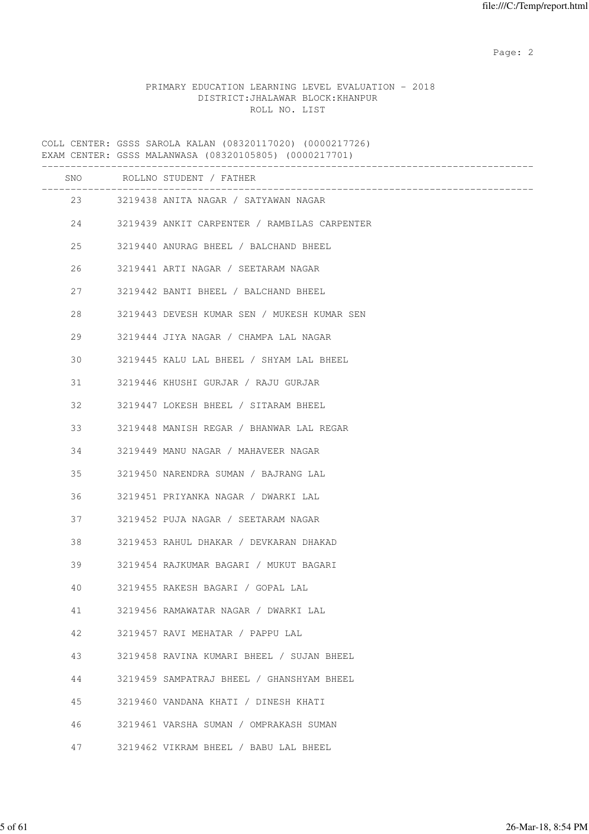## PRIMARY EDUCATION LEARNING LEVEL EVALUATION - 2018 DISTRICT:JHALAWAR BLOCK:KHANPUR ROLL NO. LIST

COLL CENTER: GSSS SAROLA KALAN (08320117020) (0000217726) EXAM CENTER: GSSS MALANWASA (08320105805) (0000217701) ------------------------------------------------------------------------------------- SNO ROLLNO STUDENT / FATHER ------------------------------------------------------------------------------------- 23 3219438 ANITA NAGAR / SATYAWAN NAGAR 24 3219439 ANKIT CARPENTER / RAMBILAS CARPENTER 25 3219440 ANURAG BHEEL / BALCHAND BHEEL 26 3219441 ARTI NAGAR / SEETARAM NAGAR 27 3219442 BANTI BHEEL / BALCHAND BHEEL 28 3219443 DEVESH KUMAR SEN / MUKESH KUMAR SEN 29 3219444 JIYA NAGAR / CHAMPA LAL NAGAR 30 3219445 KALU LAL BHEEL / SHYAM LAL BHEEL 31 3219446 KHUSHI GURJAR / RAJU GURJAR 32 3219447 LOKESH BHEEL / SITARAM BHEEL 33 3219448 MANISH REGAR / BHANWAR LAL REGAR 34 3219449 MANU NAGAR / MAHAVEER NAGAR 35 3219450 NARENDRA SUMAN / BAJRANG LAL 36 3219451 PRIYANKA NAGAR / DWARKI LAL 37 3219452 PUJA NAGAR / SEETARAM NAGAR 38 3219453 RAHUL DHAKAR / DEVKARAN DHAKAD 39 3219454 RAJKUMAR BAGARI / MUKUT BAGARI 40 3219455 RAKESH BAGARI / GOPAL LAL 41 3219456 RAMAWATAR NAGAR / DWARKI LAL 42 3219457 RAVI MEHATAR / PAPPU LAL 43 3219458 RAVINA KUMARI BHEEL / SUJAN BHEEL 44 3219459 SAMPATRAJ BHEEL / GHANSHYAM BHEEL 45 3219460 VANDANA KHATI / DINESH KHATI 46 3219461 VARSHA SUMAN / OMPRAKASH SUMAN 47 3219462 VIKRAM BHEEL / BABU LAL BHEEL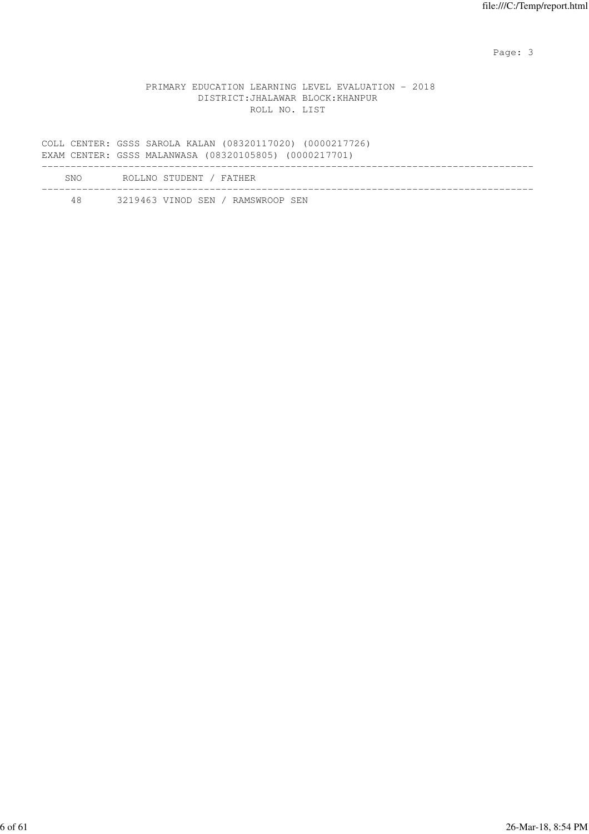Page: 3

## PRIMARY EDUCATION LEARNING LEVEL EVALUATION - 2018 DISTRICT:JHALAWAR BLOCK:KHANPUR ROLL NO. LIST

COLL CENTER: GSSS SAROLA KALAN (08320117020) (0000217726) EXAM CENTER: GSSS MALANWASA (08320105805) (0000217701) ------------------------------------------------------------------------------------- SNO ROLLNO STUDENT / FATHER ------------------------------------------------------------------------------------- 48 3219463 VINOD SEN / RAMSWROOP SEN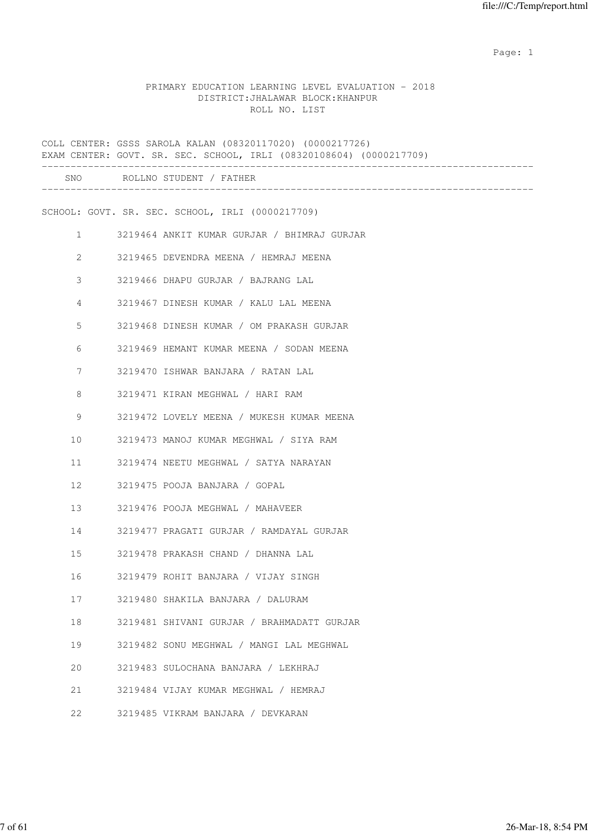## PRIMARY EDUCATION LEARNING LEVEL EVALUATION - 2018 DISTRICT:JHALAWAR BLOCK:KHANPUR ROLL NO. LIST

|    | COLL CENTER: GSSS SAROLA KALAN (08320117020) (0000217726)<br>EXAM CENTER: GOVT. SR. SEC. SCHOOL, IRLI (08320108604) (0000217709) |              |
|----|----------------------------------------------------------------------------------------------------------------------------------|--------------|
|    | SNO ROLLNO STUDENT / FATHER                                                                                                      | ____________ |
|    | SCHOOL: GOVT. SR. SEC. SCHOOL, IRLI (0000217709)                                                                                 |              |
|    | $\mathbf{1}$<br>3219464 ANKIT KUMAR GURJAR / BHIMRAJ GURJAR                                                                      |              |
|    | 2<br>3219465 DEVENDRA MEENA / HEMRAJ MEENA                                                                                       |              |
|    | 3<br>3219466 DHAPU GURJAR / BAJRANG LAL                                                                                          |              |
|    | 4<br>3219467 DINESH KUMAR / KALU LAL MEENA                                                                                       |              |
| 5  | 3219468 DINESH KUMAR / OM PRAKASH GURJAR                                                                                         |              |
| 6  | 3219469 HEMANT KUMAR MEENA / SODAN MEENA                                                                                         |              |
|    | 7<br>3219470 ISHWAR BANJARA / RATAN LAL                                                                                          |              |
| 8  | 3219471 KIRAN MEGHWAL / HARI RAM                                                                                                 |              |
| 9  | 3219472 LOVELY MEENA / MUKESH KUMAR MEENA                                                                                        |              |
| 10 | 3219473 MANOJ KUMAR MEGHWAL / SIYA RAM                                                                                           |              |
| 11 | 3219474 NEETU MEGHWAL / SATYA NARAYAN                                                                                            |              |
| 12 | 3219475 POOJA BANJARA / GOPAL                                                                                                    |              |
| 13 | 3219476 POOJA MEGHWAL / MAHAVEER                                                                                                 |              |
| 14 | 3219477 PRAGATI GURJAR / RAMDAYAL GURJAR                                                                                         |              |
| 15 | 3219478 PRAKASH CHAND / DHANNA LAL                                                                                               |              |
| 16 | 3219479 ROHIT BANJARA / VIJAY SINGH                                                                                              |              |
| 17 | 3219480 SHAKILA BANJARA / DALURAM                                                                                                |              |
| 18 | 3219481 SHIVANI GURJAR / BRAHMADATT GURJAR                                                                                       |              |
| 19 | 3219482 SONU MEGHWAL / MANGI LAL MEGHWAL                                                                                         |              |
| 20 | 3219483 SULOCHANA BANJARA / LEKHRAJ                                                                                              |              |
| 21 | 3219484 VIJAY KUMAR MEGHWAL / HEMRAJ                                                                                             |              |
| 22 | 3219485 VIKRAM BANJARA / DEVKARAN                                                                                                |              |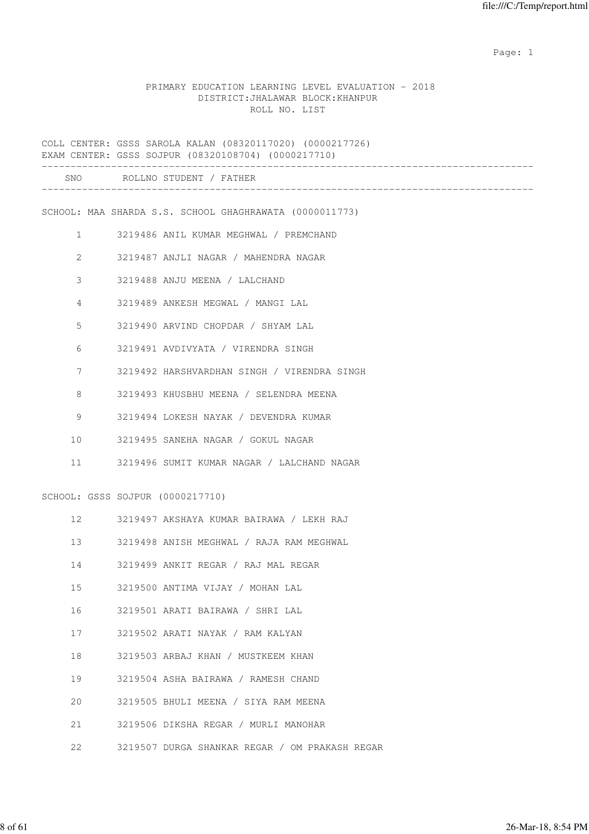## PRIMARY EDUCATION LEARNING LEVEL EVALUATION - 2018 DISTRICT:JHALAWAR BLOCK:KHANPUR ROLL NO. LIST

|              | COLL CENTER: GSSS SAROLA KALAN (08320117020) (0000217726)<br>EXAM CENTER: GSSS SOJPUR (08320108704) (0000217710) |
|--------------|------------------------------------------------------------------------------------------------------------------|
|              | SNO ROLLNO STUDENT / FATHER                                                                                      |
|              | SCHOOL: MAA SHARDA S.S. SCHOOL GHAGHRAWATA (0000011773)                                                          |
| $\mathbf{1}$ | 3219486 ANIL KUMAR MEGHWAL / PREMCHAND                                                                           |
| 2            | 3219487 ANJLI NAGAR / MAHENDRA NAGAR                                                                             |
| 3            | 3219488 ANJU MEENA / LALCHAND                                                                                    |
| 4            | 3219489 ANKESH MEGWAL / MANGI LAL                                                                                |
| 5            | 3219490 ARVIND CHOPDAR / SHYAM LAL                                                                               |
| 6            | 3219491 AVDIVYATA / VIRENDRA SINGH                                                                               |
| 7            | 3219492 HARSHVARDHAN SINGH / VIRENDRA SINGH                                                                      |
| 8            | 3219493 KHUSBHU MEENA / SELENDRA MEENA                                                                           |
| 9            | 3219494 LOKESH NAYAK / DEVENDRA KUMAR                                                                            |
| 10           | 3219495 SANEHA NAGAR / GOKUL NAGAR                                                                               |
| 11           | 3219496 SUMIT KUMAR NAGAR / LALCHAND NAGAR                                                                       |
|              | SCHOOL: GSSS SOJPUR (0000217710)                                                                                 |
| 12           | 3219497 AKSHAYA KUMAR BAIRAWA / LEKH RAJ                                                                         |
| 13           | 3219498 ANISH MEGHWAL / RAJA RAM MEGHWAL                                                                         |
| 14           | 3219499 ANKIT REGAR / RAJ MAL REGAR                                                                              |
| 15           | 3219500 ANTIMA VIJAY / MOHAN LAL                                                                                 |
| 16           | 3219501 ARATI BAIRAWA / SHRI LAL                                                                                 |
| 17           | 3219502 ARATI NAYAK / RAM KALYAN                                                                                 |
| 18           | 3219503 ARBAJ KHAN / MUSTKEEM KHAN                                                                               |
| 19           | 3219504 ASHA BAIRAWA / RAMESH CHAND                                                                              |
| 20           | 3219505 BHULI MEENA / SIYA RAM MEENA                                                                             |
| 21           | 3219506 DIKSHA REGAR / MURLI MANOHAR                                                                             |

22 3219507 DURGA SHANKAR REGAR / OM PRAKASH REGAR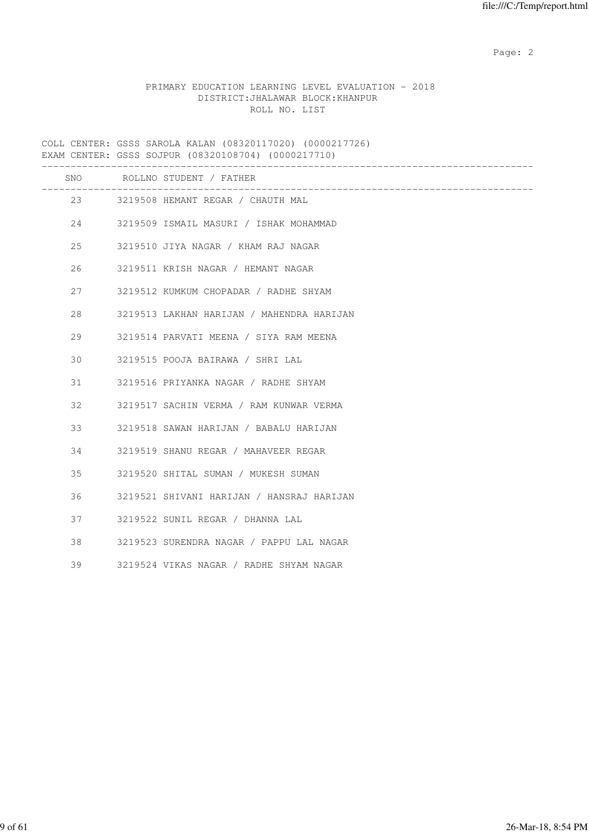# PRIMARY EDUCATION LEARNING LEVEL EVALUATION - 2018 DISTRICT:JHALAWAR BLOCK:KHANPUR ROLL NO. LIST

COLL CENTER: GSSS SAROLA KALAN (08320117020) (0000217726) EXAM CENTER: GSSS SOJPUR (08320108704) (0000217710)

|    | SNO ROLLNO STUDENT / FATHER                                             |
|----|-------------------------------------------------------------------------|
|    | _______________________________<br>23 3219508 HEMANT REGAR / CHAUTH MAL |
| 24 | 3219509 ISMAIL MASURI / ISHAK MOHAMMAD                                  |
| 25 | 3219510 JIYA NAGAR / KHAM RAJ NAGAR                                     |
| 26 | 3219511 KRISH NAGAR / HEMANT NAGAR                                      |
| 27 | 3219512 KUMKUM CHOPADAR / RADHE SHYAM                                   |
| 28 | 3219513 LAKHAN HARIJAN / MAHENDRA HARIJAN                               |
| 29 | 3219514 PARVATI MEENA / SIYA RAM MEENA                                  |
| 30 | 3219515 POOJA BAIRAWA / SHRI LAL                                        |
| 31 | 3219516 PRIYANKA NAGAR / RADHE SHYAM                                    |
| 32 | 3219517 SACHIN VERMA / RAM KUNWAR VERMA                                 |
| 33 | 3219518 SAWAN HARIJAN / BABALU HARIJAN                                  |
| 34 | 3219519 SHANU REGAR / MAHAVEER REGAR                                    |
| 35 | 3219520 SHITAL SUMAN / MUKESH SUMAN                                     |
| 36 | 3219521 SHIVANI HARIJAN / HANSRAJ HARIJAN                               |
| 37 | 3219522 SUNIL REGAR / DHANNA LAL                                        |
| 38 | 3219523 SURENDRA NAGAR / PAPPU LAL NAGAR                                |
| 39 | 3219524 VIKAS NAGAR / RADHE SHYAM NAGAR                                 |
|    |                                                                         |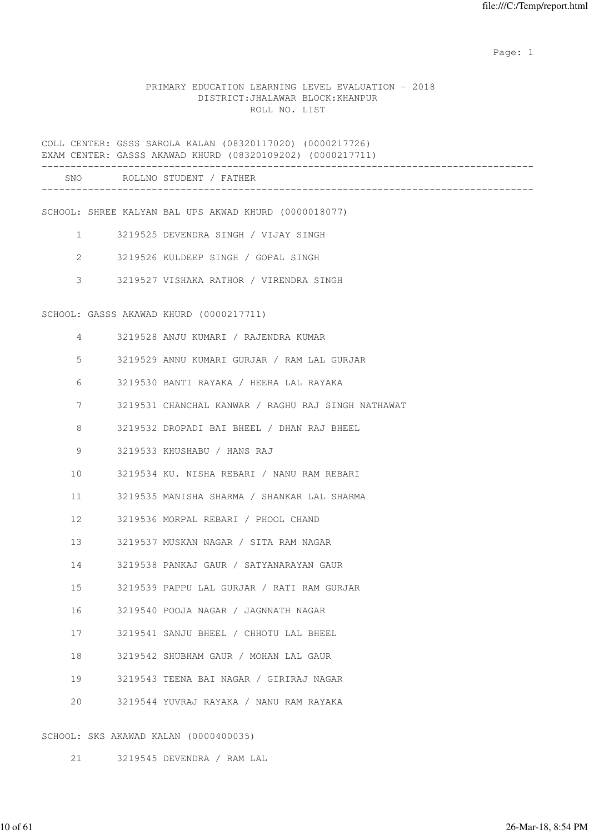## PRIMARY EDUCATION LEARNING LEVEL EVALUATION - 2018 DISTRICT:JHALAWAR BLOCK:KHANPUR ROLL NO. LIST

COLL CENTER: GSSS SAROLA KALAN (08320117020) (0000217726) EXAM CENTER: GASSS AKAWAD KHURD (08320109202) (0000217711)

| SNC | D∩T<br>-NO<br>דורדיה<br>and the control<br>. |  |
|-----|----------------------------------------------|--|
|     |                                              |  |

SCHOOL: SHREE KALYAN BAL UPS AKWAD KHURD (0000018077)

- 1 3219525 DEVENDRA SINGH / VIJAY SINGH
- 2 3219526 KULDEEP SINGH / GOPAL SINGH
- 3 3219527 VISHAKA RATHOR / VIRENDRA SINGH

SCHOOL: GASSS AKAWAD KHURD (0000217711)

| 4               | 3219528 ANJU KUMARI / RAJENDRA KUMAR               |
|-----------------|----------------------------------------------------|
| 5               | 3219529 ANNU KUMARI GURJAR / RAM LAL GURJAR        |
| 6               | 3219530 BANTI RAYAKA / HEERA LAL RAYAKA            |
| 7               | 3219531 CHANCHAL KANWAR / RAGHU RAJ SINGH NATHAWAT |
| 8               | 3219532 DROPADI BAI BHEEL / DHAN RAJ BHEEL         |
| 9               | 3219533 KHUSHABU / HANS RAJ                        |
| 10 <sup>°</sup> | 3219534 KU. NISHA REBARI / NANU RAM REBARI         |
| 11              | 3219535 MANISHA SHARMA / SHANKAR LAL SHARMA        |
| 12 <sup>°</sup> | 3219536 MORPAL REBARI / PHOOL CHAND                |
| 13              | 3219537 MUSKAN NAGAR / SITA RAM NAGAR              |
| 14              | 3219538 PANKAJ GAUR / SATYANARAYAN GAUR            |
| 15 <sub>1</sub> | 3219539 PAPPU LAL GURJAR / RATI RAM GURJAR         |
| 16              | 3219540 POOJA NAGAR / JAGNNATH NAGAR               |
| 17              | 3219541 SANJU BHEEL / CHHOTU LAL BHEEL             |
| 18              | 3219542 SHUBHAM GAUR / MOHAN LAL GAUR              |
| 19              | 3219543 TEENA BAI NAGAR / GIRIRAJ NAGAR            |
| 20              | 3219544 YUVRAJ RAYAKA / NANU RAM RAYAKA            |
|                 |                                                    |

SCHOOL: SKS AKAWAD KALAN (0000400035)

21 3219545 DEVENDRA / RAM LAL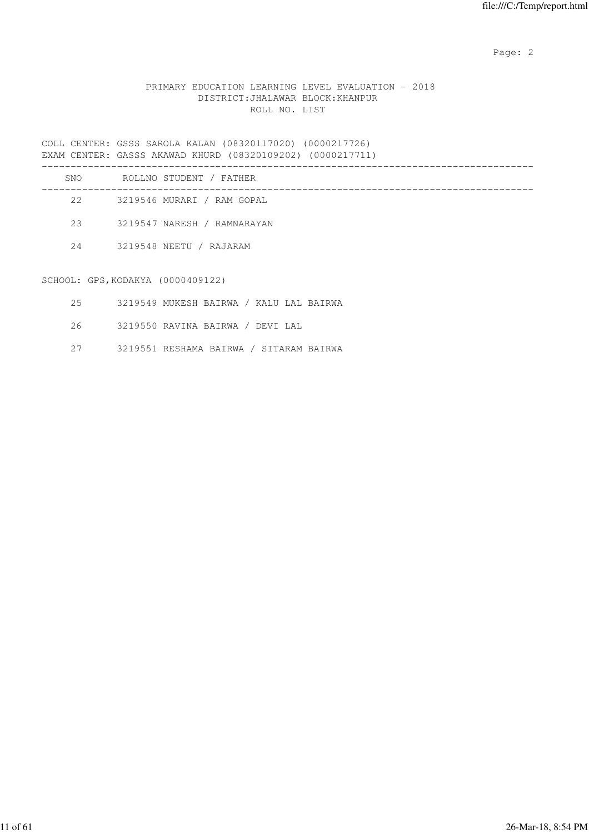## PRIMARY EDUCATION LEARNING LEVEL EVALUATION - 2018 DISTRICT:JHALAWAR BLOCK:KHANPUR ROLL NO. LIST

COLL CENTER: GSSS SAROLA KALAN (08320117020) (0000217726) EXAM CENTER: GASSS AKAWAD KHURD (08320109202) (0000217711)

| SNO              |                                      | ROLLNO STUDENT / FATHER     |
|------------------|--------------------------------------|-----------------------------|
| 2.2 <sub>1</sub> |                                      | 3219546 MURARI / RAM GOPAL  |
| 23               |                                      | 3219547 NARESH / RAMNARAYAN |
| 2.4              |                                      | 3219548 NEETU / RAJARAM     |
|                  | $STHOM \cdot CPS KOMXYA (MOMAAG122)$ |                             |

SCHOOL: GPS,KODAKYA (0000409122)

- 25 3219549 MUKESH BAIRWA / KALU LAL BAIRWA
- 26 3219550 RAVINA BAIRWA / DEVI LAL
- 27 3219551 RESHAMA BAIRWA / SITARAM BAIRWA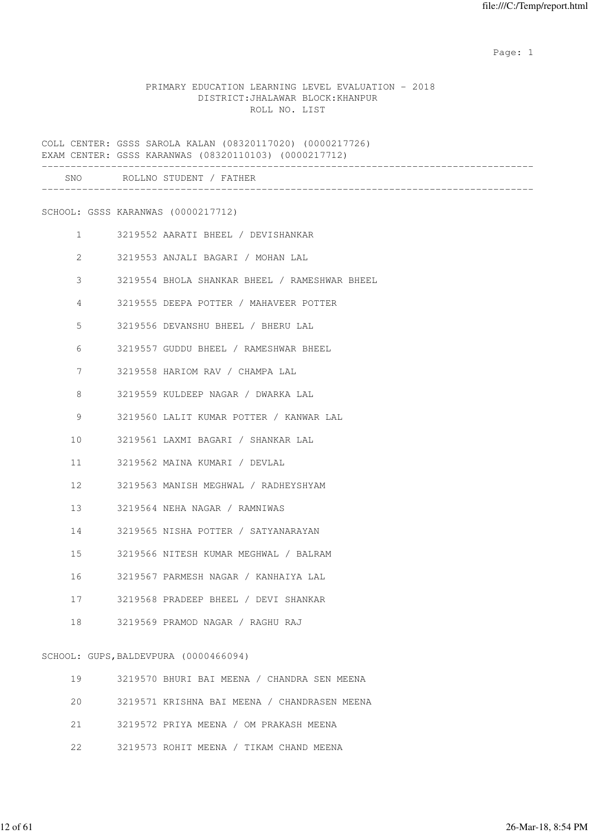## PRIMARY EDUCATION LEARNING LEVEL EVALUATION - 2018 DISTRICT:JHALAWAR BLOCK:KHANPUR ROLL NO. LIST

COLL CENTER: GSSS SAROLA KALAN (08320117020) (0000217726) EXAM CENTER: GSSS KARANWAS (08320110103) (0000217712) ------------------------------------------------------------------------------------- SNO ROLLNO STUDENT / FATHER ------------------------------------------------------------------------------------- SCHOOL: GSSS KARANWAS (0000217712) 1 3219552 AARATI BHEEL / DEVISHANKAR 2 3219553 ANJALI BAGARI / MOHAN LAL 3 3219554 BHOLA SHANKAR BHEEL / RAMESHWAR BHEEL 4 3219555 DEEPA POTTER / MAHAVEER POTTER 5 3219556 DEVANSHU BHEEL / BHERU LAL 6 3219557 GUDDU BHEEL / RAMESHWAR BHEEL 7 3219558 HARIOM RAV / CHAMPA LAL 8 3219559 KULDEEP NAGAR / DWARKA LAL 9 3219560 LALIT KUMAR POTTER / KANWAR LAL 10 3219561 LAXMI BAGARI / SHANKAR LAL 11 3219562 MAINA KUMARI / DEVLAL 12 3219563 MANISH MEGHWAL / RADHEYSHYAM 13 3219564 NEHA NAGAR / RAMNIWAS 14 3219565 NISHA POTTER / SATYANARAYAN 15 3219566 NITESH KUMAR MEGHWAL / BALRAM 16 3219567 PARMESH NAGAR / KANHAIYA LAL 17 3219568 PRADEEP BHEEL / DEVI SHANKAR 18 3219569 PRAMOD NAGAR / RAGHU RAJ SCHOOL: GUPS,BALDEVPURA (0000466094) 19 3219570 BHURI BAI MEENA / CHANDRA SEN MEENA 20 3219571 KRISHNA BAI MEENA / CHANDRASEN MEENA 21 3219572 PRIYA MEENA / OM PRAKASH MEENA

22 3219573 ROHIT MEENA / TIKAM CHAND MEENA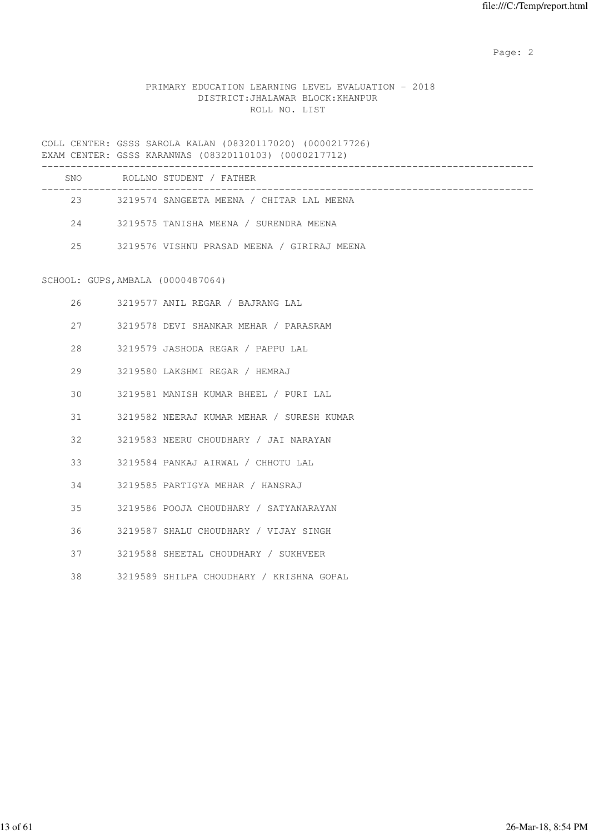## PRIMARY EDUCATION LEARNING LEVEL EVALUATION - 2018 DISTRICT:JHALAWAR BLOCK:KHANPUR ROLL NO. LIST

COLL CENTER: GSSS SAROLA KALAN (08320117020) (0000217726) EXAM CENTER: GSSS KARANWAS (08320110103) (0000217712)

| SNO | ROLLNO STUDENT / FATHER                     |
|-----|---------------------------------------------|
| 23  | 3219574 SANGEETA MEENA / CHITAR LAL MEENA   |
| 2.4 | 3219575 TANISHA MEENA / SURENDRA MEENA      |
| 25  | 3219576 VISHNU PRASAD MEENA / GIRIRAJ MEENA |

#### SCHOOL: GUPS,AMBALA (0000487064)

| 26 | 3219577 ANIL REGAR / BAJRANG LAL          |
|----|-------------------------------------------|
| 27 | 3219578 DEVI SHANKAR MEHAR / PARASRAM     |
| 28 | 3219579 JASHODA REGAR / PAPPU LAL         |
| 29 | 3219580 LAKSHMI REGAR / HEMRAJ            |
| 30 | 3219581 MANISH KUMAR BHEEL / PURI LAL     |
| 31 | 3219582 NEERAJ KUMAR MEHAR / SURESH KUMAR |
| 32 | 3219583 NEERU CHOUDHARY / JAI NARAYAN     |
| 33 | 3219584 PANKAJ AIRWAL / CHHOTU LAL        |
| 34 | 3219585 PARTIGYA MEHAR / HANSRAJ          |
| 35 | 3219586 POOJA CHOUDHARY / SATYANARAYAN    |
| 36 | 3219587 SHALU CHOUDHARY / VIJAY SINGH     |
| 37 | 3219588 SHEETAL CHOUDHARY / SUKHVEER      |
| 38 | 3219589 SHILPA CHOUDHARY / KRISHNA GOPAL  |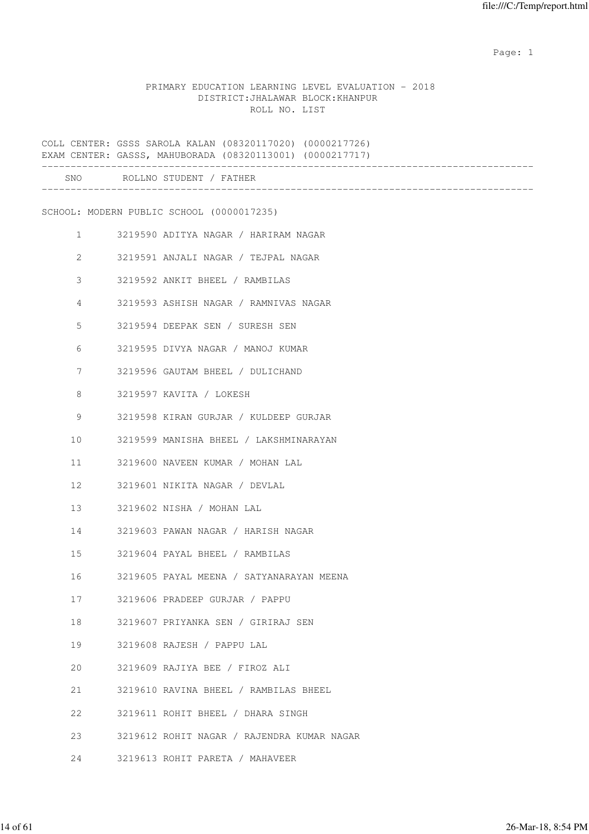#### PRIMARY EDUCATION LEARNING LEVEL EVALUATION - 2018 DISTRICT:JHALAWAR BLOCK:KHANPUR ROLL NO. LIST

COLL CENTER: GSSS SAROLA KALAN (08320117020) (0000217726) EXAM CENTER: GASSS, MAHUBORADA (08320113001) (0000217717) ------------------------------------------------------------------------------------- SNO ROLLNO STUDENT / FATHER ------------------------------------------------------------------------------------- SCHOOL: MODERN PUBLIC SCHOOL (0000017235) 1 3219590 ADITYA NAGAR / HARIRAM NAGAR 2 3219591 ANJALI NAGAR / TEJPAL NAGAR 3 3219592 ANKIT BHEEL / RAMBILAS 4 3219593 ASHISH NAGAR / RAMNIVAS NAGAR 5 3219594 DEEPAK SEN / SURESH SEN 6 3219595 DIVYA NAGAR / MANOJ KUMAR 7 3219596 GAUTAM BHEEL / DULICHAND 8 3219597 KAVITA / LOKESH 9 3219598 KIRAN GURJAR / KULDEEP GURJAR 10 3219599 MANISHA BHEEL / LAKSHMINARAYAN 11 3219600 NAVEEN KUMAR / MOHAN LAL 12 3219601 NIKITA NAGAR / DEVLAL 13 3219602 NISHA / MOHAN LAL 14 3219603 PAWAN NAGAR / HARISH NAGAR 15 3219604 PAYAL BHEEL / RAMBILAS 16 3219605 PAYAL MEENA / SATYANARAYAN MEENA 17 3219606 PRADEEP GURJAR / PAPPU 18 3219607 PRIYANKA SEN / GIRIRAJ SEN 19 3219608 RAJESH / PAPPU LAL 20 3219609 RAJIYA BEE / FIROZ ALI 21 3219610 RAVINA BHEEL / RAMBILAS BHEEL 22 3219611 ROHIT BHEEL / DHARA SINGH 23 3219612 ROHIT NAGAR / RAJENDRA KUMAR NAGAR 24 3219613 ROHIT PARETA / MAHAVEER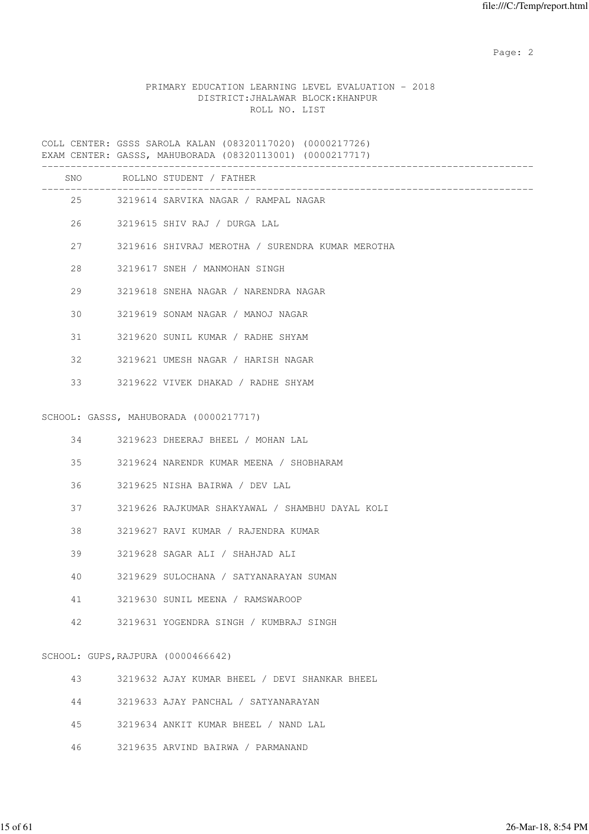## PRIMARY EDUCATION LEARNING LEVEL EVALUATION - 2018 DISTRICT:JHALAWAR BLOCK:KHANPUR ROLL NO. LIST

COLL CENTER: GSSS SAROLA KALAN (08320117020) (0000217726) EXAM CENTER: GASSS, MAHUBORADA (08320113001) (0000217717) ------------------------------------------------------------------------------------- SNO ROLLNO STUDENT / FATHER

| 5NU. |                                    | KATTUA 21ANRUI \ LYIHEK                          |
|------|------------------------------------|--------------------------------------------------|
|      |                                    | 25 3219614 SARVIKA NAGAR / RAMPAL NAGAR          |
|      |                                    | 26 3219615 SHIV RAJ / DURGA LAL                  |
|      | 27 — 27                            | 3219616 SHIVRAJ MEROTHA / SURENDRA KUMAR MEROTHA |
| 28   |                                    | 3219617 SNEH / MANMOHAN SINGH                    |
| 29   |                                    | 3219618 SNEHA NAGAR / NARENDRA NAGAR             |
| 30   |                                    | 3219619 SONAM NAGAR / MANOJ NAGAR                |
| 31   |                                    | 3219620 SUNIL KUMAR / RADHE SHYAM                |
| 32   |                                    | 3219621 UMESH NAGAR / HARISH NAGAR               |
| 33   |                                    | 3219622 VIVEK DHAKAD / RADHE SHYAM               |
|      |                                    | SCHOOL: GASSS, MAHUBORADA (0000217717)           |
|      |                                    |                                                  |
|      |                                    | 34 3219623 DHEERAJ BHEEL / MOHAN LAL             |
|      | 35                                 | 3219624 NARENDR KUMAR MEENA / SHOBHARAM          |
|      | 36 — 1                             | 3219625 NISHA BAIRWA / DEV LAL                   |
| 37   |                                    | 3219626 RAJKUMAR SHAKYAWAL / SHAMBHU DAYAL KOLI  |
| 38   |                                    | 3219627 RAVI KUMAR / RAJENDRA KUMAR              |
| 39   |                                    | 3219628 SAGAR ALI / SHAHJAD ALI                  |
| 40   |                                    | 3219629 SULOCHANA / SATYANARAYAN SUMAN           |
| 41   |                                    | 3219630 SUNIL MEENA / RAMSWAROOP                 |
| 42   |                                    | 3219631 YOGENDRA SINGH / KUMBRAJ SINGH           |
|      | SCHOOL: GUPS, RAJPURA (0000466642) |                                                  |
| 43   |                                    | 3219632 AJAY KUMAR BHEEL / DEVI SHANKAR BHEEL    |
| 44   |                                    | 3219633 AJAY PANCHAL / SATYANARAYAN              |
|      |                                    |                                                  |
| 45   |                                    | 3219634 ANKIT KUMAR BHEEL / NAND LAL             |
| 46   |                                    | 3219635 ARVIND BAIRWA / PARMANAND                |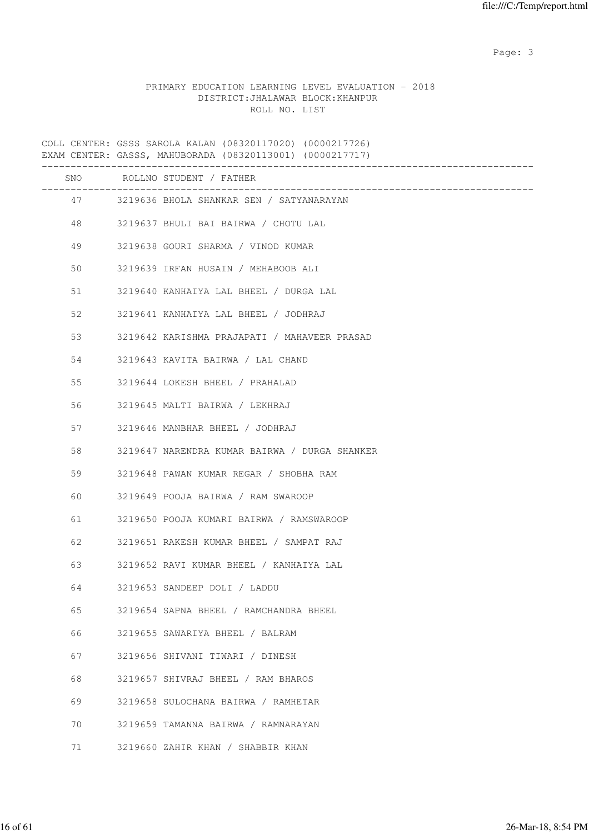Page: 3

## PRIMARY EDUCATION LEARNING LEVEL EVALUATION - 2018 DISTRICT:JHALAWAR BLOCK:KHANPUR ROLL NO. LIST

COLL CENTER: GSSS SAROLA KALAN (08320117020) (0000217726) EXAM CENTER: GASSS, MAHUBORADA (08320113001) (0000217717) ------------------------------------------------------------------------------------- SNO ROLLNO STUDENT / FATHER ------------------------------------------------------------------------------------- 47 3219636 BHOLA SHANKAR SEN / SATYANARAYAN 48 3219637 BHULI BAI BAIRWA / CHOTU LAL 49 3219638 GOURI SHARMA / VINOD KUMAR 50 3219639 IRFAN HUSAIN / MEHABOOB ALI 51 3219640 KANHAIYA LAL BHEEL / DURGA LAL 52 3219641 KANHAIYA LAL BHEEL / JODHRAJ 53 3219642 KARISHMA PRAJAPATI / MAHAVEER PRASAD 54 3219643 KAVITA BAIRWA / LAL CHAND 55 3219644 LOKESH BHEEL / PRAHALAD 56 3219645 MALTI BAIRWA / LEKHRAJ 57 3219646 MANBHAR BHEEL / JODHRAJ 58 3219647 NARENDRA KUMAR BAIRWA / DURGA SHANKER 59 3219648 PAWAN KUMAR REGAR / SHOBHA RAM 60 3219649 POOJA BAIRWA / RAM SWAROOP 61 3219650 POOJA KUMARI BAIRWA / RAMSWAROOP 62 3219651 RAKESH KUMAR BHEEL / SAMPAT RAJ 63 3219652 RAVI KUMAR BHEEL / KANHAIYA LAL 64 3219653 SANDEEP DOLI / LADDU 65 3219654 SAPNA BHEEL / RAMCHANDRA BHEEL 66 3219655 SAWARIYA BHEEL / BALRAM 67 3219656 SHIVANI TIWARI / DINESH 68 3219657 SHIVRAJ BHEEL / RAM BHAROS 69 3219658 SULOCHANA BAIRWA / RAMHETAR 70 3219659 TAMANNA BAIRWA / RAMNARAYAN 71 3219660 ZAHIR KHAN / SHABBIR KHAN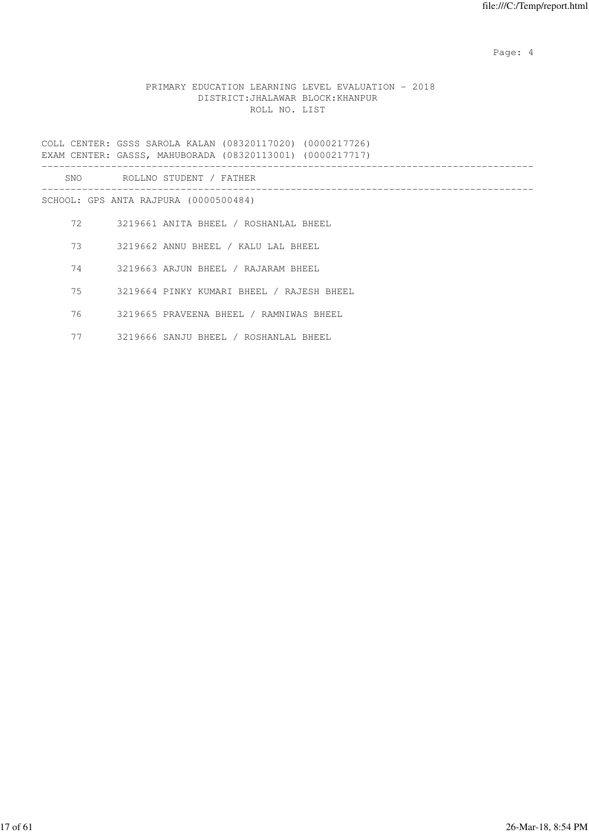Page: 4  $P$ 

## PRIMARY EDUCATION LEARNING LEVEL EVALUATION - 2018 DISTRICT:JHALAWAR BLOCK:KHANPUR ROLL NO. LIST

COLL CENTER: GSSS SAROLA KALAN (08320117020) (0000217726) EXAM CENTER: GASSS, MAHUBORADA (08320113001) (0000217717) ------------------------------------------------------------------------------------- SNO ROLLNO STUDENT / FATHER ------------------------------------------------------------------------------------- SCHOOL: GPS ANTA RAJPURA (0000500484) 72 3219661 ANITA BHEEL / ROSHANLAL BHEEL 73 3219662 ANNU BHEEL / KALU LAL BHEEL 74 3219663 ARJUN BHEEL / RAJARAM BHEEL 75 3219664 PINKY KUMARI BHEEL / RAJESH BHEEL 76 3219665 PRAVEENA BHEEL / RAMNIWAS BHEEL 77 3219666 SANJU BHEEL / ROSHANLAL BHEEL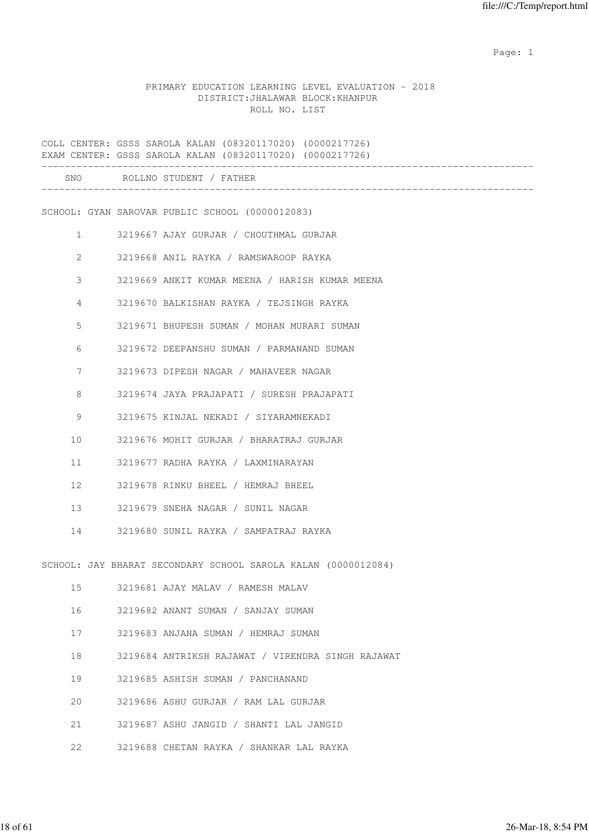## PRIMARY EDUCATION LEARNING LEVEL EVALUATION - 2018 DISTRICT:JHALAWAR BLOCK:KHANPUR ROLL NO. LIST

|              |  | COLL CENTER: GSSS SAROLA KALAN (08320117020) (0000217726)<br>EXAM CENTER: GSSS SAROLA KALAN (08320117020) (0000217726) |
|--------------|--|------------------------------------------------------------------------------------------------------------------------|
|              |  | SNO ROLLNO STUDENT / FATHER                                                                                            |
|              |  | SCHOOL: GYAN SAROVAR PUBLIC SCHOOL (0000012083)                                                                        |
| $\mathbf{1}$ |  | 3219667 AJAY GURJAR / CHOUTHMAL GURJAR                                                                                 |
| 2            |  | 3219668 ANIL RAYKA / RAMSWAROOP RAYKA                                                                                  |
| 3            |  | 3219669 ANKIT KUMAR MEENA / HARISH KUMAR MEENA                                                                         |
| 4            |  | 3219670 BALKISHAN RAYKA / TEJSINGH RAYKA                                                                               |
| 5            |  | 3219671 BHUPESH SUMAN / MOHAN MURARI SUMAN                                                                             |
| 6            |  | 3219672 DEEPANSHU SUMAN / PARMANAND SUMAN                                                                              |
| 7            |  | 3219673 DIPESH NAGAR / MAHAVEER NAGAR                                                                                  |
| 8            |  | 3219674 JAYA PRAJAPATI / SURESH PRAJAPATI                                                                              |
| 9            |  | 3219675 KINJAL NEKADI / SIYARAMNEKADI                                                                                  |
| 10           |  | 3219676 MOHIT GURJAR / BHARATRAJ GURJAR                                                                                |
| 11           |  | 3219677 RADHA RAYKA / LAXMINARAYAN                                                                                     |
| 12           |  | 3219678 RINKU BHEEL / HEMRAJ BHEEL                                                                                     |
| 13           |  | 3219679 SNEHA NAGAR / SUNIL NAGAR                                                                                      |
| 14           |  | 3219680 SUNIL RAYKA / SAMPATRAJ RAYKA                                                                                  |
|              |  | SCHOOL: JAY BHARAT SECONDARY SCHOOL SAROLA KALAN (0000012084)                                                          |
| 15           |  | 3219681 AJAY MALAV / RAMESH MALAV                                                                                      |
| 16           |  | 3219682 ANANT SUMAN / SANJAY SUMAN                                                                                     |
| 17           |  | 3219683 ANJANA SUMAN / HEMRAJ SUMAN                                                                                    |
| 18           |  | 3219684 ANTRIKSH RAJAWAT / VIRENDRA SINGH RAJAWAT                                                                      |
| 19           |  | 3219685 ASHISH SUMAN / PANCHANAND                                                                                      |
| 20           |  | 3219686 ASHU GURJAR / RAM LAL GURJAR                                                                                   |
| 21           |  | 3219687 ASHU JANGID / SHANTI LAL JANGID                                                                                |
| 22           |  | 3219688 CHETAN RAYKA / SHANKAR LAL RAYKA                                                                               |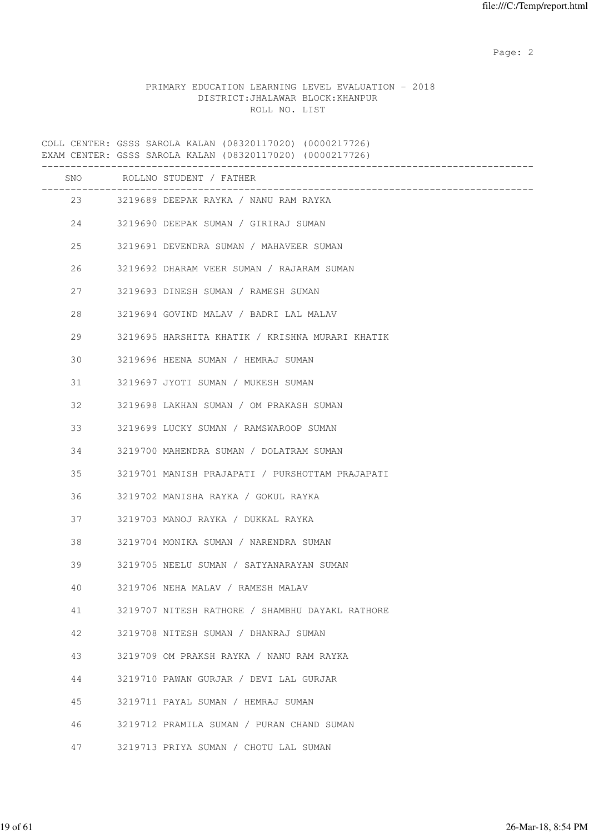## PRIMARY EDUCATION LEARNING LEVEL EVALUATION - 2018 DISTRICT:JHALAWAR BLOCK:KHANPUR ROLL NO. LIST

COLL CENTER: GSSS SAROLA KALAN (08320117020) (0000217726) EXAM CENTER: GSSS SAROLA KALAN (08320117020) (0000217726) ------------------------------------------------------------------------------------- SNO ROLLNO STUDENT / FATHER ------------------------------------------------------------------------------------- 23 3219689 DEEPAK RAYKA / NANU RAM RAYKA 24 3219690 DEEPAK SUMAN / GIRIRAJ SUMAN 25 3219691 DEVENDRA SUMAN / MAHAVEER SUMAN 26 3219692 DHARAM VEER SUMAN / RAJARAM SUMAN 27 3219693 DINESH SUMAN / RAMESH SUMAN 28 3219694 GOVIND MALAV / BADRI LAL MALAV 29 3219695 HARSHITA KHATIK / KRISHNA MURARI KHATIK 30 3219696 HEENA SUMAN / HEMRAJ SUMAN 31 3219697 JYOTI SUMAN / MUKESH SUMAN 32 3219698 LAKHAN SUMAN / OM PRAKASH SUMAN 33 3219699 LUCKY SUMAN / RAMSWAROOP SUMAN 34 3219700 MAHENDRA SUMAN / DOLATRAM SUMAN 35 3219701 MANISH PRAJAPATI / PURSHOTTAM PRAJAPATI 36 3219702 MANISHA RAYKA / GOKUL RAYKA 37 3219703 MANOJ RAYKA / DUKKAL RAYKA 38 3219704 MONIKA SUMAN / NARENDRA SUMAN 39 3219705 NEELU SUMAN / SATYANARAYAN SUMAN 40 3219706 NEHA MALAV / RAMESH MALAV 41 3219707 NITESH RATHORE / SHAMBHU DAYAKL RATHORE 42 3219708 NITESH SUMAN / DHANRAJ SUMAN 43 3219709 OM PRAKSH RAYKA / NANU RAM RAYKA 44 3219710 PAWAN GURJAR / DEVI LAL GURJAR 45 3219711 PAYAL SUMAN / HEMRAJ SUMAN 46 3219712 PRAMILA SUMAN / PURAN CHAND SUMAN 47 3219713 PRIYA SUMAN / CHOTU LAL SUMAN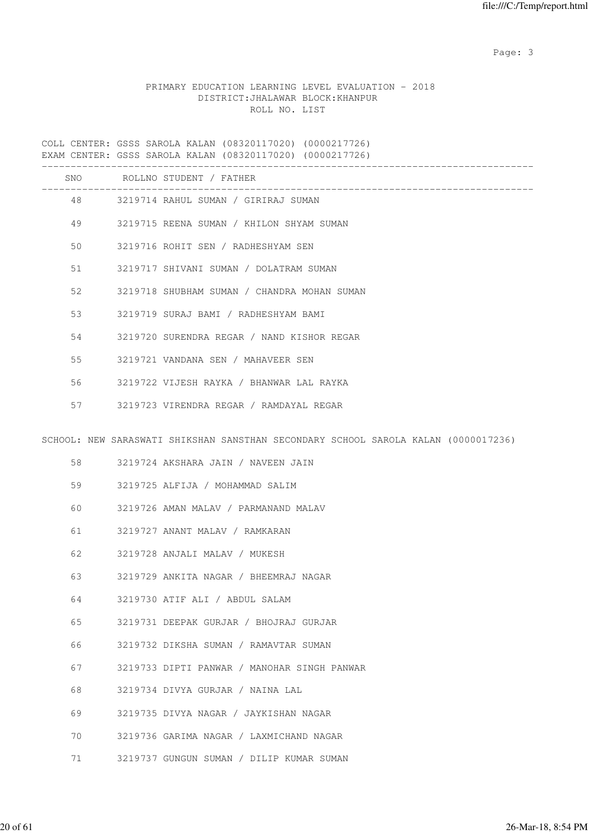Page: 3

## PRIMARY EDUCATION LEARNING LEVEL EVALUATION - 2018 DISTRICT:JHALAWAR BLOCK:KHANPUR ROLL NO. LIST

COLL CENTER: GSSS SAROLA KALAN (08320117020) (0000217726) EXAM CENTER: GSSS SAROLA KALAN (08320117020) (0000217726) ------------------------------------------------------------------------------------- SNO ROLLNO STUDENT / FATHER ------------------------------------------------------------------------------------- 48 3219714 RAHUL SUMAN / GIRIRAJ SUMAN 49 3219715 REENA SUMAN / KHILON SHYAM SUMAN 50 3219716 ROHIT SEN / RADHESHYAM SEN 51 3219717 SHIVANI SUMAN / DOLATRAM SUMAN 52 3219718 SHUBHAM SUMAN / CHANDRA MOHAN SUMAN 53 3219719 SURAJ BAMI / RADHESHYAM BAMI 54 3219720 SURENDRA REGAR / NAND KISHOR REGAR 55 3219721 VANDANA SEN / MAHAVEER SEN 56 3219722 VIJESH RAYKA / BHANWAR LAL RAYKA 57 3219723 VIRENDRA REGAR / RAMDAYAL REGAR SCHOOL: NEW SARASWATI SHIKSHAN SANSTHAN SECONDARY SCHOOL SAROLA KALAN (0000017236) 58 3219724 AKSHARA JAIN / NAVEEN JAIN 59 3219725 ALFIJA / MOHAMMAD SALIM 60 3219726 AMAN MALAV / PARMANAND MALAV 61 3219727 ANANT MALAV / RAMKARAN 62 3219728 ANJALI MALAV / MUKESH 63 3219729 ANKITA NAGAR / BHEEMRAJ NAGAR 64 3219730 ATIF ALI / ABDUL SALAM 65 3219731 DEEPAK GURJAR / BHOJRAJ GURJAR 66 3219732 DIKSHA SUMAN / RAMAVTAR SUMAN 67 3219733 DIPTI PANWAR / MANOHAR SINGH PANWAR

- 68 3219734 DIVYA GURJAR / NAINA LAL
- 69 3219735 DIVYA NAGAR / JAYKISHAN NAGAR
- 70 3219736 GARIMA NAGAR / LAXMICHAND NAGAR
- 71 3219737 GUNGUN SUMAN / DILIP KUMAR SUMAN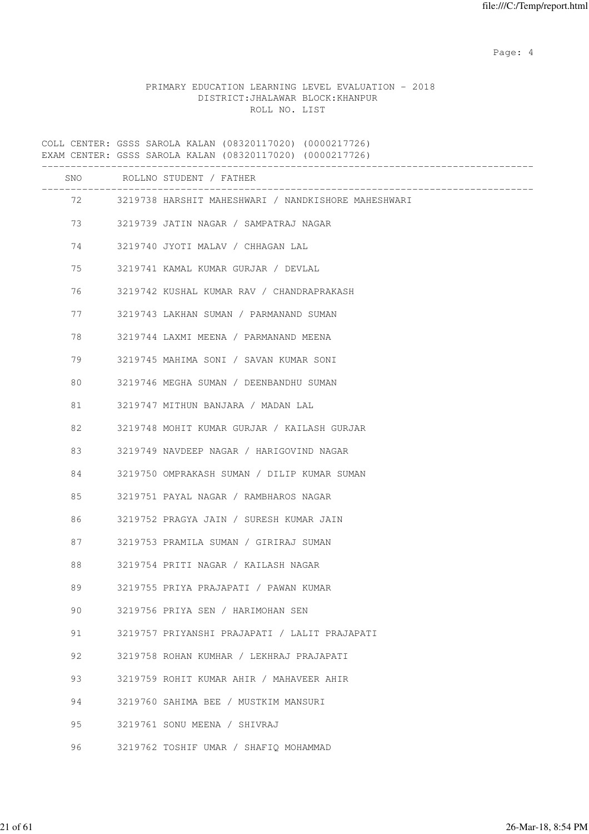Page: 4  $P$ 

## PRIMARY EDUCATION LEARNING LEVEL EVALUATION - 2018 DISTRICT:JHALAWAR BLOCK:KHANPUR ROLL NO. LIST

COLL CENTER: GSSS SAROLA KALAN (08320117020) (0000217726) EXAM CENTER: GSSS SAROLA KALAN (08320117020) (0000217726) ------------------------------------------------------------------------------------- SNO ROLLNO STUDENT / FATHER ------------------------------------------------------------------------------------- 72 3219738 HARSHIT MAHESHWARI / NANDKISHORE MAHESHWARI 73 3219739 JATIN NAGAR / SAMPATRAJ NAGAR 74 3219740 JYOTI MALAV / CHHAGAN LAL 75 3219741 KAMAL KUMAR GURJAR / DEVLAL 76 3219742 KUSHAL KUMAR RAV / CHANDRAPRAKASH 77 3219743 LAKHAN SUMAN / PARMANAND SUMAN 78 3219744 LAXMI MEENA / PARMANAND MEENA 79 3219745 MAHIMA SONI / SAVAN KUMAR SONI 80 3219746 MEGHA SUMAN / DEENBANDHU SUMAN 81 3219747 MITHUN BANJARA / MADAN LAL 82 3219748 MOHIT KUMAR GURJAR / KAILASH GURJAR 83 3219749 NAVDEEP NAGAR / HARIGOVIND NAGAR 84 3219750 OMPRAKASH SUMAN / DILIP KUMAR SUMAN 85 3219751 PAYAL NAGAR / RAMBHAROS NAGAR 86 3219752 PRAGYA JAIN / SURESH KUMAR JAIN 87 3219753 PRAMILA SUMAN / GIRIRAJ SUMAN 88 3219754 PRITI NAGAR / KAILASH NAGAR 89 3219755 PRIYA PRAJAPATI / PAWAN KUMAR 90 3219756 PRIYA SEN / HARIMOHAN SEN 91 3219757 PRIYANSHI PRAJAPATI / LALIT PRAJAPATI 92 3219758 ROHAN KUMHAR / LEKHRAJ PRAJAPATI 93 3219759 ROHIT KUMAR AHIR / MAHAVEER AHIR 94 3219760 SAHIMA BEE / MUSTKIM MANSURI 95 3219761 SONU MEENA / SHIVRAJ 96 3219762 TOSHIF UMAR / SHAFIQ MOHAMMAD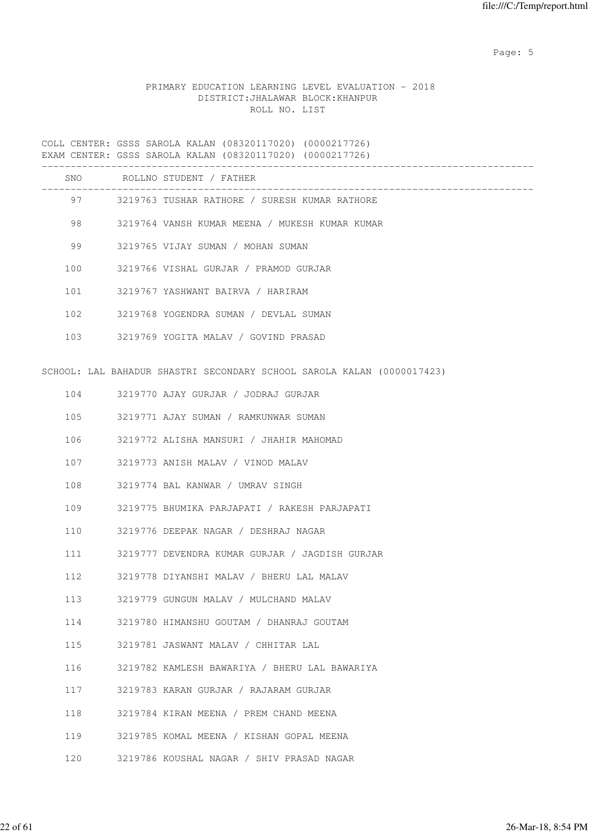Page: 5  $P$  and  $P$  and  $P$  and  $P$  and  $P$  and  $P$  and  $P$  and  $P$  and  $P$  and  $P$  and  $P$  and  $P$  and  $P$  and  $P$  and  $P$  and  $P$  and  $P$  and  $P$  and  $P$  and  $P$  and  $P$  and  $P$  and  $P$  and  $P$  and  $P$  and  $P$  and  $P$  an

# PRIMARY EDUCATION LEARNING LEVEL EVALUATION - 2018 DISTRICT:JHALAWAR BLOCK:KHANPUR ROLL NO. LIST

|     | COLL CENTER: GSSS SAROLA KALAN (08320117020) (0000217726)<br>EXAM CENTER: GSSS SAROLA KALAN (08320117020) (0000217726) |
|-----|------------------------------------------------------------------------------------------------------------------------|
|     | SNO ROLLNO STUDENT / FATHER                                                                                            |
|     | 97 3219763 TUSHAR RATHORE / SURESH KUMAR RATHORE                                                                       |
| 98  | 3219764 VANSH KUMAR MEENA / MUKESH KUMAR KUMAR                                                                         |
| 99  | 3219765 VIJAY SUMAN / MOHAN SUMAN                                                                                      |
| 100 | 3219766 VISHAL GURJAR / PRAMOD GURJAR                                                                                  |
| 101 | 3219767 YASHWANT BAIRVA / HARIRAM                                                                                      |
| 102 | 3219768 YOGENDRA SUMAN / DEVLAL SUMAN                                                                                  |
| 103 | 3219769 YOGITA MALAV / GOVIND PRASAD                                                                                   |
|     | SCHOOL: LAL BAHADUR SHASTRI SECONDARY SCHOOL SAROLA KALAN (0000017423)                                                 |
| 104 | 3219770 AJAY GURJAR / JODRAJ GURJAR                                                                                    |
| 105 | 3219771 AJAY SUMAN / RAMKUNWAR SUMAN                                                                                   |
| 106 | 3219772 ALISHA MANSURI / JHAHIR MAHOMAD                                                                                |
| 107 | 3219773 ANISH MALAV / VINOD MALAV                                                                                      |
| 108 | 3219774 BAL KANWAR / UMRAV SINGH                                                                                       |
| 109 | 3219775 BHUMIKA PARJAPATI / RAKESH PARJAPATI                                                                           |
| 110 | 3219776 DEEPAK NAGAR / DESHRAJ NAGAR                                                                                   |
| 111 | 3219777 DEVENDRA KUMAR GURJAR / JAGDISH GURJAR                                                                         |
| 112 | 3219778 DIYANSHI MALAV / BHERU LAL MALAV                                                                               |
| 113 | 3219779 GUNGUN MALAV / MULCHAND MALAV                                                                                  |
| 114 | 3219780 HIMANSHU GOUTAM / DHANRAJ GOUTAM                                                                               |
| 115 | 3219781 JASWANT MALAV / CHHITAR LAL                                                                                    |
| 116 | 3219782 KAMLESH BAWARIYA / BHERU LAL BAWARIYA                                                                          |
| 117 | 3219783 KARAN GURJAR / RAJARAM GURJAR                                                                                  |
| 118 | 3219784 KIRAN MEENA / PREM CHAND MEENA                                                                                 |
| 119 | 3219785 KOMAL MEENA / KISHAN GOPAL MEENA                                                                               |
| 120 | 3219786 KOUSHAL NAGAR / SHIV PRASAD NAGAR                                                                              |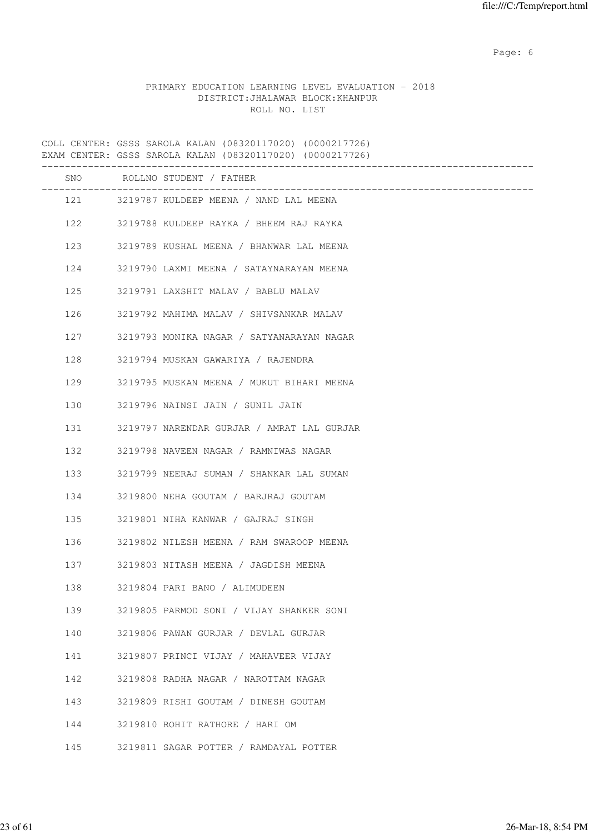Page: 6  $P$  and  $P$  and  $P$  and  $P$  and  $P$  and  $P$  and  $P$  and  $P$  and  $P$  and  $P$  and  $P$  and  $P$  and  $P$  and  $P$  and  $P$  and  $P$  and  $P$  and  $P$  and  $P$  and  $P$  and  $P$  and  $P$  and  $P$  and  $P$  and  $P$  and  $P$  and  $P$  an

# PRIMARY EDUCATION LEARNING LEVEL EVALUATION - 2018 DISTRICT:JHALAWAR BLOCK:KHANPUR ROLL NO. LIST

|     | COLL CENTER: GSSS SAROLA KALAN (08320117020) (0000217726)<br>EXAM CENTER: GSSS SAROLA KALAN (08320117020) (0000217726) |
|-----|------------------------------------------------------------------------------------------------------------------------|
|     | SNO ROLLNO STUDENT / FATHER                                                                                            |
|     | 121 3219787 KULDEEP MEENA / NAND LAL MEENA                                                                             |
| 122 | 3219788 KULDEEP RAYKA / BHEEM RAJ RAYKA                                                                                |
| 123 | 3219789 KUSHAL MEENA / BHANWAR LAL MEENA                                                                               |
| 124 | 3219790 LAXMI MEENA / SATAYNARAYAN MEENA                                                                               |
| 125 | 3219791 LAXSHIT MALAV / BABLU MALAV                                                                                    |
| 126 | 3219792 MAHIMA MALAV / SHIVSANKAR MALAV                                                                                |
| 127 | 3219793 MONIKA NAGAR / SATYANARAYAN NAGAR                                                                              |
| 128 | 3219794 MUSKAN GAWARIYA / RAJENDRA                                                                                     |
| 129 | 3219795 MUSKAN MEENA / MUKUT BIHARI MEENA                                                                              |
| 130 | 3219796 NAINSI JAIN / SUNIL JAIN                                                                                       |
| 131 | 3219797 NARENDAR GURJAR / AMRAT LAL GURJAR                                                                             |
| 132 | 3219798 NAVEEN NAGAR / RAMNIWAS NAGAR                                                                                  |
| 133 | 3219799 NEERAJ SUMAN / SHANKAR LAL SUMAN                                                                               |
| 134 | 3219800 NEHA GOUTAM / BARJRAJ GOUTAM                                                                                   |
| 135 | 3219801 NIHA KANWAR / GAJRAJ SINGH                                                                                     |
| 136 | 3219802 NILESH MEENA / RAM SWAROOP MEENA                                                                               |
| 137 | 3219803 NITASH MEENA / JAGDISH MEENA                                                                                   |
| 138 | 3219804 PARI BANO / ALIMUDEEN                                                                                          |
| 139 | 3219805 PARMOD SONI / VIJAY SHANKER SONI                                                                               |
| 140 | 3219806 PAWAN GURJAR / DEVLAL GURJAR                                                                                   |
| 141 | 3219807 PRINCI VIJAY / MAHAVEER VIJAY                                                                                  |
| 142 | 3219808 RADHA NAGAR / NAROTTAM NAGAR                                                                                   |
| 143 | 3219809 RISHI GOUTAM / DINESH GOUTAM                                                                                   |
| 144 | 3219810 ROHIT RATHORE / HARI OM                                                                                        |
| 145 | 3219811 SAGAR POTTER / RAMDAYAL POTTER                                                                                 |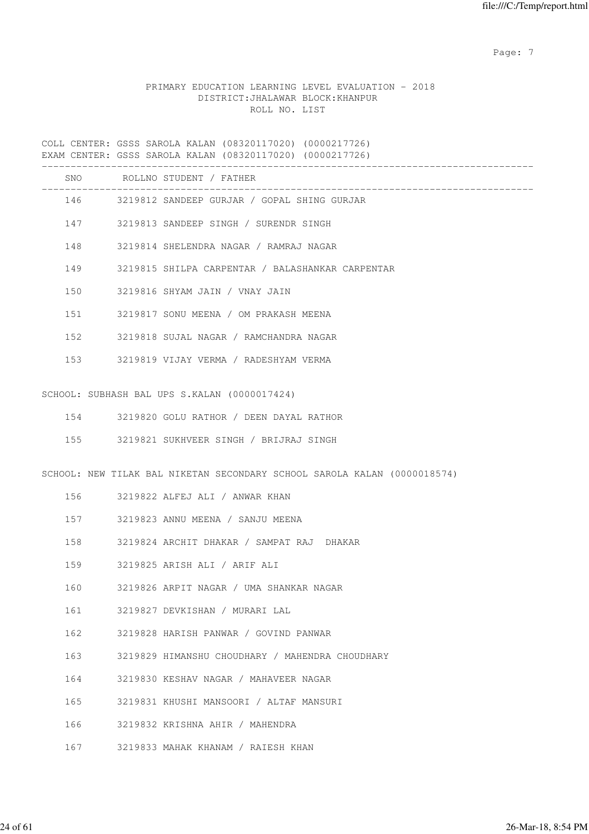Page: 7  $P$  and  $P$  and  $P$  and  $P$  and  $P$  and  $P$  and  $P$  and  $P$  and  $P$  and  $P$  and  $P$  and  $P$  and  $P$  and  $P$  and  $P$  and  $P$  and  $P$  and  $P$  and  $P$  and  $P$  and  $P$  and  $P$  and  $P$  and  $P$  and  $P$  and  $P$  and  $P$  an

## PRIMARY EDUCATION LEARNING LEVEL EVALUATION - 2018 DISTRICT:JHALAWAR BLOCK:KHANPUR ROLL NO. LIST

COLL CENTER: GSSS SAROLA KALAN (08320117020) (0000217726) EXAM CENTER: GSSS SAROLA KALAN (08320117020) (0000217726) ------------------------------------------------------------------------------------- SNO ROLLNO STUDENT / FATHER ------------------------------------------------------------------------------------- 146 3219812 SANDEEP GURJAR / GOPAL SHING GURJAR 147 3219813 SANDEEP SINGH / SURENDR SINGH 148 3219814 SHELENDRA NAGAR / RAMRAJ NAGAR 149 3219815 SHILPA CARPENTAR / BALASHANKAR CARPENTAR 150 3219816 SHYAM JAIN / VNAY JAIN 151 3219817 SONU MEENA / OM PRAKASH MEENA 152 3219818 SUJAL NAGAR / RAMCHANDRA NAGAR 153 3219819 VIJAY VERMA / RADESHYAM VERMA SCHOOL: SUBHASH BAL UPS S.KALAN (0000017424) 154 3219820 GOLU RATHOR / DEEN DAYAL RATHOR 155 3219821 SUKHVEER SINGH / BRIJRAJ SINGH SCHOOL: NEW TILAK BAL NIKETAN SECONDARY SCHOOL SAROLA KALAN (0000018574) 156 3219822 ALFEJ ALI / ANWAR KHAN 157 3219823 ANNU MEENA / SANJU MEENA 158 3219824 ARCHIT DHAKAR / SAMPAT RAJ DHAKAR 159 3219825 ARISH ALI / ARIF ALI 160 3219826 ARPIT NAGAR / UMA SHANKAR NAGAR 161 3219827 DEVKISHAN / MURARI LAL 162 3219828 HARISH PANWAR / GOVIND PANWAR 163 3219829 HIMANSHU CHOUDHARY / MAHENDRA CHOUDHARY 164 3219830 KESHAV NAGAR / MAHAVEER NAGAR 165 3219831 KHUSHI MANSOORI / ALTAF MANSURI 166 3219832 KRISHNA AHIR / MAHENDRA

167 3219833 MAHAK KHANAM / RAIESH KHAN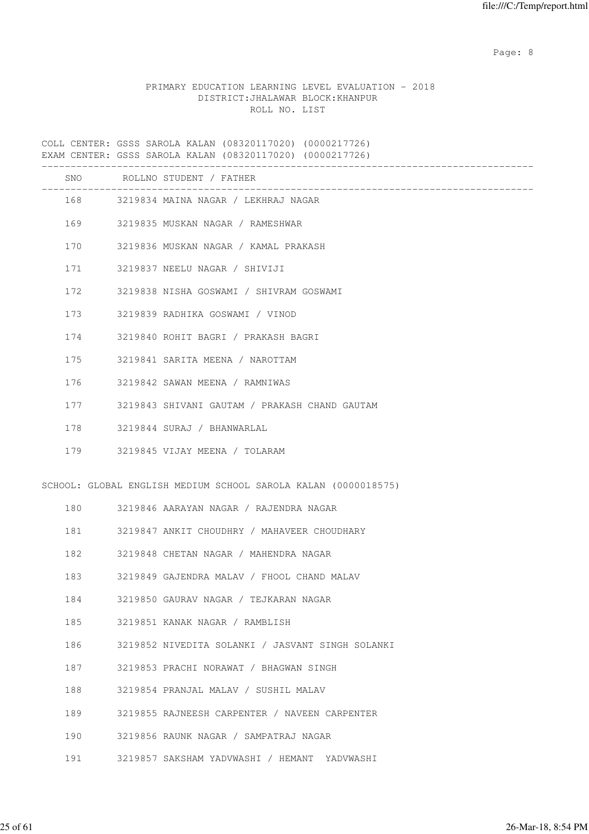Page: 8 and 20 and 20 and 20 and 20 and 20 and 20 and 20 and 20 and 20 and 20 and 20 and 20 and 20 and 20 and

## PRIMARY EDUCATION LEARNING LEVEL EVALUATION - 2018 DISTRICT:JHALAWAR BLOCK:KHANPUR ROLL NO. LIST

COLL CENTER: GSSS SAROLA KALAN (08320117020) (0000217726) EXAM CENTER: GSSS SAROLA KALAN (08320117020) (0000217726) ------------------------------------------------------------------------------------- SNO ROLLNO STUDENT / FATHER ------------------------------------------------------------------------------------- 168 3219834 MAINA NAGAR / LEKHRAJ NAGAR 169 3219835 MUSKAN NAGAR / RAMESHWAR 170 3219836 MUSKAN NAGAR / KAMAL PRAKASH 171 3219837 NEELU NAGAR / SHIVIJI 172 3219838 NISHA GOSWAMI / SHIVRAM GOSWAMI 173 3219839 RADHIKA GOSWAMI / VINOD 174 3219840 ROHIT BAGRI / PRAKASH BAGRI 175 3219841 SARITA MEENA / NAROTTAM 176 3219842 SAWAN MEENA / RAMNIWAS 177 3219843 SHIVANI GAUTAM / PRAKASH CHAND GAUTAM 178 3219844 SURAJ / BHANWARLAL 179 3219845 VIJAY MEENA / TOLARAM SCHOOL: GLOBAL ENGLISH MEDIUM SCHOOL SAROLA KALAN (0000018575) 180 3219846 AARAYAN NAGAR / RAJENDRA NAGAR 181 3219847 ANKIT CHOUDHRY / MAHAVEER CHOUDHARY 182 3219848 CHETAN NAGAR / MAHENDRA NAGAR 183 3219849 GAJENDRA MALAV / FHOOL CHAND MALAV 184 3219850 GAURAV NAGAR / TEJKARAN NAGAR 185 3219851 KANAK NAGAR / RAMBLISH 186 3219852 NIVEDITA SOLANKI / JASVANT SINGH SOLANKI 187 3219853 PRACHI NORAWAT / BHAGWAN SINGH 188 3219854 PRANJAL MALAV / SUSHIL MALAV 189 3219855 RAJNEESH CARPENTER / NAVEEN CARPENTER 190 3219856 RAUNK NAGAR / SAMPATRAJ NAGAR 191 3219857 SAKSHAM YADVWASHI / HEMANT YADVWASHI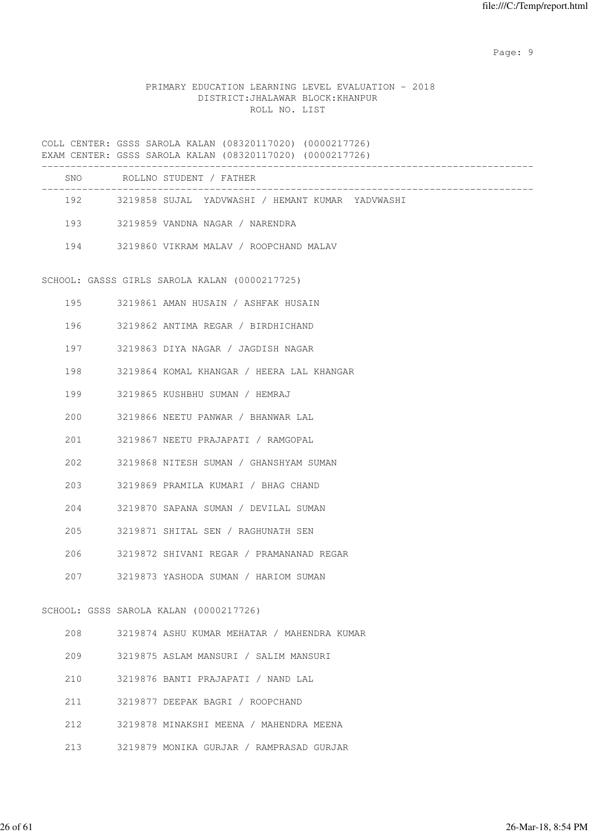en de la provincia de la provincia de la provincia de la provincia de la provincia de la provincia de la provi

# PRIMARY EDUCATION LEARNING LEVEL EVALUATION - 2018 DISTRICT:JHALAWAR BLOCK:KHANPUR ROLL NO. LIST

|           | COLL CENTER: GSSS SAROLA KALAN (08320117020) (0000217726)<br>EXAM CENTER: GSSS SAROLA KALAN (08320117020) (0000217726) |
|-----------|------------------------------------------------------------------------------------------------------------------------|
|           | SNO ROLLNO STUDENT / FATHER                                                                                            |
|           | 192 3219858 SUJAL YADVWASHI / HEMANT KUMAR YADVWASHI                                                                   |
|           | 193 3219859 VANDNA NAGAR / NARENDRA                                                                                    |
|           | 194 3219860 VIKRAM MALAV / ROOPCHAND MALAV                                                                             |
|           | SCHOOL: GASSS GIRLS SAROLA KALAN (0000217725)                                                                          |
| 195 — 195 | 3219861 AMAN HUSAIN / ASHFAK HUSAIN                                                                                    |
| 196       | 3219862 ANTIMA REGAR / BIRDHICHAND                                                                                     |
| 197       | 3219863 DIYA NAGAR / JAGDISH NAGAR                                                                                     |
| 198       | 3219864 KOMAL KHANGAR / HEERA LAL KHANGAR                                                                              |
| 199       | 3219865 KUSHBHU SUMAN / HEMRAJ                                                                                         |
| 200       | 3219866 NEETU PANWAR / BHANWAR LAL                                                                                     |
| 201       | 3219867 NEETU PRAJAPATI / RAMGOPAL                                                                                     |
| 202       | 3219868 NITESH SUMAN / GHANSHYAM SUMAN                                                                                 |
| 203       | 3219869 PRAMILA KUMARI / BHAG CHAND                                                                                    |
| 204       | 3219870 SAPANA SUMAN / DEVILAL SUMAN                                                                                   |
| 205       | 3219871 SHITAL SEN / RAGHUNATH SEN                                                                                     |
| 206       | 3219872 SHIVANI REGAR / PRAMANANAD REGAR                                                                               |
| 207       | 3219873 YASHODA SUMAN / HARIOM SUMAN                                                                                   |
|           | SCHOOL: GSSS SAROLA KALAN (0000217726)                                                                                 |
| 208       | 3219874 ASHU KUMAR MEHATAR / MAHENDRA KUMAR                                                                            |
| 209       | 3219875 ASLAM MANSURI / SALIM MANSURI                                                                                  |
| 210       | 3219876 BANTI PRAJAPATI / NAND LAL                                                                                     |
| 211       | 3219877 DEEPAK BAGRI / ROOPCHAND                                                                                       |
| 212       | 3219878 MINAKSHI MEENA / MAHENDRA MEENA                                                                                |

213 3219879 MONIKA GURJAR / RAMPRASAD GURJAR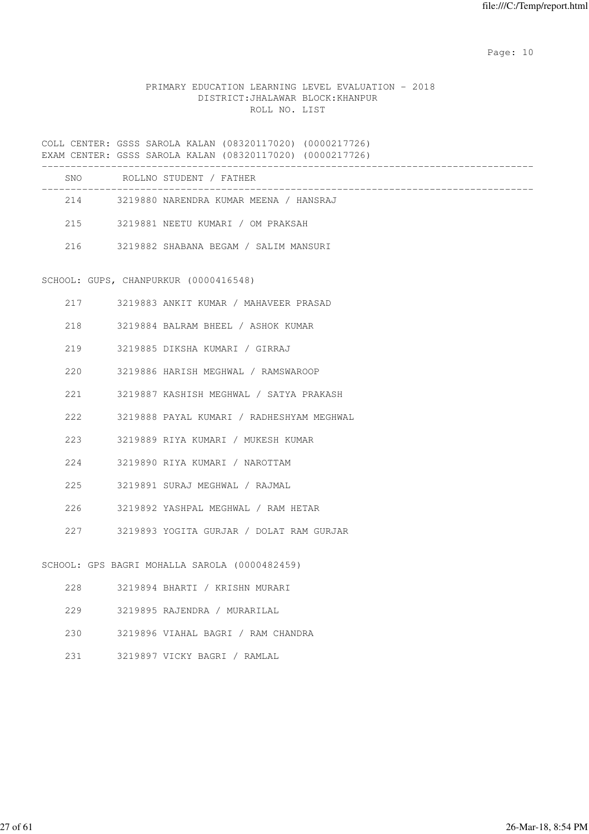Page: 10

## PRIMARY EDUCATION LEARNING LEVEL EVALUATION - 2018 DISTRICT:JHALAWAR BLOCK:KHANPUR ROLL NO. LIST

COLL CENTER: GSSS SAROLA KALAN (08320117020) (0000217726) EXAM CENTER: GSSS SAROLA KALAN (08320117020) (0000217726) ------------------------------------------------------------------------------------- SNO ROLLNO STUDENT / FATHER ------------------------------------------------------------------------------------- 214 3219880 NARENDRA KUMAR MEENA / HANSRAJ 215 3219881 NEETU KUMARI / OM PRAKSAH 216 3219882 SHABANA BEGAM / SALIM MANSURI SCHOOL: GUPS, CHANPURKUR (0000416548) 217 3219883 ANKIT KUMAR / MAHAVEER PRASAD 218 3219884 BALRAM BHEEL / ASHOK KUMAR 219 3219885 DIKSHA KUMARI / GIRRAJ 220 3219886 HARISH MEGHWAL / RAMSWAROOP 221 3219887 KASHISH MEGHWAL / SATYA PRAKASH 222 3219888 PAYAL KUMARI / RADHESHYAM MEGHWAL 223 3219889 RIYA KUMARI / MUKESH KUMAR 224 3219890 RIYA KUMARI / NAROTTAM 225 3219891 SURAJ MEGHWAL / RAJMAL 226 3219892 YASHPAL MEGHWAL / RAM HETAR 227 3219893 YOGITA GURJAR / DOLAT RAM GURJAR SCHOOL: GPS BAGRI MOHALLA SAROLA (0000482459) 228 3219894 BHARTI / KRISHN MURARI 229 3219895 RAJENDRA / MURARILAL 230 3219896 VIAHAL BAGRI / RAM CHANDRA 231 3219897 VICKY BAGRI / RAMLAL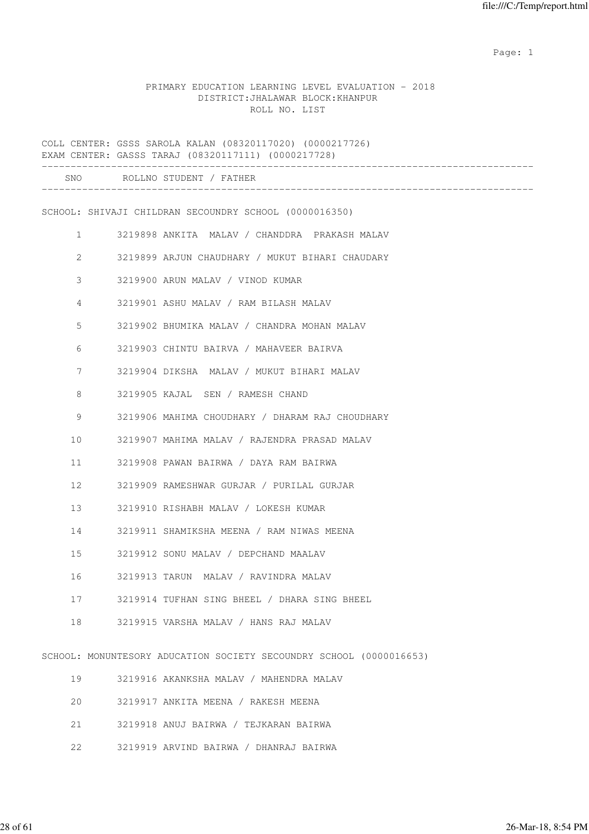## PRIMARY EDUCATION LEARNING LEVEL EVALUATION - 2018 DISTRICT:JHALAWAR BLOCK:KHANPUR ROLL NO. LIST

|    | COLL CENTER: GSSS SAROLA KALAN (08320117020) (0000217726)<br>EXAM CENTER: GASSS TARAJ (08320117111) (0000217728)<br>--------------------- |
|----|-------------------------------------------------------------------------------------------------------------------------------------------|
|    | SNO ROLLNO STUDENT / FATHER                                                                                                               |
|    | SCHOOL: SHIVAJI CHILDRAN SECOUNDRY SCHOOL (0000016350)                                                                                    |
| 1  | 3219898 ANKITA MALAV / CHANDDRA PRAKASH MALAV                                                                                             |
| 2  | 3219899 ARJUN CHAUDHARY / MUKUT BIHARI CHAUDARY                                                                                           |
| 3  | 3219900 ARUN MALAV / VINOD KUMAR                                                                                                          |
| 4  | 3219901 ASHU MALAV / RAM BILASH MALAV                                                                                                     |
| 5  | 3219902 BHUMIKA MALAV / CHANDRA MOHAN MALAV                                                                                               |
| 6  | 3219903 CHINTU BAIRVA / MAHAVEER BAIRVA                                                                                                   |
| 7  | 3219904 DIKSHA MALAV / MUKUT BIHARI MALAV                                                                                                 |
| 8  | 3219905 KAJAL SEN / RAMESH CHAND                                                                                                          |
| 9  | 3219906 MAHIMA CHOUDHARY / DHARAM RAJ CHOUDHARY                                                                                           |
| 10 | 3219907 MAHIMA MALAV / RAJENDRA PRASAD MALAV                                                                                              |
| 11 | 3219908 PAWAN BAIRWA / DAYA RAM BAIRWA                                                                                                    |
| 12 | 3219909 RAMESHWAR GURJAR / PURILAL GURJAR                                                                                                 |
| 13 | 3219910 RISHABH MALAV / LOKESH KUMAR                                                                                                      |
| 14 | 3219911 SHAMIKSHA MEENA / RAM NIWAS MEENA                                                                                                 |
| 15 | 3219912 SONU MALAV / DEPCHAND MAALAV                                                                                                      |
| 16 | 3219913 TARUN MALAV / RAVINDRA MALAV                                                                                                      |
| 17 | 3219914 TUFHAN SING BHEEL / DHARA SING BHEEL                                                                                              |
| 18 | 3219915 VARSHA MALAV / HANS RAJ MALAV                                                                                                     |
|    | SCHOOL: MONUNTESORY ADUCATION SOCIETY SECOUNDRY SCHOOL (0000016653)                                                                       |
| 19 | 3219916 AKANKSHA MALAV / MAHENDRA MALAV                                                                                                   |

- 20 3219917 ANKITA MEENA / RAKESH MEENA
- 21 3219918 ANUJ BAIRWA / TEJKARAN BAIRWA
- 22 3219919 ARVIND BAIRWA / DHANRAJ BAIRWA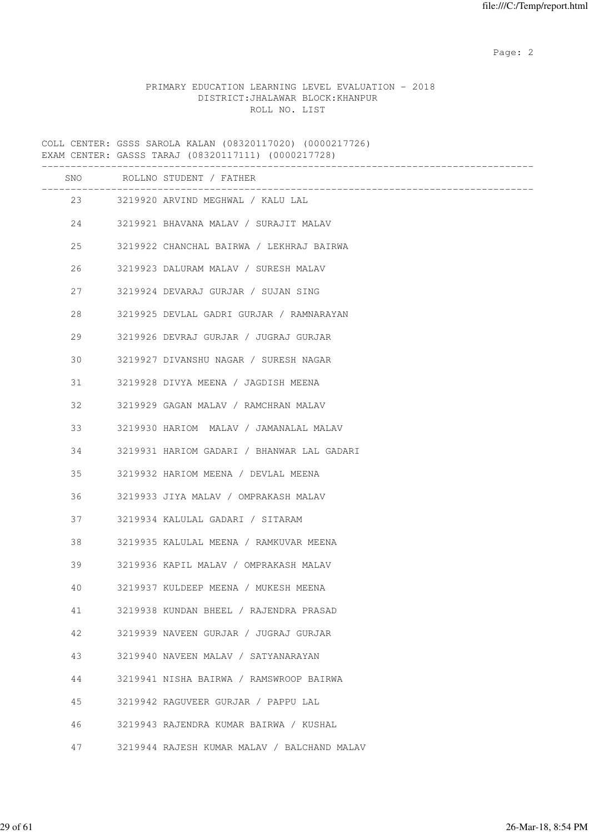## PRIMARY EDUCATION LEARNING LEVEL EVALUATION - 2018 DISTRICT:JHALAWAR BLOCK:KHANPUR ROLL NO. LIST

COLL CENTER: GSSS SAROLA KALAN (08320117020) (0000217726) EXAM CENTER: GASSS TARAJ (08320117111) (0000217728) ------------------------------------------------------------------------------------- SNO ROLLNO STUDENT / FATHER ------------------------------------------------------------------------------------- 23 3219920 ARVIND MEGHWAL / KALU LAL 24 3219921 BHAVANA MALAV / SURAJIT MALAV 25 3219922 CHANCHAL BAIRWA / LEKHRAJ BAIRWA 26 3219923 DALURAM MALAV / SURESH MALAV 27 3219924 DEVARAJ GURJAR / SUJAN SING 28 3219925 DEVLAL GADRI GURJAR / RAMNARAYAN 29 3219926 DEVRAJ GURJAR / JUGRAJ GURJAR 30 3219927 DIVANSHU NAGAR / SURESH NAGAR 31 3219928 DIVYA MEENA / JAGDISH MEENA 32 3219929 GAGAN MALAV / RAMCHRAN MALAV 33 3219930 HARIOM MALAV / JAMANALAL MALAV 34 3219931 HARIOM GADARI / BHANWAR LAL GADARI 35 3219932 HARIOM MEENA / DEVLAL MEENA 36 3219933 JIYA MALAV / OMPRAKASH MALAV 37 3219934 KALULAL GADARI / SITARAM 38 3219935 KALULAL MEENA / RAMKUVAR MEENA 39 3219936 KAPIL MALAV / OMPRAKASH MALAV 40 3219937 KULDEEP MEENA / MUKESH MEENA 41 3219938 KUNDAN BHEEL / RAJENDRA PRASAD 42 3219939 NAVEEN GURJAR / JUGRAJ GURJAR 43 3219940 NAVEEN MALAV / SATYANARAYAN 44 3219941 NISHA BAIRWA / RAMSWROOP BAIRWA 45 3219942 RAGUVEER GURJAR / PAPPU LAL 46 3219943 RAJENDRA KUMAR BAIRWA / KUSHAL 47 3219944 RAJESH KUMAR MALAV / BALCHAND MALAV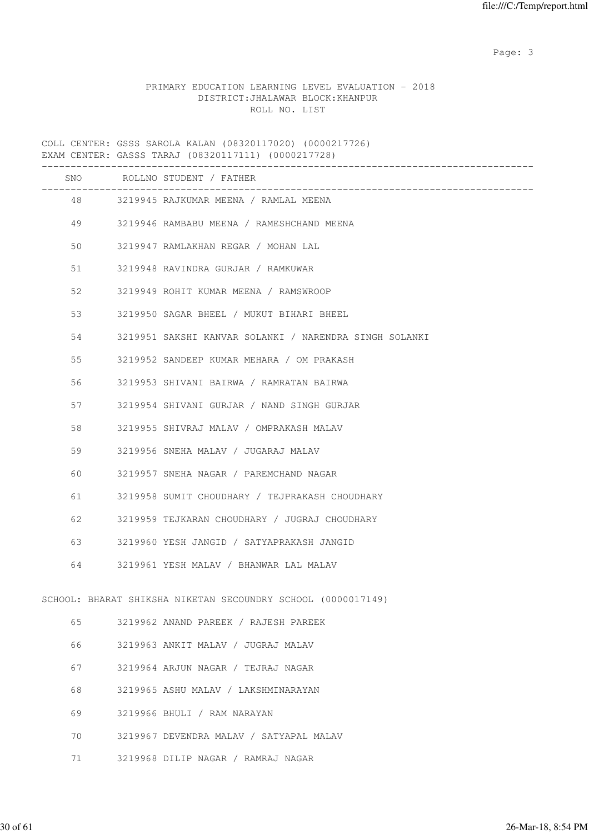Page: 3

## PRIMARY EDUCATION LEARNING LEVEL EVALUATION - 2018 DISTRICT:JHALAWAR BLOCK:KHANPUR ROLL NO. LIST

|    |         | SNO ROLLNO STUDENT / FATHER                                  |
|----|---------|--------------------------------------------------------------|
|    |         | 48 3219945 RAJKUMAR MEENA / RAMLAL MEENA                     |
|    | 49      | 3219946 RAMBABU MEENA / RAMESHCHAND MEENA                    |
| 50 |         | 3219947 RAMLAKHAN REGAR / MOHAN LAL                          |
| 51 |         | 3219948 RAVINDRA GURJAR / RAMKUWAR                           |
| 52 |         | 3219949 ROHIT KUMAR MEENA / RAMSWROOP                        |
| 53 |         | 3219950 SAGAR BHEEL / MUKUT BIHARI BHEEL                     |
| 54 |         | 3219951 SAKSHI KANVAR SOLANKI / NARENDRA SINGH SOLANKI       |
| 55 |         | 3219952 SANDEEP KUMAR MEHARA / OM PRAKASH                    |
| 56 |         | 3219953 SHIVANI BAIRWA / RAMRATAN BAIRWA                     |
| 57 |         | 3219954 SHIVANI GURJAR / NAND SINGH GURJAR                   |
| 58 |         | 3219955 SHIVRAJ MALAV / OMPRAKASH MALAV                      |
| 59 |         | 3219956 SNEHA MALAV / JUGARAJ MALAV                          |
| 60 |         | 3219957 SNEHA NAGAR / PAREMCHAND NAGAR                       |
| 61 |         | 3219958 SUMIT CHOUDHARY / TEJPRAKASH CHOUDHARY               |
|    | 62 — 10 | 3219959 TEJKARAN CHOUDHARY / JUGRAJ CHOUDHARY                |
|    |         | 3219960 YESH JANGID / SATYAPRAKASH JANGID                    |
|    | 64      | 3219961 YESH MALAV / BHANWAR LAL MALAV                       |
|    |         | SCHOOL: BHARAT SHIKSHA NIKETAN SECOUNDRY SCHOOL (0000017149) |
| 65 |         | 3219962 ANAND PAREEK / RAJESH PAREEK                         |
| 66 |         | 3219963 ANKIT MALAV / JUGRAJ MALAV                           |
| 67 |         | 3219964 ARJUN NAGAR / TEJRAJ NAGAR                           |
| 68 |         | 3219965 ASHU MALAV / LAKSHMINARAYAN                          |
| 69 |         | 3219966 BHULI / RAM NARAYAN                                  |
| 70 |         | 3219967 DEVENDRA MALAV / SATYAPAL MALAV                      |
| 71 |         | 3219968 DILIP NAGAR / RAMRAJ NAGAR                           |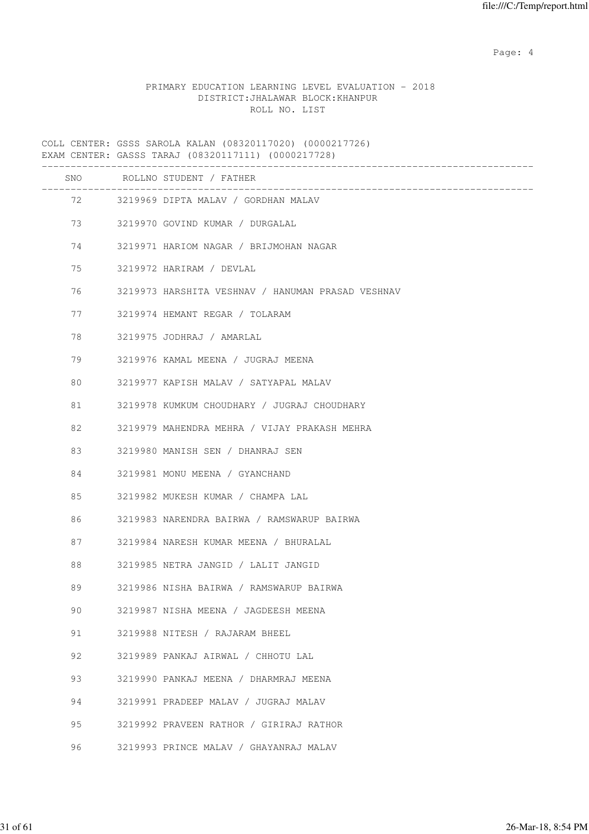Page: 4  $P$ 

## PRIMARY EDUCATION LEARNING LEVEL EVALUATION - 2018 DISTRICT:JHALAWAR BLOCK:KHANPUR ROLL NO. LIST

|          | SNO ROLLNO STUDENT / FATHER                       |
|----------|---------------------------------------------------|
|          | 72 3219969 DIPTA MALAV / GORDHAN MALAV            |
| 73 — 17  | 3219970 GOVIND KUMAR / DURGALAL                   |
| 74 — 200 | 3219971 HARIOM NAGAR / BRIJMOHAN NAGAR            |
| 75       | 3219972 HARIRAM / DEVLAL                          |
| 76       | 3219973 HARSHITA VESHNAV / HANUMAN PRASAD VESHNAV |
| 77       | 3219974 HEMANT REGAR / TOLARAM                    |
| 78       | 3219975 JODHRAJ / AMARLAL                         |
| 79       | 3219976 KAMAL MEENA / JUGRAJ MEENA                |
| 80       | 3219977 KAPISH MALAV / SATYAPAL MALAV             |
| 81       | 3219978 KUMKUM CHOUDHARY / JUGRAJ CHOUDHARY       |
| 82       | 3219979 MAHENDRA MEHRA / VIJAY PRAKASH MEHRA      |
| 83       | 3219980 MANISH SEN / DHANRAJ SEN                  |
| 84       | 3219981 MONU MEENA / GYANCHAND                    |
| 85       | 3219982 MUKESH KUMAR / CHAMPA LAL                 |
| 86       | 3219983 NARENDRA BAIRWA / RAMSWARUP BAIRWA        |
| 87       | 3219984 NARESH KUMAR MEENA / BHURALAL             |
| 88       | 3219985 NETRA JANGID / LALIT JANGID               |
| 89       | 3219986 NISHA BAIRWA / RAMSWARUP BAIRWA           |
| 90       | 3219987 NISHA MEENA / JAGDEESH MEENA              |
| 91       | 3219988 NITESH / RAJARAM BHEEL                    |
| 92       | 3219989 PANKAJ AIRWAL / CHHOTU LAL                |
| 93       | 3219990 PANKAJ MEENA / DHARMRAJ MEENA             |
| 94       | 3219991 PRADEEP MALAV / JUGRAJ MALAV              |
| 95       | 3219992 PRAVEEN RATHOR / GIRIRAJ RATHOR           |
| 96       | 3219993 PRINCE MALAV / GHAYANRAJ MALAV            |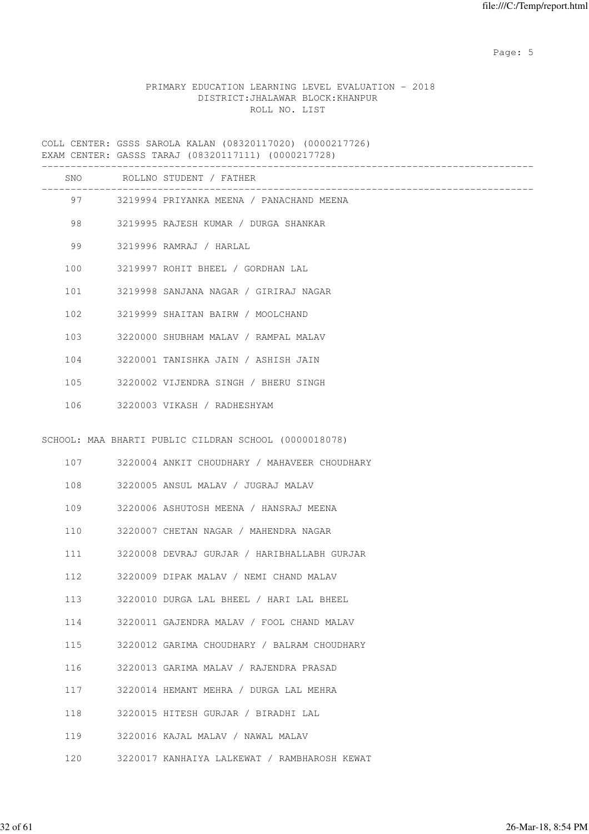Page: 5  $P$  and  $P$  and  $P$  and  $P$  and  $P$  and  $P$  and  $P$  and  $P$  and  $P$  and  $P$  and  $P$  and  $P$  and  $P$  and  $P$  and  $P$  and  $P$  and  $P$  and  $P$  and  $P$  and  $P$  and  $P$  and  $P$  and  $P$  and  $P$  and  $P$  and  $P$  and  $P$  an

## PRIMARY EDUCATION LEARNING LEVEL EVALUATION - 2018 DISTRICT:JHALAWAR BLOCK:KHANPUR ROLL NO. LIST

|     |         | SNO ROLLNO STUDENT / FATHER                           |
|-----|---------|-------------------------------------------------------|
|     | 97 — 10 | 3219994 PRIYANKA MEENA / PANACHAND MEENA              |
|     |         | 98 3219995 RAJESH KUMAR / DURGA SHANKAR               |
| 99  |         | 3219996 RAMRAJ / HARLAL                               |
| 100 |         | 3219997 ROHIT BHEEL / GORDHAN LAL                     |
| 101 |         | 3219998 SANJANA NAGAR / GIRIRAJ NAGAR                 |
| 102 |         | 3219999 SHAITAN BAIRW / MOOLCHAND                     |
| 103 |         | 3220000 SHUBHAM MALAV / RAMPAL MALAV                  |
| 104 |         | 3220001 TANISHKA JAIN / ASHISH JAIN                   |
| 105 |         | 3220002 VIJENDRA SINGH / BHERU SINGH                  |
| 106 |         | 3220003 VIKASH / RADHESHYAM                           |
|     |         | SCHOOL: MAA BHARTI PUBLIC CILDRAN SCHOOL (0000018078) |
|     |         | 107 3220004 ANKIT CHOUDHARY / MAHAVEER CHOUDHARY      |
| 108 |         | 3220005 ANSUL MALAV / JUGRAJ MALAV                    |
| 109 |         | 3220006 ASHUTOSH MEENA / HANSRAJ MEENA                |
| 110 |         | 3220007 CHETAN NAGAR / MAHENDRA NAGAR                 |
| 111 |         | 3220008 DEVRAJ GURJAR / HARIBHALLABH GURJAR           |
| 112 |         | 3220009 DIPAK MALAV / NEMI CHAND MALAV                |
| 113 |         | 3220010 DURGA LAL BHEEL / HARI LAL BHEEL              |
| 114 |         | 3220011 GAJENDRA MALAV / FOOL CHAND MALAV             |
| 115 |         | 3220012 GARIMA CHOUDHARY / BALRAM CHOUDHARY           |
| 116 |         | 3220013 GARIMA MALAV / RAJENDRA PRASAD                |
| 117 |         | 3220014 HEMANT MEHRA / DURGA LAL MEHRA                |
| 118 |         | 3220015 HITESH GURJAR / BIRADHI LAL                   |
| 119 |         | 3220016 KAJAL MALAV / NAWAL MALAV                     |
| 120 |         | 3220017 KANHAIYA LALKEWAT / RAMBHAROSH KEWAT          |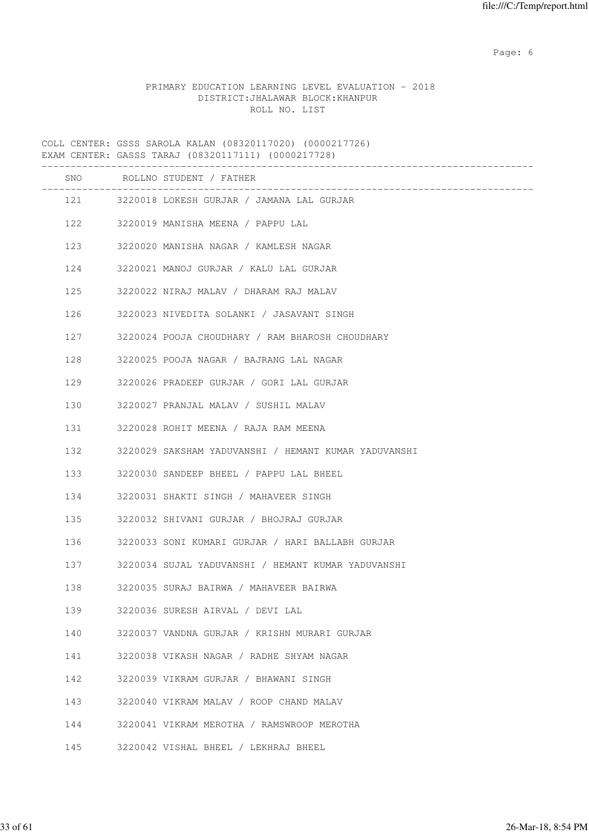Page: 6  $P$  and  $P$  and  $P$  and  $P$  and  $P$  and  $P$  and  $P$  and  $P$  and  $P$  and  $P$  and  $P$  and  $P$  and  $P$  and  $P$  and  $P$  and  $P$  and  $P$  and  $P$  and  $P$  and  $P$  and  $P$  and  $P$  and  $P$  and  $P$  and  $P$  and  $P$  and  $P$  an

## PRIMARY EDUCATION LEARNING LEVEL EVALUATION - 2018 DISTRICT:JHALAWAR BLOCK:KHANPUR ROLL NO. LIST

COLL CENTER: GSSS SAROLA KALAN (08320117020) (0000217726) EXAM CENTER: GASSS TARAJ (08320117111) (0000217728) ------------------------------------------------------------------------------------- SNO ROLLNO STUDENT / FATHER ------------------------------------------------------------------------------------- 121 3220018 LOKESH GURJAR / JAMANA LAL GURJAR 122 3220019 MANISHA MEENA / PAPPU LAL 123 3220020 MANISHA NAGAR / KAMLESH NAGAR 124 3220021 MANOJ GURJAR / KALU LAL GURJAR 125 3220022 NIRAJ MALAV / DHARAM RAJ MALAV 126 3220023 NIVEDITA SOLANKI / JASAVANT SINGH 127 3220024 POOJA CHOUDHARY / RAM BHAROSH CHOUDHARY 128 3220025 POOJA NAGAR / BAJRANG LAL NAGAR 129 3220026 PRADEEP GURJAR / GORI LAL GURJAR 130 3220027 PRANJAL MALAV / SUSHIL MALAV 131 3220028 ROHIT MEENA / RAJA RAM MEENA 132 3220029 SAKSHAM YADUVANSHI / HEMANT KUMAR YADUVANSHI 133 3220030 SANDEEP BHEEL / PAPPU LAL BHEEL 134 3220031 SHAKTI SINGH / MAHAVEER SINGH 135 3220032 SHIVANI GURJAR / BHOJRAJ GURJAR 136 3220033 SONI KUMARI GURJAR / HARI BALLABH GURJAR 137 3220034 SUJAL YADUVANSHI / HEMANT KUMAR YADUVANSHI 138 3220035 SURAJ BAIRWA / MAHAVEER BAIRWA 139 3220036 SURESH AIRVAL / DEVI LAL 140 3220037 VANDNA GURJAR / KRISHN MURARI GURJAR 141 3220038 VIKASH NAGAR / RADHE SHYAM NAGAR 142 3220039 VIKRAM GURJAR / BHAWANI SINGH 143 3220040 VIKRAM MALAV / ROOP CHAND MALAV

- 144 3220041 VIKRAM MEROTHA / RAMSWROOP MEROTHA
- 145 3220042 VISHAL BHEEL / LEKHRAJ BHEEL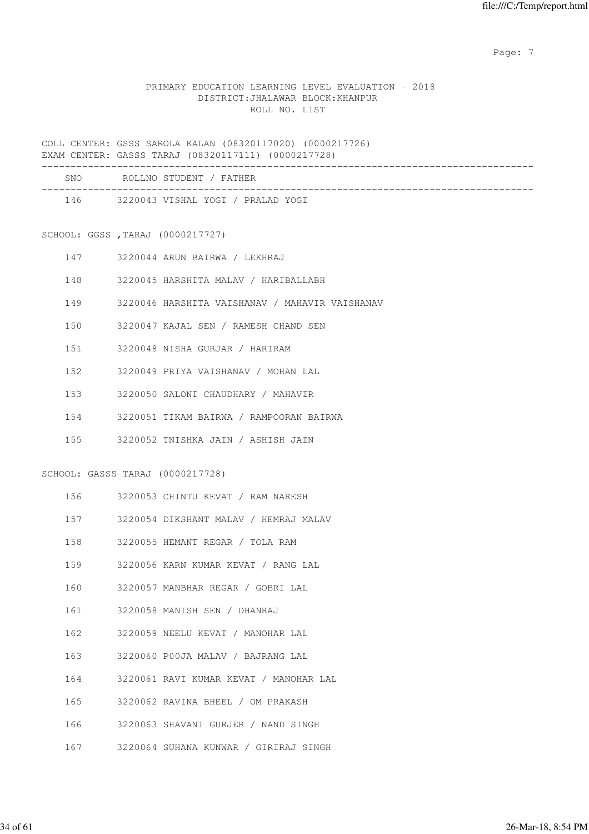Page: 7  $P$  and  $P$  and  $P$  and  $P$  and  $P$  and  $P$  and  $P$  and  $P$  and  $P$  and  $P$  and  $P$  and  $P$  and  $P$  and  $P$  and  $P$  and  $P$  and  $P$  and  $P$  and  $P$  and  $P$  and  $P$  and  $P$  and  $P$  and  $P$  and  $P$  and  $P$  and  $P$  an

## PRIMARY EDUCATION LEARNING LEVEL EVALUATION - 2018 DISTRICT:JHALAWAR BLOCK:KHANPUR ROLL NO. LIST

|     |                                  | SNO ROLLNO STUDENT / FATHER<br>_______________________________ |
|-----|----------------------------------|----------------------------------------------------------------|
|     |                                  | 146 3220043 VISHAL YOGI / PRALAD YOGI                          |
|     | SCHOOL: GGSS, TARAJ (0000217727) |                                                                |
|     | 147                              | 3220044 ARUN BAIRWA / LEKHRAJ                                  |
|     | 148                              | 3220045 HARSHITA MALAV / HARIBALLABH                           |
|     | 149                              | 3220046 HARSHITA VAISHANAV / MAHAVIR VAISHANAV                 |
|     | 150                              | 3220047 KAJAL SEN / RAMESH CHAND SEN                           |
|     | 151                              | 3220048 NISHA GURJAR / HARIRAM                                 |
|     | 152                              | 3220049 PRIYA VAISHANAV / MOHAN LAL                            |
|     | 153                              | 3220050 SALONI CHAUDHARY / MAHAVIR                             |
|     | 154                              | 3220051 TIKAM BAIRWA / RAMPOORAN BAIRWA                        |
|     |                                  | 155 3220052 TNISHKA JAIN / ASHISH JAIN                         |
|     | SCHOOL: GASSS TARAJ (0000217728) |                                                                |
|     |                                  | 156 3220053 CHINTU KEVAT / RAM NARESH                          |
|     | 157                              | 3220054 DIKSHANT MALAV / HEMRAJ MALAV                          |
|     | 158                              | 3220055 HEMANT REGAR / TOLA RAM                                |
|     | 159                              | 3220056 KARN KUMAR KEVAT / RANG LAL                            |
| 160 |                                  | 3220057 MANBHAR REGAR / GOBRI LAL                              |
| 161 |                                  | 3220058 MANISH SEN / DHANRAJ                                   |
| 162 |                                  | 3220059 NEELU KEVAT / MANOHAR LAL                              |
| 163 |                                  | 3220060 P00JA MALAV / BAJRANG LAL                              |
| 164 |                                  | 3220061 RAVI KUMAR KEVAT / MANOHAR LAL                         |
| 165 |                                  | 3220062 RAVINA BHEEL / OM PRAKASH                              |
| 166 |                                  | 3220063 SHAVANI GURJER / NAND SINGH                            |
| 167 |                                  | 3220064 SUHANA KUNWAR / GIRIRAJ SINGH                          |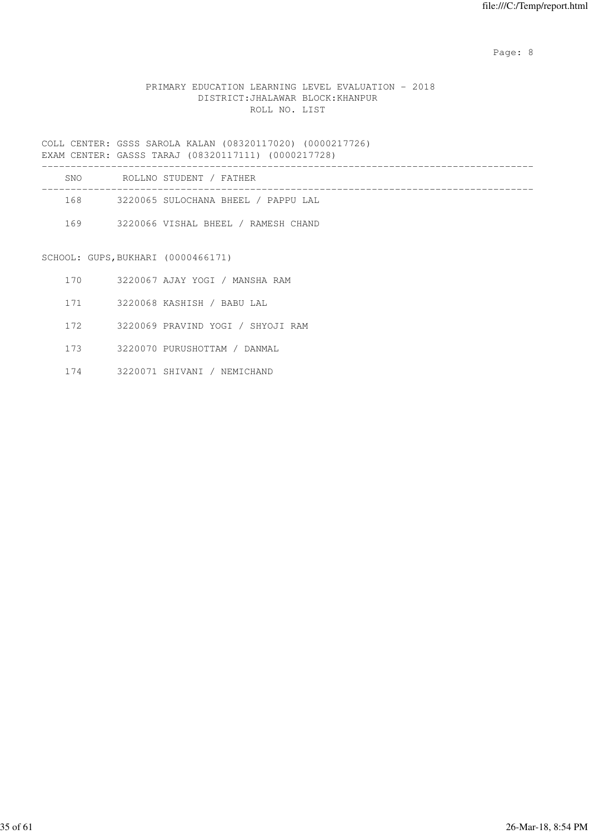Page: 8 and 20 and 20 and 20 and 20 and 20 and 20 and 20 and 20 and 20 and 20 and 20 and 20 and 20 and 20 and

## PRIMARY EDUCATION LEARNING LEVEL EVALUATION - 2018 DISTRICT:JHALAWAR BLOCK:KHANPUR ROLL NO. LIST

COLL CENTER: GSSS SAROLA KALAN (08320117020) (0000217726) EXAM CENTER: GASSS TARAJ (08320117111) (0000217728) ------------------------------------------------------------------------------------- SNO ROLLNO STUDENT / FATHER -------------------------------------------------------------------------------------

168 3220065 SULOCHANA BHEEL / PAPPU LAL

169 3220066 VISHAL BHEEL / RAMESH CHAND

SCHOOL: GUPS,BUKHARI (0000466171)

|  | 3220067 AJAY YOGI |  | / MANSHA RAM |  |
|--|-------------------|--|--------------|--|
|--|-------------------|--|--------------|--|

171 3220068 KASHISH / BABU LAL

172 3220069 PRAVIND YOGI / SHYOJI RAM

173 3220070 PURUSHOTTAM / DANMAL

174 3220071 SHIVANI / NEMICHAND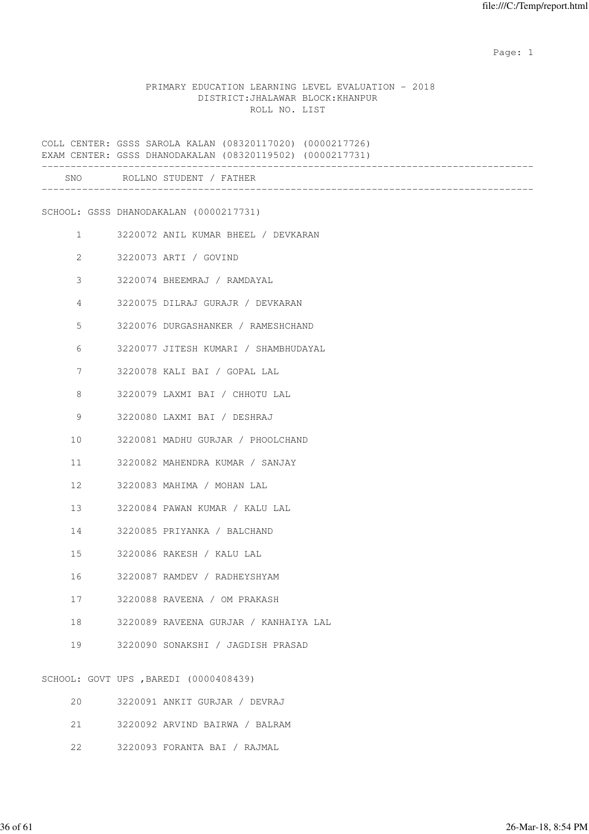#### PRIMARY EDUCATION LEARNING LEVEL EVALUATION - 2018 DISTRICT:JHALAWAR BLOCK:KHANPUR ROLL NO. LIST

COLL CENTER: GSSS SAROLA KALAN (08320117020) (0000217726) EXAM CENTER: GSSS DHANODAKALAN (08320119502) (0000217731) ------------------------------------------------------------------------------------- SNO ROLLNO STUDENT / FATHER ------------------------------------------------------------------------------------- SCHOOL: GSSS DHANODAKALAN (0000217731) 1 3220072 ANIL KUMAR BHEEL / DEVKARAN 2 3220073 ARTI / GOVIND 3 3220074 BHEEMRAJ / RAMDAYAL 4 3220075 DILRAJ GURAJR / DEVKARAN 5 3220076 DURGASHANKER / RAMESHCHAND 6 3220077 JITESH KUMARI / SHAMBHUDAYAL 7 3220078 KALI BAI / GOPAL LAL 8 3220079 LAXMI BAI / CHHOTU LAL 9 3220080 LAXMI BAI / DESHRAJ 10 3220081 MADHU GURJAR / PHOOLCHAND 11 3220082 MAHENDRA KUMAR / SANJAY 12 3220083 MAHIMA / MOHAN LAL 13 3220084 PAWAN KUMAR / KALU LAL 14 3220085 PRIYANKA / BALCHAND 15 3220086 RAKESH / KALU LAL 16 3220087 RAMDEV / RADHEYSHYAM 17 3220088 RAVEENA / OM PRAKASH 18 3220089 RAVEENA GURJAR / KANHAIYA LAL 19 3220090 SONAKSHI / JAGDISH PRASAD SCHOOL: GOVT UPS ,BAREDI (0000408439) 20 3220091 ANKIT GURJAR / DEVRAJ 21 3220092 ARVIND BAIRWA / BALRAM

22 3220093 FORANTA BAI / RAJMAL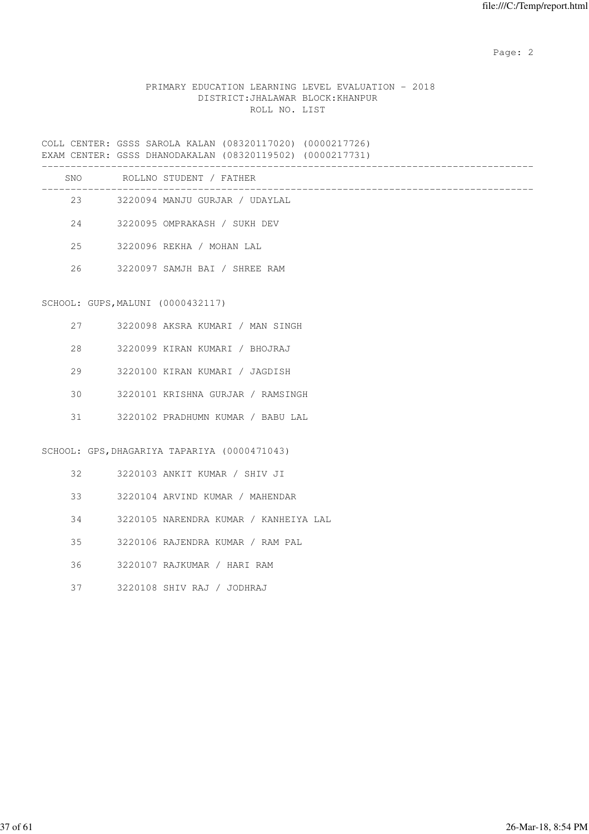## PRIMARY EDUCATION LEARNING LEVEL EVALUATION - 2018 DISTRICT:JHALAWAR BLOCK:KHANPUR ROLL NO. LIST

COLL CENTER: GSSS SAROLA KALAN (08320117020) (0000217726) EXAM CENTER: GSSS DHANODAKALAN (08320119502) (0000217731) ------------------------------------------------------------------------------------- SNO ROLLNO STUDENT / FATHER ------------------------------------------------------------------------------------- 23 3220094 MANJU GURJAR / UDAYLAL 24 3220095 OMPRAKASH / SUKH DEV 25 3220096 REKHA / MOHAN LAL 26 3220097 SAMJH BAI / SHREE RAM SCHOOL: GUPS,MALUNI (0000432117) 27 3220098 AKSRA KUMARI / MAN SINGH 28 3220099 KIRAN KUMARI / BHOJRAJ 29 3220100 KIRAN KUMARI / JAGDISH 30 3220101 KRISHNA GURJAR / RAMSINGH

31 3220102 PRADHUMN KUMAR / BABU LAL

SCHOOL: GPS,DHAGARIYA TAPARIYA (0000471043)

| 32 F | 3220103 ANKIT KUMAR / SHIV JI         |  |
|------|---------------------------------------|--|
| 33   | 3220104 ARVIND KUMAR / MAHENDAR       |  |
| 34   | 3220105 NARENDRA KUMAR / KANHEIYA LAL |  |
| 35   | 3220106 RAJENDRA KUMAR / RAM PAL      |  |
| 36   | 3220107 RAJKUMAR / HARI RAM           |  |

37 3220108 SHIV RAJ / JODHRAJ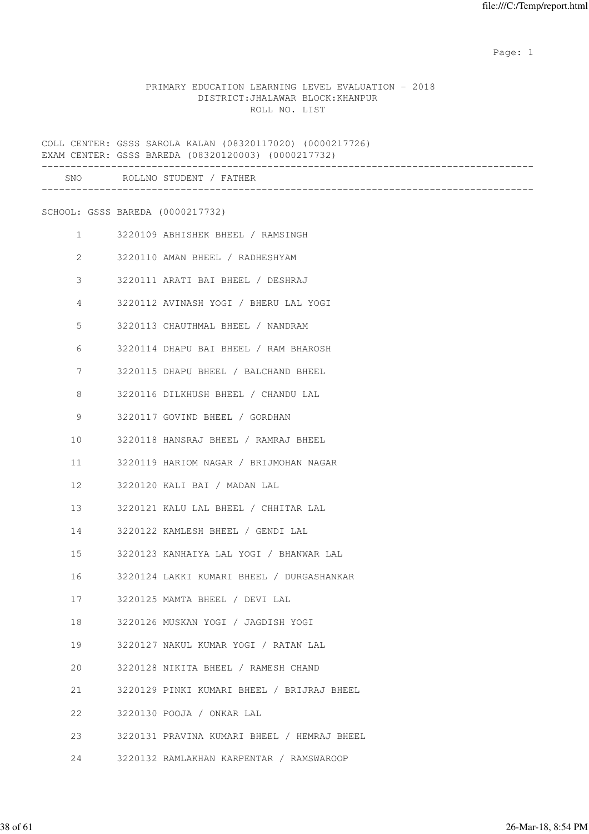## PRIMARY EDUCATION LEARNING LEVEL EVALUATION - 2018 DISTRICT:JHALAWAR BLOCK:KHANPUR ROLL NO. LIST

|                       | COLL CENTER: GSSS SAROLA KALAN (08320117020) (0000217726)<br>EXAM CENTER: GSSS BAREDA (08320120003) (0000217732) |
|-----------------------|------------------------------------------------------------------------------------------------------------------|
|                       | SNO ROLLNO STUDENT / FATHER                                                                                      |
|                       | SCHOOL: GSSS BAREDA (0000217732)                                                                                 |
| $\mathbf{1}$          | 3220109 ABHISHEK BHEEL / RAMSINGH                                                                                |
| $\mathbf{2}^{\prime}$ | 3220110 AMAN BHEEL / RADHESHYAM                                                                                  |
| 3                     | 3220111 ARATI BAI BHEEL / DESHRAJ                                                                                |
| 4                     | 3220112 AVINASH YOGI / BHERU LAL YOGI                                                                            |
| 5                     | 3220113 CHAUTHMAL BHEEL / NANDRAM                                                                                |
| 6                     | 3220114 DHAPU BAI BHEEL / RAM BHAROSH                                                                            |
| 7                     | 3220115 DHAPU BHEEL / BALCHAND BHEEL                                                                             |
| 8                     | 3220116 DILKHUSH BHEEL / CHANDU LAL                                                                              |
| 9                     | 3220117 GOVIND BHEEL / GORDHAN                                                                                   |
| 10                    | 3220118 HANSRAJ BHEEL / RAMRAJ BHEEL                                                                             |
| 11                    | 3220119 HARIOM NAGAR / BRIJMOHAN NAGAR                                                                           |
| 12                    | 3220120 KALI BAI / MADAN LAL                                                                                     |
| 13                    | 3220121 KALU LAL BHEEL / CHHITAR LAL                                                                             |
| 14                    | 3220122 KAMLESH BHEEL / GENDI LAL                                                                                |
| 15                    | 3220123 KANHAIYA LAL YOGI / BHANWAR LAL                                                                          |
| 16                    | 3220124 LAKKI KUMARI BHEEL / DURGASHANKAR                                                                        |
| 17                    | 3220125 MAMTA BHEEL / DEVI LAL                                                                                   |
| 18                    | 3220126 MUSKAN YOGI / JAGDISH YOGI                                                                               |
| 19                    | 3220127 NAKUL KUMAR YOGI / RATAN LAL                                                                             |
| 20                    | 3220128 NIKITA BHEEL / RAMESH CHAND                                                                              |
| 21                    | 3220129 PINKI KUMARI BHEEL / BRIJRAJ BHEEL                                                                       |
| 22                    | 3220130 POOJA / ONKAR LAL                                                                                        |
| 23                    | 3220131 PRAVINA KUMARI BHEEL / HEMRAJ BHEEL                                                                      |
| 24                    | 3220132 RAMLAKHAN KARPENTAR / RAMSWAROOP                                                                         |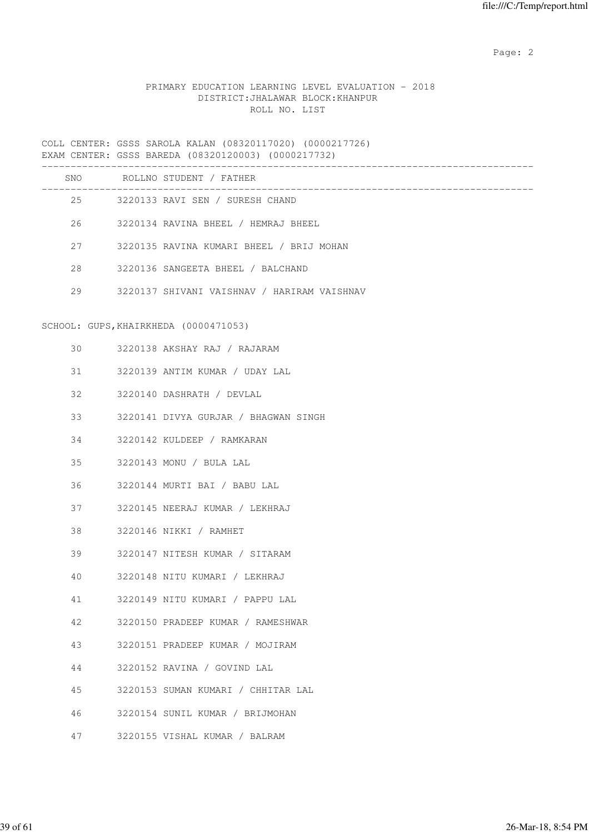# PRIMARY EDUCATION LEARNING LEVEL EVALUATION - 2018 DISTRICT:JHALAWAR BLOCK:KHANPUR ROLL NO. LIST

|    | SNO ROLLNO STUDENT / FATHER                              |
|----|----------------------------------------------------------|
|    | ------------------<br>25 3220133 RAVI SEN / SURESH CHAND |
|    | 26 3220134 RAVINA BHEEL / HEMRAJ BHEEL                   |
| 27 | 3220135 RAVINA KUMARI BHEEL / BRIJ MOHAN                 |
| 28 | 3220136 SANGEETA BHEEL / BALCHAND                        |
| 29 | 3220137 SHIVANI VAISHNAV / HARIRAM VAISHNAV              |
|    | SCHOOL: GUPS, KHAIRKHEDA (0000471053)                    |
| 30 | 3220138 AKSHAY RAJ / RAJARAM                             |
| 31 | 3220139 ANTIM KUMAR / UDAY LAL                           |
| 32 | 3220140 DASHRATH / DEVLAL                                |
| 33 | 3220141 DIVYA GURJAR / BHAGWAN SINGH                     |
| 34 | 3220142 KULDEEP / RAMKARAN                               |
| 35 | 3220143 MONU / BULA LAL                                  |
| 36 | 3220144 MURTI BAI / BABU LAL                             |
| 37 | 3220145 NEERAJ KUMAR / LEKHRAJ                           |
| 38 | 3220146 NIKKI / RAMHET                                   |
| 39 | 3220147 NITESH KUMAR / SITARAM                           |
| 40 | 3220148 NITU KUMARI / LEKHRAJ                            |
| 41 | 3220149 NITU KUMARI / PAPPU LAL                          |
| 42 | 3220150 PRADEEP KUMAR / RAMESHWAR                        |
| 43 | 3220151 PRADEEP KUMAR / MOJIRAM                          |
| 44 | 3220152 RAVINA / GOVIND LAL                              |
| 45 | 3220153 SUMAN KUMARI / CHHITAR LAL                       |
| 46 | 3220154 SUNIL KUMAR / BRIJMOHAN                          |
| 47 | 3220155 VISHAL KUMAR / BALRAM                            |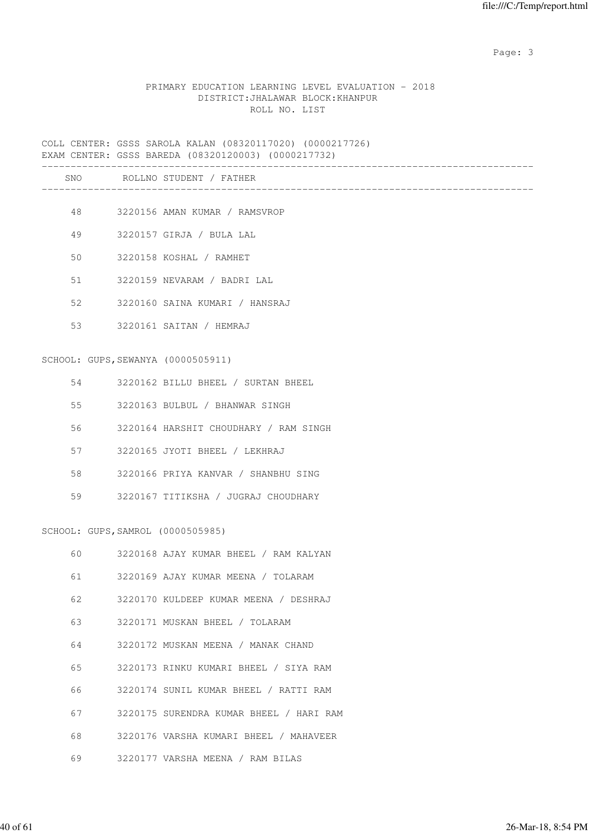Page: 3

## PRIMARY EDUCATION LEARNING LEVEL EVALUATION - 2018 DISTRICT:JHALAWAR BLOCK:KHANPUR ROLL NO. LIST

COLL CENTER: GSSS SAROLA KALAN (08320117020) (0000217726) EXAM CENTER: GSSS BAREDA (08320120003) (0000217732) ------------------------------------------------------------------------------------- SNO ROLLNO STUDENT / FATHER ------------------------------------------------------------------------------------- 48 3220156 AMAN KUMAR / RAMSVROP 49 3220157 GIRJA / BULA LAL 50 3220158 KOSHAL / RAMHET 51 3220159 NEVARAM / BADRI LAL 52 3220160 SAINA KUMARI / HANSRAJ 53 3220161 SAITAN / HEMRAJ SCHOOL: GUPS,SEWANYA (0000505911) 54 3220162 BILLU BHEEL / SURTAN BHEEL 55 3220163 BULBUL / BHANWAR SINGH 56 3220164 HARSHIT CHOUDHARY / RAM SINGH 57 3220165 JYOTI BHEEL / LEKHRAJ 58 3220166 PRIYA KANVAR / SHANBHU SING 59 3220167 TITIKSHA / JUGRAJ CHOUDHARY SCHOOL: GUPS,SAMROL (0000505985) 60 3220168 AJAY KUMAR BHEEL / RAM KALYAN 61 3220169 AJAY KUMAR MEENA / TOLARAM 62 3220170 KULDEEP KUMAR MEENA / DESHRAJ 63 3220171 MUSKAN BHEEL / TOLARAM 64 3220172 MUSKAN MEENA / MANAK CHAND 65 3220173 RINKU KUMARI BHEEL / SIYA RAM 66 3220174 SUNIL KUMAR BHEEL / RATTI RAM 67 3220175 SURENDRA KUMAR BHEEL / HARI RAM 68 3220176 VARSHA KUMARI BHEEL / MAHAVEER 69 3220177 VARSHA MEENA / RAM BILAS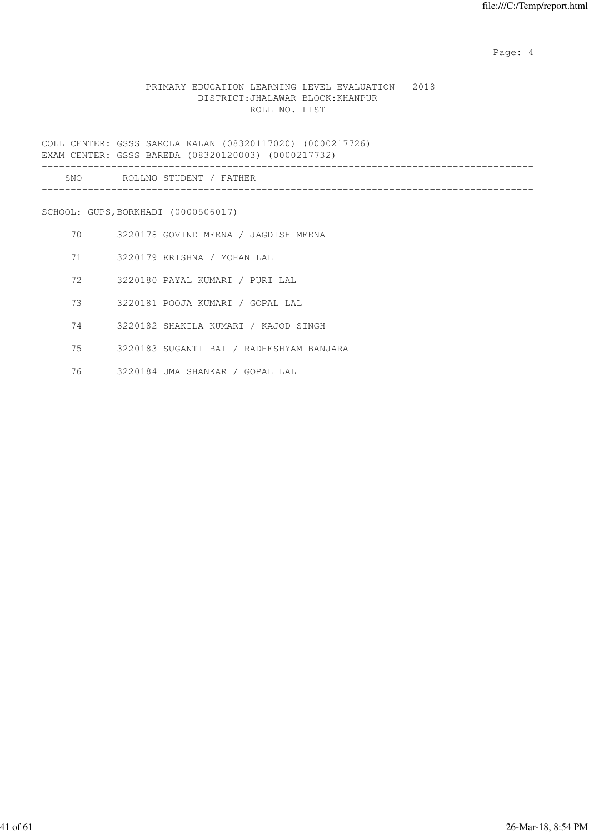Page: 4  $P$ 

## PRIMARY EDUCATION LEARNING LEVEL EVALUATION - 2018 DISTRICT:JHALAWAR BLOCK:KHANPUR ROLL NO. LIST

COLL CENTER: GSSS SAROLA KALAN (08320117020) (0000217726) EXAM CENTER: GSSS BAREDA (08320120003) (0000217732) ------------------------------------------------------------------------------------- SNO ROLLNO STUDENT / FATHER -------------------------------------------------------------------------------------

SCHOOL: GUPS,BORKHADI (0000506017)

- 70 3220178 GOVIND MEENA / JAGDISH MEENA
- 71 3220179 KRISHNA / MOHAN LAL
- 72 3220180 PAYAL KUMARI / PURI LAL
- 73 3220181 POOJA KUMARI / GOPAL LAL
- 74 3220182 SHAKILA KUMARI / KAJOD SINGH
- 75 3220183 SUGANTI BAI / RADHESHYAM BANJARA
- 76 3220184 UMA SHANKAR / GOPAL LAL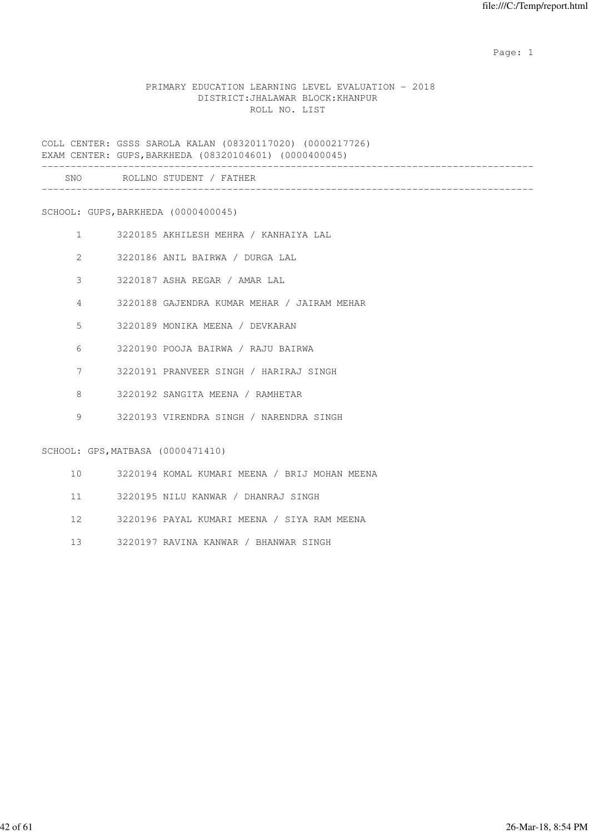## PRIMARY EDUCATION LEARNING LEVEL EVALUATION - 2018 DISTRICT:JHALAWAR BLOCK:KHANPUR ROLL NO. LIST

COLL CENTER: GSSS SAROLA KALAN (08320117020) (0000217726) EXAM CENTER: GUPS,BARKHEDA (08320104601) (0000400045)

| SNC | D∩T<br>-NO<br>דורדיה<br>and the control<br>. |  |
|-----|----------------------------------------------|--|
|     |                                              |  |

SCHOOL: GUPS,BARKHEDA (0000400045)

- 1 3220185 AKHILESH MEHRA / KANHAIYA LAL
- 2 3220186 ANIL BAIRWA / DURGA LAL
- 3 3220187 ASHA REGAR / AMAR LAL
- 4 3220188 GAJENDRA KUMAR MEHAR / JAIRAM MEHAR
- 5 3220189 MONIKA MEENA / DEVKARAN
- 6 3220190 POOJA BAIRWA / RAJU BAIRWA
- 7 3220191 PRANVEER SINGH / HARIRAJ SINGH
- 8 3220192 SANGITA MEENA / RAMHETAR
- 9 3220193 VIRENDRA SINGH / NARENDRA SINGH

SCHOOL: GPS,MATBASA (0000471410)

- 10 3220194 KOMAL KUMARI MEENA / BRIJ MOHAN MEENA
- 11 3220195 NILU KANWAR / DHANRAJ SINGH
- 12 3220196 PAYAL KUMARI MEENA / SIYA RAM MEENA
- 13 3220197 RAVINA KANWAR / BHANWAR SINGH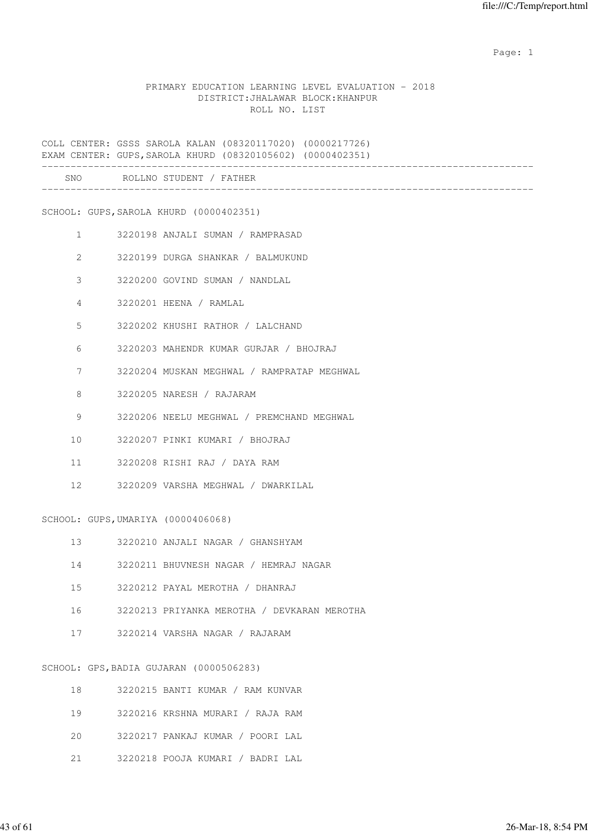#### PRIMARY EDUCATION LEARNING LEVEL EVALUATION - 2018 DISTRICT:JHALAWAR BLOCK:KHANPUR ROLL NO. LIST

COLL CENTER: GSSS SAROLA KALAN (08320117020) (0000217726) EXAM CENTER: GUPS,SAROLA KHURD (08320105602) (0000402351) ------------------------------------------------------------------------------------- SNO ROLLNO STUDENT / FATHER

SCHOOL: GUPS,SAROLA KHURD (0000402351)

- 1 3220198 ANJALI SUMAN / RAMPRASAD
- 2 3220199 DURGA SHANKAR / BALMUKUND
- 3 3220200 GOVIND SUMAN / NANDLAL
- 4 3220201 HEENA / RAMLAL
- 5 3220202 KHUSHI RATHOR / LALCHAND
- 6 3220203 MAHENDR KUMAR GURJAR / BHOJRAJ
- 7 3220204 MUSKAN MEGHWAL / RAMPRATAP MEGHWAL
- 8 3220205 NARESH / RAJARAM
- 9 3220206 NEELU MEGHWAL / PREMCHAND MEGHWAL
- 10 3220207 PINKI KUMARI / BHOJRAJ
- 11 3220208 RISHI RAJ / DAYA RAM
- 12 3220209 VARSHA MEGHWAL / DWARKILAL

SCHOOL: GUPS,UMARIYA (0000406068)

- 13 3220210 ANJALI NAGAR / GHANSHYAM
- 14 3220211 BHUVNESH NAGAR / HEMRAJ NAGAR
- 15 3220212 PAYAL MEROTHA / DHANRAJ
- 16 3220213 PRIYANKA MEROTHA / DEVKARAN MEROTHA
- 17 3220214 VARSHA NAGAR / RAJARAM

#### SCHOOL: GPS,BADIA GUJARAN (0000506283)

| 18 | 3220215 BANTI KUMAR / RAM KUNVAR |
|----|----------------------------------|
| 19 | 3220216 KRSHNA MURARI / RAJA RAM |
| 20 | 3220217 PANKAJ KUMAR / POORI LAL |
| 21 | 3220218 POOJA KUMARI / BADRI LAL |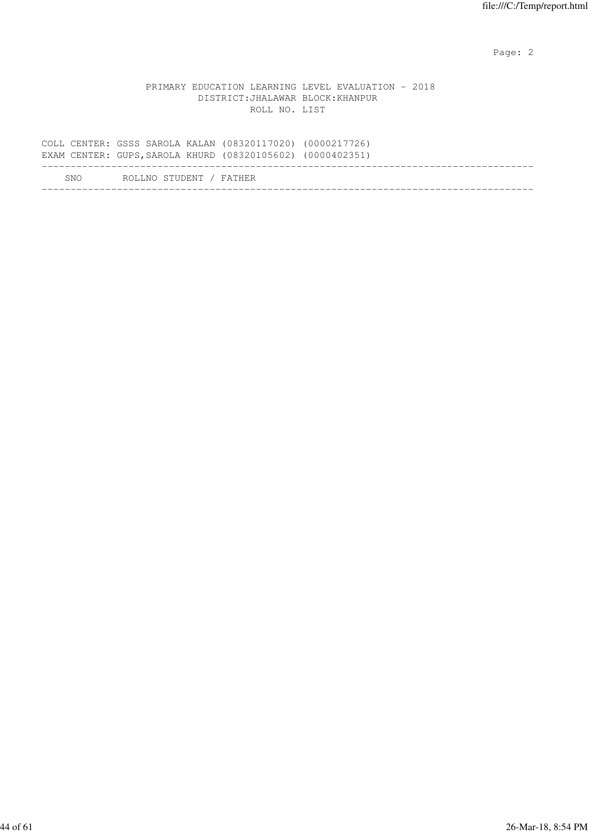|  |                                   |               | PRIMARY EDUCATION LEARNING LEVEL EVALUATION - 2018 |  |
|--|-----------------------------------|---------------|----------------------------------------------------|--|
|  | DISTRICT: JHALAWAR BLOCK: KHANPUR |               |                                                    |  |
|  |                                   | ROLL NO. LIST |                                                    |  |

|     | COLL CENTER: GSSS SAROLA KALAN (08320117020) (0000217726)<br>EXAM CENTER: GUPS, SAROLA KHURD (08320105602) (0000402351) |  |
|-----|-------------------------------------------------------------------------------------------------------------------------|--|
| SNO | ROLLNO STUDENT / FATHER                                                                                                 |  |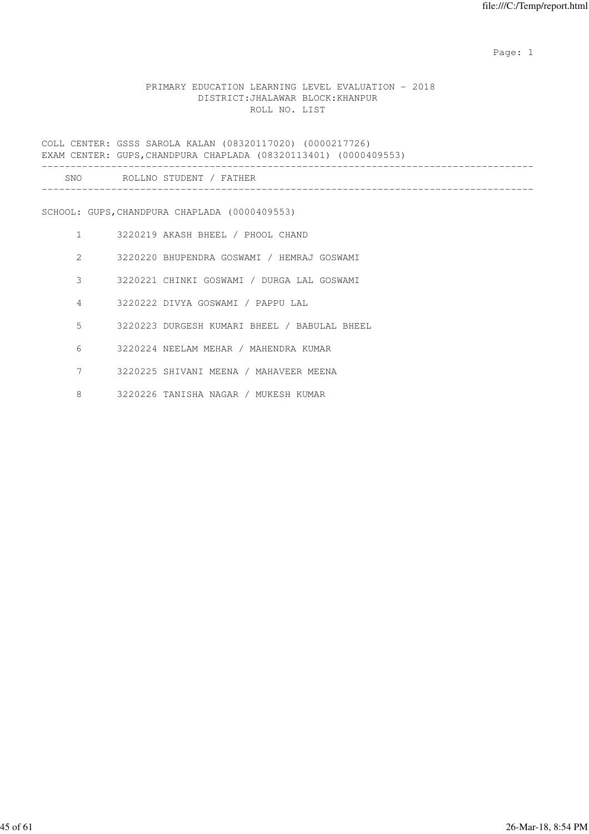## PRIMARY EDUCATION LEARNING LEVEL EVALUATION - 2018 DISTRICT:JHALAWAR BLOCK:KHANPUR ROLL NO. LIST

COLL CENTER: GSSS SAROLA KALAN (08320117020) (0000217726) EXAM CENTER: GUPS,CHANDPURA CHAPLADA (08320113401) (0000409553) ------------------------------------------------------------------------------------- SNO ROLLNO STUDENT / FATHER ------------------------------------------------------------------------------------- SCHOOL: GUPS,CHANDPURA CHAPLADA (0000409553) 1 3220219 AKASH BHEEL / PHOOL CHAND 2 3220220 BHUPENDRA GOSWAMI / HEMRAJ GOSWAMI 3 3220221 CHINKI GOSWAMI / DURGA LAL GOSWAMI 4 3220222 DIVYA GOSWAMI / PAPPU LAL 5 3220223 DURGESH KUMARI BHEEL / BABULAL BHEEL 6 3220224 NEELAM MEHAR / MAHENDRA KUMAR 7 3220225 SHIVANI MEENA / MAHAVEER MEENA 8 3220226 TANISHA NAGAR / MUKESH KUMAR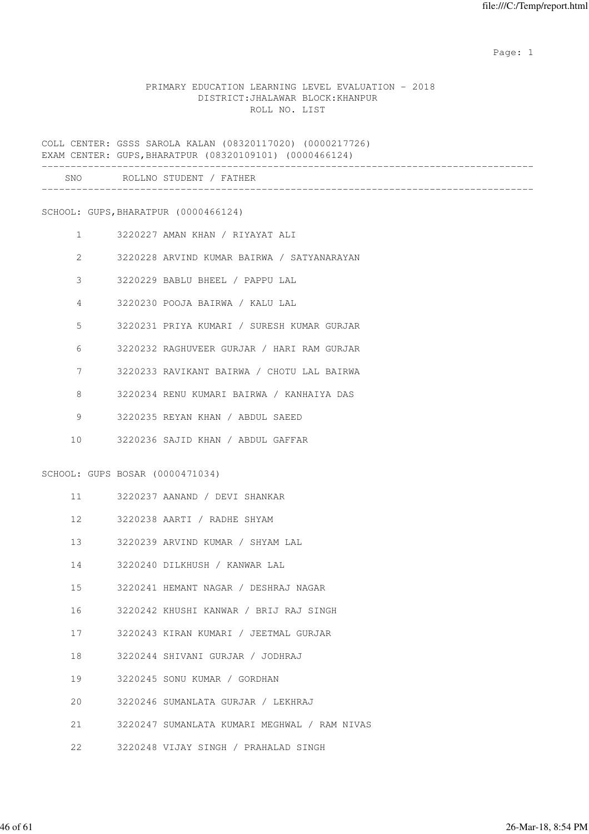## PRIMARY EDUCATION LEARNING LEVEL EVALUATION - 2018 DISTRICT:JHALAWAR BLOCK:KHANPUR ROLL NO. LIST

COLL CENTER: GSSS SAROLA KALAN (08320117020) (0000217726) EXAM CENTER: GUPS,BHARATPUR (08320109101) (0000466124) ------------------------------------------------------------------------------------- SNO ROLLNO STUDENT / FATHER ------------------------------------------------------------------------------------- SCHOOL: GUPS,BHARATPUR (0000466124) 1 3220227 AMAN KHAN / RIYAYAT ALI 2 3220228 ARVIND KUMAR BAIRWA / SATYANARAYAN 3 3220229 BABLU BHEEL / PAPPU LAL 4 3220230 POOJA BAIRWA / KALU LAL 5 3220231 PRIYA KUMARI / SURESH KUMAR GURJAR 6 3220232 RAGHUVEER GURJAR / HARI RAM GURJAR 7 3220233 RAVIKANT BAIRWA / CHOTU LAL BAIRWA 8 3220234 RENU KUMARI BAIRWA / KANHAIYA DAS 9 3220235 REYAN KHAN / ABDUL SAEED 10 3220236 SAJID KHAN / ABDUL GAFFAR SCHOOL: GUPS BOSAR (0000471034) 11 3220237 AANAND / DEVI SHANKAR 12 3220238 AARTI / RADHE SHYAM 13 3220239 ARVIND KUMAR / SHYAM LAL 14 3220240 DILKHUSH / KANWAR LAL 15 3220241 HEMANT NAGAR / DESHRAJ NAGAR 16 3220242 KHUSHI KANWAR / BRIJ RAJ SINGH 17 3220243 KIRAN KUMARI / JEETMAL GURJAR 18 3220244 SHIVANI GURJAR / JODHRAJ 19 3220245 SONU KUMAR / GORDHAN 20 3220246 SUMANLATA GURJAR / LEKHRAJ 21 3220247 SUMANLATA KUMARI MEGHWAL / RAM NIVAS 22 3220248 VIJAY SINGH / PRAHALAD SINGH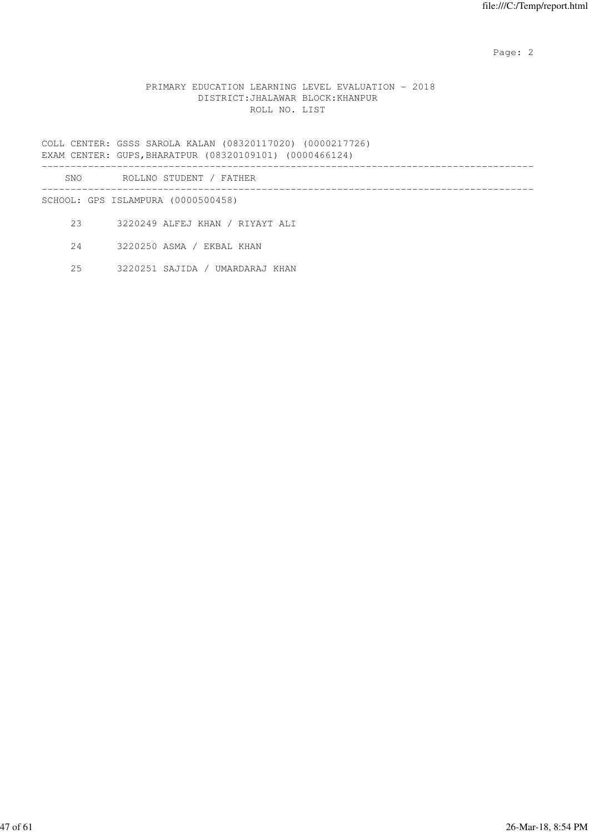## PRIMARY EDUCATION LEARNING LEVEL EVALUATION - 2018 DISTRICT:JHALAWAR BLOCK:KHANPUR ROLL NO. LIST

COLL CENTER: GSSS SAROLA KALAN (08320117020) (0000217726) EXAM CENTER: GUPS,BHARATPUR (08320109101) (0000466124) -------------------------------------------------------------------------------------

| SNO | ROLLNO STUDENT / FATHER            |
|-----|------------------------------------|
|     | SCHOOL: GPS ISLAMPURA (0000500458) |
| 23  | 3220249 ALFEJ KHAN / RIYAYT ALI    |

24 3220250 ASMA / EKBAL KHAN

25 3220251 SAJIDA / UMARDARAJ KHAN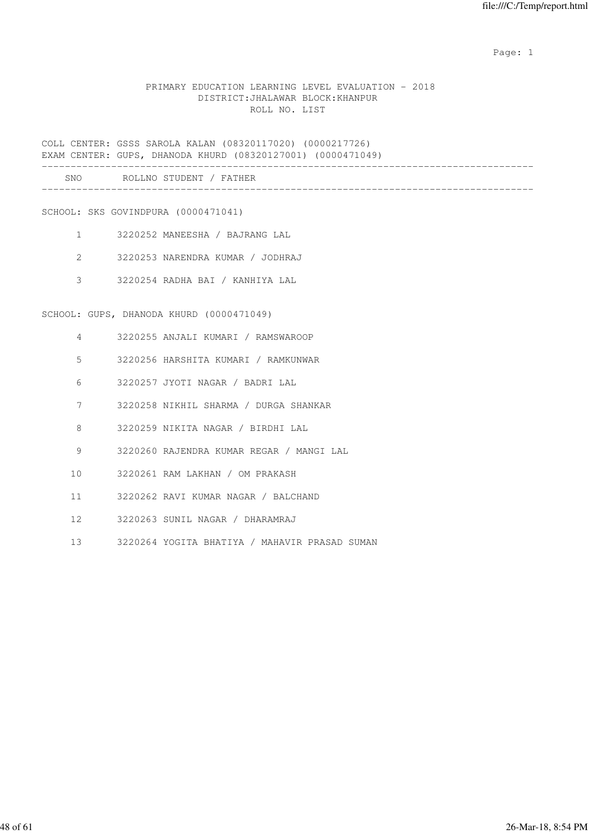## PRIMARY EDUCATION LEARNING LEVEL EVALUATION - 2018 DISTRICT:JHALAWAR BLOCK:KHANPUR ROLL NO. LIST

COLL CENTER: GSSS SAROLA KALAN (08320117020) (0000217726) EXAM CENTER: GUPS, DHANODA KHURD (08320127001) (0000471049) -------------------------------------------------------------------------------------

| SNC<br>___ | . N1 |  |
|------------|------|--|
|            |      |  |

SCHOOL: SKS GOVINDPURA (0000471041)

- 1 3220252 MANEESHA / BAJRANG LAL
- 2 3220253 NARENDRA KUMAR / JODHRAJ
- 3 3220254 RADHA BAI / KANHIYA LAL

SCHOOL: GUPS, DHANODA KHURD (0000471049)

- 4 3220255 ANJALI KUMARI / RAMSWAROOP
- 5 3220256 HARSHITA KUMARI / RAMKUNWAR
- 6 3220257 JYOTI NAGAR / BADRI LAL
- 7 3220258 NIKHIL SHARMA / DURGA SHANKAR
- 8 3220259 NIKITA NAGAR / BIRDHI LAL
- 9 3220260 RAJENDRA KUMAR REGAR / MANGI LAL
- 10 3220261 RAM LAKHAN / OM PRAKASH
- 11 3220262 RAVI KUMAR NAGAR / BALCHAND
- 12 3220263 SUNIL NAGAR / DHARAMRAJ
- 13 3220264 YOGITA BHATIYA / MAHAVIR PRASAD SUMAN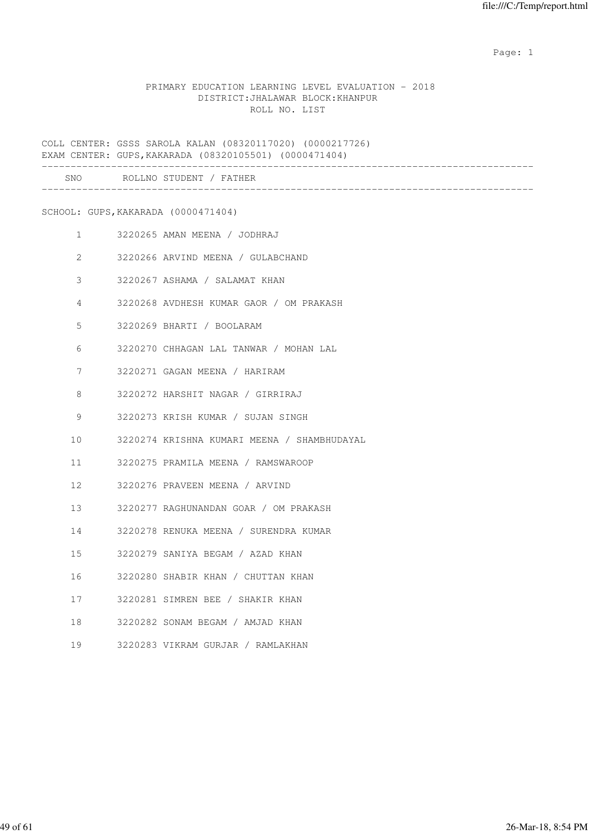## PRIMARY EDUCATION LEARNING LEVEL EVALUATION - 2018 DISTRICT:JHALAWAR BLOCK:KHANPUR ROLL NO. LIST

COLL CENTER: GSSS SAROLA KALAN (08320117020) (0000217726) EXAM CENTER: GUPS,KAKARADA (08320105501) (0000471404) ------------------------------------------------------------------------------------- SNO ROLLNO STUDENT / FATHER ------------------------------------------------------------------------------------- SCHOOL: GUPS,KAKARADA (0000471404) 1 3220265 AMAN MEENA / JODHRAJ 2 3220266 ARVIND MEENA / GULABCHAND 3 3220267 ASHAMA / SALAMAT KHAN 4 3220268 AVDHESH KUMAR GAOR / OM PRAKASH 5 3220269 BHARTI / BOOLARAM 6 3220270 CHHAGAN LAL TANWAR / MOHAN LAL 7 3220271 GAGAN MEENA / HARIRAM 8 3220272 HARSHIT NAGAR / GIRRIRAJ 9 3220273 KRISH KUMAR / SUJAN SINGH 10 3220274 KRISHNA KUMARI MEENA / SHAMBHUDAYAL 11 3220275 PRAMILA MEENA / RAMSWAROOP 12 3220276 PRAVEEN MEENA / ARVIND 13 3220277 RAGHUNANDAN GOAR / OM PRAKASH 14 3220278 RENUKA MEENA / SURENDRA KUMAR 15 3220279 SANIYA BEGAM / AZAD KHAN 16 3220280 SHABIR KHAN / CHUTTAN KHAN 17 3220281 SIMREN BEE / SHAKIR KHAN 18 3220282 SONAM BEGAM / AMJAD KHAN 19 3220283 VIKRAM GURJAR / RAMLAKHAN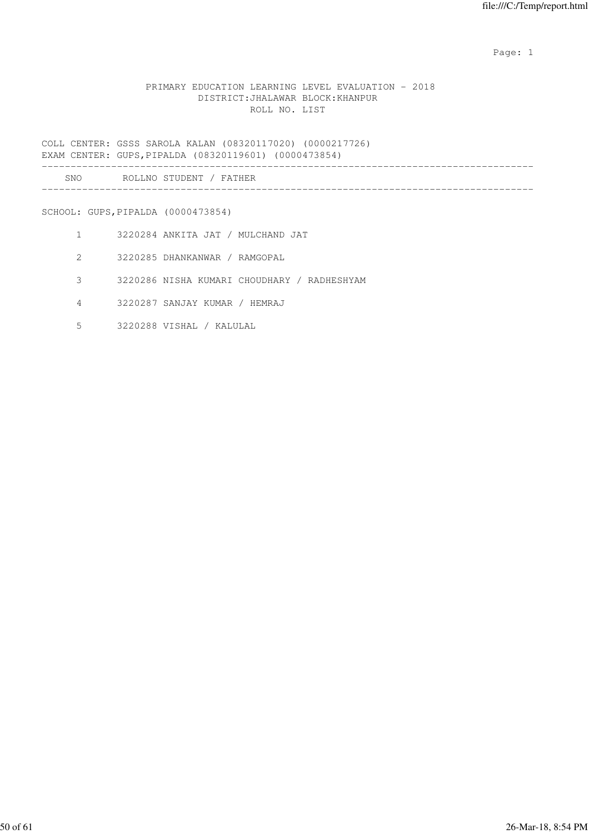## PRIMARY EDUCATION LEARNING LEVEL EVALUATION - 2018 DISTRICT:JHALAWAR BLOCK:KHANPUR ROLL NO. LIST

COLL CENTER: GSSS SAROLA KALAN (08320117020) (0000217726) EXAM CENTER: GUPS,PIPALDA (08320119601) (0000473854)

| SNC<br>__ | n n<br>ND |  |  |
|-----------|-----------|--|--|
|           |           |  |  |

SCHOOL: GUPS,PIPALDA (0000473854)

- 1 3220284 ANKITA JAT / MULCHAND JAT
- 2 3220285 DHANKANWAR / RAMGOPAL
- 3 3220286 NISHA KUMARI CHOUDHARY / RADHESHYAM
- 4 3220287 SANJAY KUMAR / HEMRAJ
- 5 3220288 VISHAL / KALULAL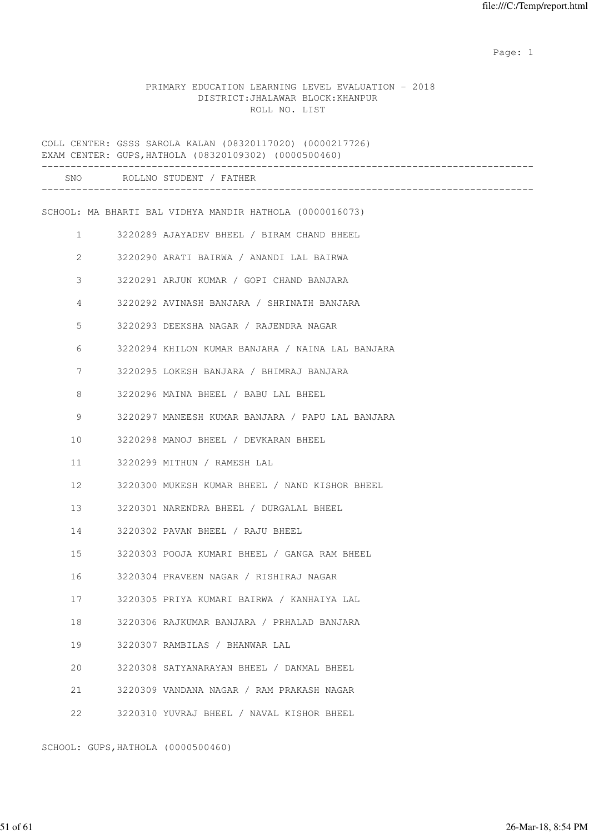PRIMARY EDUCATION LEARNING LEVEL EVALUATION - 2018 DISTRICT:JHALAWAR BLOCK:KHANPUR ROLL NO. LIST

COLL CENTER: GSSS SAROLA KALAN (08320117020) (0000217726) EXAM CENTER: GUPS,HATHOLA (08320109302) (0000500460) ------------------------------------------------------------------------------------- SNO ROLLNO STUDENT / FATHER ------------------------------------------------------------------------------------- SCHOOL: MA BHARTI BAL VIDHYA MANDIR HATHOLA (0000016073) 1 3220289 AJAYADEV BHEEL / BIRAM CHAND BHEEL 2 3220290 ARATI BAIRWA / ANANDI LAL BAIRWA 3 3220291 ARJUN KUMAR / GOPI CHAND BANJARA 4 3220292 AVINASH BANJARA / SHRINATH BANJARA 5 3220293 DEEKSHA NAGAR / RAJENDRA NAGAR 6 3220294 KHILON KUMAR BANJARA / NAINA LAL BANJARA 7 3220295 LOKESH BANJARA / BHIMRAJ BANJARA 8 3220296 MAINA BHEEL / BABU LAL BHEEL 9 3220297 MANEESH KUMAR BANJARA / PAPU LAL BANJARA 10 3220298 MANOJ BHEEL / DEVKARAN BHEEL 11 3220299 MITHUN / RAMESH LAL 12 3220300 MUKESH KUMAR BHEEL / NAND KISHOR BHEEL 13 3220301 NARENDRA BHEEL / DURGALAL BHEEL 14 3220302 PAVAN BHEEL / RAJU BHEEL 15 3220303 POOJA KUMARI BHEEL / GANGA RAM BHEEL 16 3220304 PRAVEEN NAGAR / RISHIRAJ NAGAR 17 3220305 PRIYA KUMARI BAIRWA / KANHAIYA LAL 18 3220306 RAJKUMAR BANJARA / PRHALAD BANJARA 19 3220307 RAMBILAS / BHANWAR LAL 20 3220308 SATYANARAYAN BHEEL / DANMAL BHEEL 21 3220309 VANDANA NAGAR / RAM PRAKASH NAGAR 22 3220310 YUVRAJ BHEEL / NAVAL KISHOR BHEEL

SCHOOL: GUPS,HATHOLA (0000500460)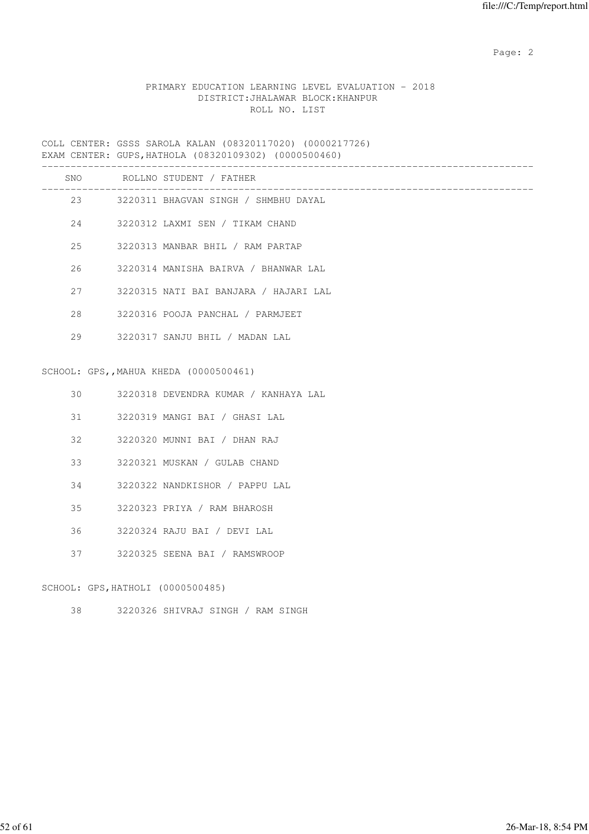# PRIMARY EDUCATION LEARNING LEVEL EVALUATION - 2018 DISTRICT:JHALAWAR BLOCK:KHANPUR ROLL NO. LIST

COLL CENTER: GSSS SAROLA KALAN (08320117020) (0000217726) EXAM CENTER: GUPS,HATHOLA (08320109302) (0000500460)

|     |    | SNO ROLLNO STUDENT / FATHER             |
|-----|----|-----------------------------------------|
|     |    | 23 3220311 BHAGVAN SINGH / SHMBHU DAYAL |
|     |    | 3220312 LAXMI SEN / TIKAM CHAND         |
|     | 25 | 3220313 MANBAR BHIL / RAM PARTAP        |
| 26  |    | 3220314 MANISHA BAIRVA / BHANWAR LAL    |
|     | 27 | 3220315 NATI BAI BANJARA / HAJARI LAL   |
| 2.8 |    | 3220316 POOJA PANCHAL / PARMJEET        |
|     | 29 | 3220317 SANJU BHIL / MADAN LAL          |
|     |    |                                         |
|     |    | SCHOOL: GPS,, MAHUA KHEDA (0000500461)  |
| 30  |    | - 3220318 DEVENDRA KUMAR / KANHAYA LAL  |

| JU |                                   | JZZVJIO DEVENDRA ROMAR / RANHAIA BA |
|----|-----------------------------------|-------------------------------------|
| 31 |                                   | 3220319 MANGI BAI / GHASI LAL       |
| 32 |                                   | 3220320 MUNNI BAI / DHAN RAJ        |
| 33 |                                   | 3220321 MUSKAN / GULAB CHAND        |
| 34 |                                   | 3220322 NANDKISHOR / PAPPU LAL      |
| 35 |                                   | 3220323 PRIYA / RAM BHAROSH         |
| 36 |                                   | 3220324 RAJU BAI / DEVI LAL         |
| 37 |                                   | 3220325 SEENA BAI / RAMSWROOP       |
|    |                                   |                                     |
|    | SCHOOL: GPS, HATHOLI (0000500485) |                                     |

38 3220326 SHIVRAJ SINGH / RAM SINGH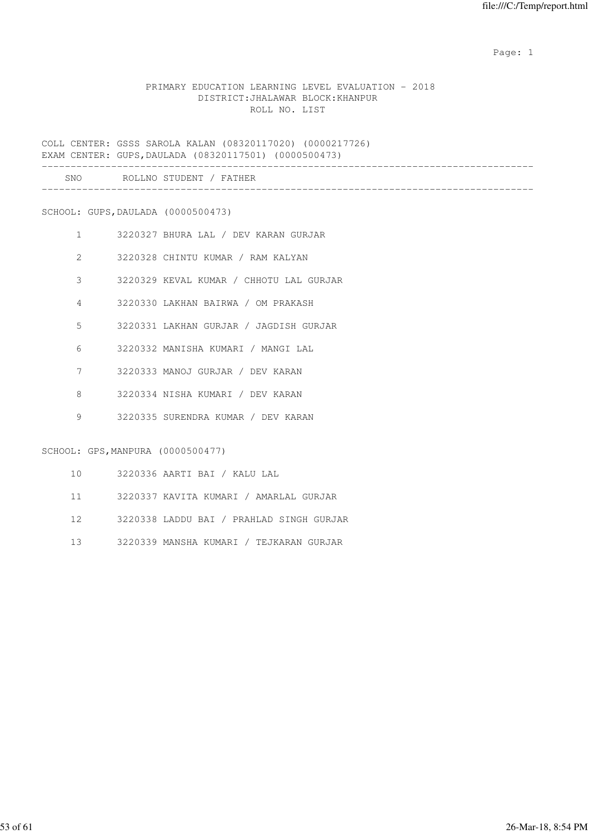## PRIMARY EDUCATION LEARNING LEVEL EVALUATION - 2018 DISTRICT:JHALAWAR BLOCK:KHANPUR ROLL NO. LIST

COLL CENTER: GSSS SAROLA KALAN (08320117020) (0000217726) EXAM CENTER: GUPS,DAULADA (08320117501) (0000500473)

| SNC | $\circ$ $\circ$ $\circ$<br>. N 0<br><b>NI</b><br>---- |  |
|-----|-------------------------------------------------------|--|
|     |                                                       |  |

SCHOOL: GUPS,DAULADA (0000500473)

- 1 3220327 BHURA LAL / DEV KARAN GURJAR
- 2 3220328 CHINTU KUMAR / RAM KALYAN
- 3 3220329 KEVAL KUMAR / CHHOTU LAL GURJAR
- 4 3220330 LAKHAN BAIRWA / OM PRAKASH
- 5 3220331 LAKHAN GURJAR / JAGDISH GURJAR
- 6 3220332 MANISHA KUMARI / MANGI LAL
- 7 3220333 MANOJ GURJAR / DEV KARAN
- 8 3220334 NISHA KUMARI / DEV KARAN
- 9 3220335 SURENDRA KUMAR / DEV KARAN

SCHOOL: GPS,MANPURA (0000500477)

- 10 3220336 AARTI BAI / KALU LAL
- 11 3220337 KAVITA KUMARI / AMARLAL GURJAR
- 12 3220338 LADDU BAI / PRAHLAD SINGH GURJAR
- 13 3220339 MANSHA KUMARI / TEJKARAN GURJAR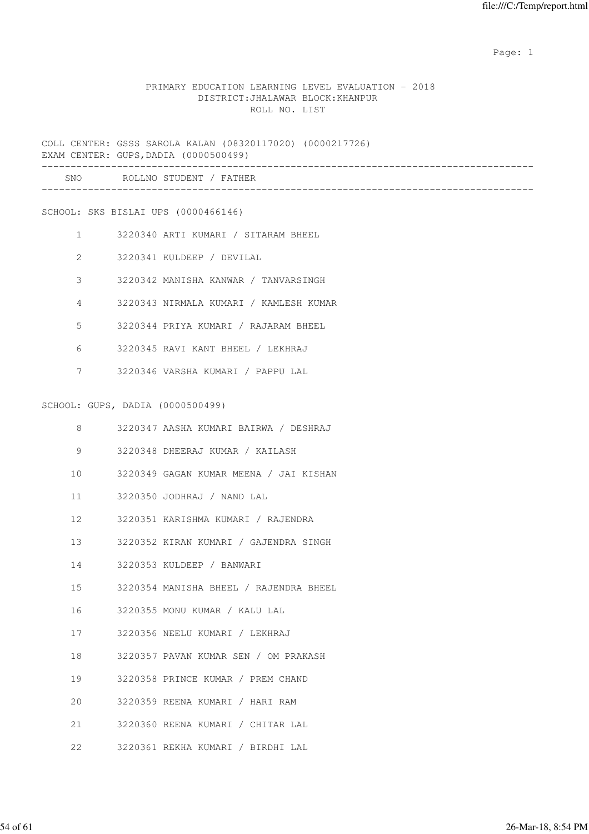## PRIMARY EDUCATION LEARNING LEVEL EVALUATION - 2018 DISTRICT:JHALAWAR BLOCK:KHANPUR ROLL NO. LIST

COLL CENTER: GSSS SAROLA KALAN (08320117020) (0000217726) EXAM CENTER: GUPS,DADIA (0000500499) ------------------------------------------------------------------------------------- SNO ROLLNO STUDENT / FATHER -------------------------------------------------------------------------------------

SCHOOL: SKS BISLAI UPS (0000466146)

- 1 3220340 ARTI KUMARI / SITARAM BHEEL
- 2 3220341 KULDEEP / DEVILAL
- 3 3220342 MANISHA KANWAR / TANVARSINGH
- 4 3220343 NIRMALA KUMARI / KAMLESH KUMAR
- 5 3220344 PRIYA KUMARI / RAJARAM BHEEL
- 6 3220345 RAVI KANT BHEEL / LEKHRAJ
- 7 3220346 VARSHA KUMARI / PAPPU LAL

#### SCHOOL: GUPS, DADIA (0000500499)

| 8  | 3220347 AASHA KUMARI BAIRWA / DESHRAJ     |
|----|-------------------------------------------|
| 9  | 3220348 DHEERAJ KUMAR / KAILASH           |
|    | 10 3220349 GAGAN KUMAR MEENA / JAI KISHAN |
|    | 11 3220350 JODHRAJ / NAND LAL             |
|    | 12 3220351 KARISHMA KUMARI / RAJENDRA     |
|    | 13 3220352 KIRAN KUMARI / GAJENDRA SINGH  |
|    | 14 3220353 KULDEEP / BANWARI              |
|    | 15 3220354 MANISHA BHEEL / RAJENDRA BHEEL |
|    | 16 3220355 MONU KUMAR / KALU LAL          |
|    | 17 3220356 NEELU KUMARI / LEKHRAJ         |
|    | 18 3220357 PAVAN KUMAR SEN / OM PRAKASH   |
|    | 19 3220358 PRINCE KUMAR / PREM CHAND      |
| 20 | 3220359 REENA KUMARI / HARI RAM           |
|    | 21 3220360 REENA KUMARI / CHITAR LAL      |
|    | 22 3220361 REKHA KUMARI / BIRDHI LAL      |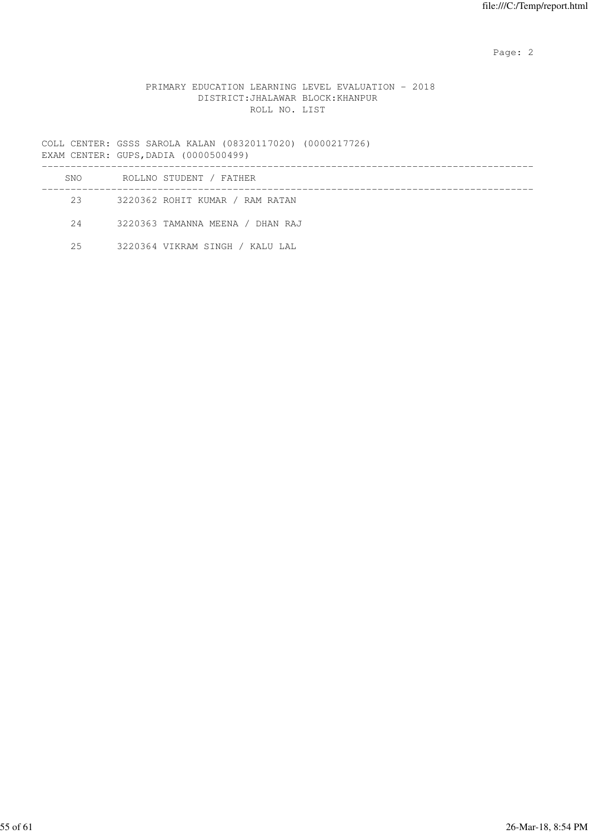## PRIMARY EDUCATION LEARNING LEVEL EVALUATION - 2018 DISTRICT:JHALAWAR BLOCK:KHANPUR ROLL NO. LIST

COLL CENTER: GSSS SAROLA KALAN (08320117020) (0000217726) EXAM CENTER: GUPS,DADIA (0000500499) ------------------------------------------------------------------------------------- SNO ROLLNO STUDENT / FATHER ------------------------------------------------------------------------------------- 23 3220362 ROHIT KUMAR / RAM RATAN

24 3220363 TAMANNA MEENA / DHAN RAJ

25 3220364 VIKRAM SINGH / KALU LAL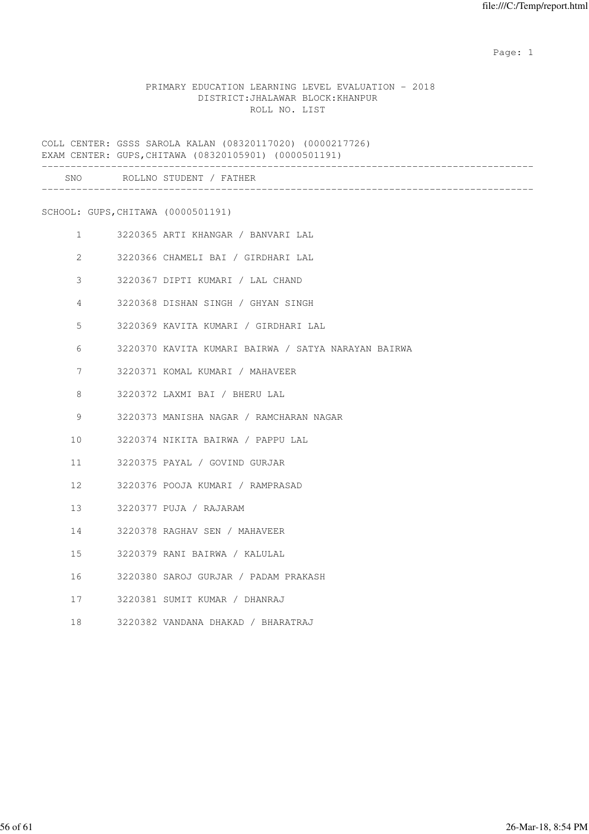## PRIMARY EDUCATION LEARNING LEVEL EVALUATION - 2018 DISTRICT:JHALAWAR BLOCK:KHANPUR ROLL NO. LIST

COLL CENTER: GSSS SAROLA KALAN (08320117020) (0000217726) EXAM CENTER: GUPS,CHITAWA (08320105901) (0000501191)

|                 |                                                                                                                                                                                                                                 | SNO ROLLNO STUDENT / FATHER                         |
|-----------------|---------------------------------------------------------------------------------------------------------------------------------------------------------------------------------------------------------------------------------|-----------------------------------------------------|
|                 | SCHOOL: GUPS, CHITAWA (0000501191)                                                                                                                                                                                              |                                                     |
|                 | $1 \qquad \qquad$                                                                                                                                                                                                               | 3220365 ARTI KHANGAR / BANVARI LAL                  |
|                 | $2 \left( \frac{1}{2} \right)$                                                                                                                                                                                                  | 3220366 CHAMELI BAI / GIRDHARI LAL                  |
|                 | 3 <sup>7</sup>                                                                                                                                                                                                                  | 3220367 DIPTI KUMARI / LAL CHAND                    |
|                 | $4\degree$                                                                                                                                                                                                                      | 3220368 DISHAN SINGH / GHYAN SINGH                  |
| 5               |                                                                                                                                                                                                                                 | 3220369 KAVITA KUMARI / GIRDHARI LAL                |
| 6               |                                                                                                                                                                                                                                 | 3220370 KAVITA KUMARI BAIRWA / SATYA NARAYAN BAIRWA |
| $7^{\circ}$     |                                                                                                                                                                                                                                 | 3220371 KOMAL KUMARI / MAHAVEER                     |
| 8               |                                                                                                                                                                                                                                 | 3220372 LAXMI BAI / BHERU LAL                       |
| 9               |                                                                                                                                                                                                                                 | 3220373 MANISHA NAGAR / RAMCHARAN NAGAR             |
| 10 <sup>°</sup> |                                                                                                                                                                                                                                 | 3220374 NIKITA BAIRWA / PAPPU LAL                   |
| 11              |                                                                                                                                                                                                                                 | 3220375 PAYAL / GOVIND GURJAR                       |
|                 | 12                                                                                                                                                                                                                              | 3220376 POOJA KUMARI / RAMPRASAD                    |
|                 | 13 and 13 and 13 and 13 and 13 and 13 and 13 and 13 and 13 and 13 and 13 and 13 and 13 and 13 and 13 and 13 and 13 and 13 and 13 and 13 and 13 and 13 and 13 and 13 and 13 and 13 and 13 and 13 and 13 and 13 and 13 and 13 and | 3220377 PUJA / RAJARAM                              |
|                 | 14 \,                                                                                                                                                                                                                           | 3220378 RAGHAV SEN / MAHAVEER                       |
| 15              |                                                                                                                                                                                                                                 | 3220379 RANI BAIRWA / KALULAL                       |
| 16              |                                                                                                                                                                                                                                 | 3220380 SAROJ GURJAR / PADAM PRAKASH                |
| 17              |                                                                                                                                                                                                                                 | 3220381 SUMIT KUMAR / DHANRAJ                       |
| 18              |                                                                                                                                                                                                                                 | 3220382 VANDANA DHAKAD / BHARATRAJ                  |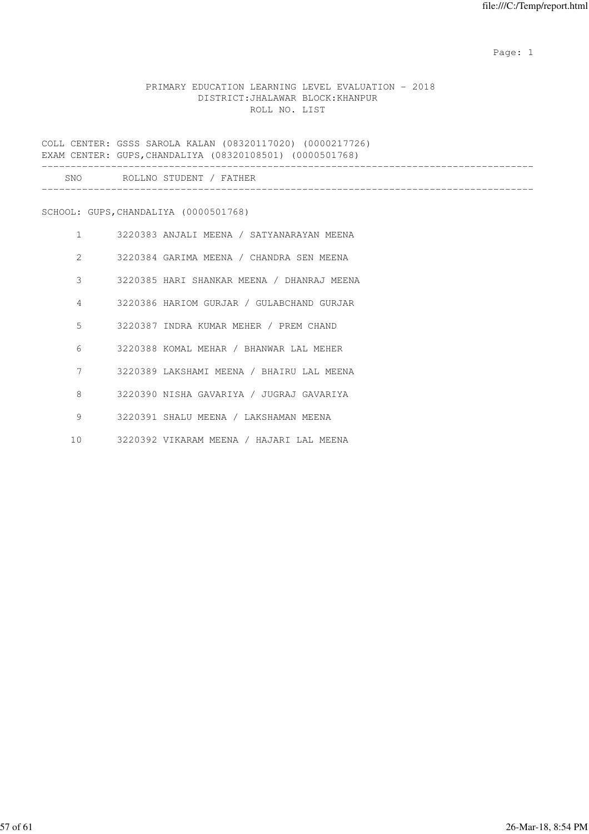## PRIMARY EDUCATION LEARNING LEVEL EVALUATION - 2018 DISTRICT:JHALAWAR BLOCK:KHANPUR ROLL NO. LIST

COLL CENTER: GSSS SAROLA KALAN (08320117020) (0000217726) EXAM CENTER: GUPS,CHANDALIYA (08320108501) (0000501768)

| SNC | ۳ הורים ה<br>`N∩.<br>ROLL.<br>C TIL | / F∆ |  |  |  |  |
|-----|-------------------------------------|------|--|--|--|--|
|     |                                     |      |  |  |  |  |

SCHOOL: GUPS,CHANDALIYA (0000501768)

| $\mathbf{1}$    | 3220383 ANJALI MEENA / SATYANARAYAN MEENA  |
|-----------------|--------------------------------------------|
| $\mathcal{L}$   | 3220384 GARIMA MEENA / CHANDRA SEN MEENA   |
| 3               | 3220385 HARI SHANKAR MEENA / DHANRAJ MEENA |
| 4               | 3220386 HARIOM GURJAR / GULABCHAND GURJAR  |
| 5               | 3220387 INDRA KUMAR MEHER / PREM CHAND     |
| 6               | 3220388 KOMAL MEHAR / BHANWAR LAL MEHER    |
| 7               | 3220389 LAKSHAMI MEENA / BHAIRU LAL MEENA  |
| 8               | 3220390 NISHA GAVARIYA / JUGRAJ GAVARIYA   |
| 9               | 3220391 SHALU MEENA / LAKSHAMAN MEENA      |
| 10 <sup>°</sup> | 3220392 VIKARAM MEENA / HAJARI LAL MEENA   |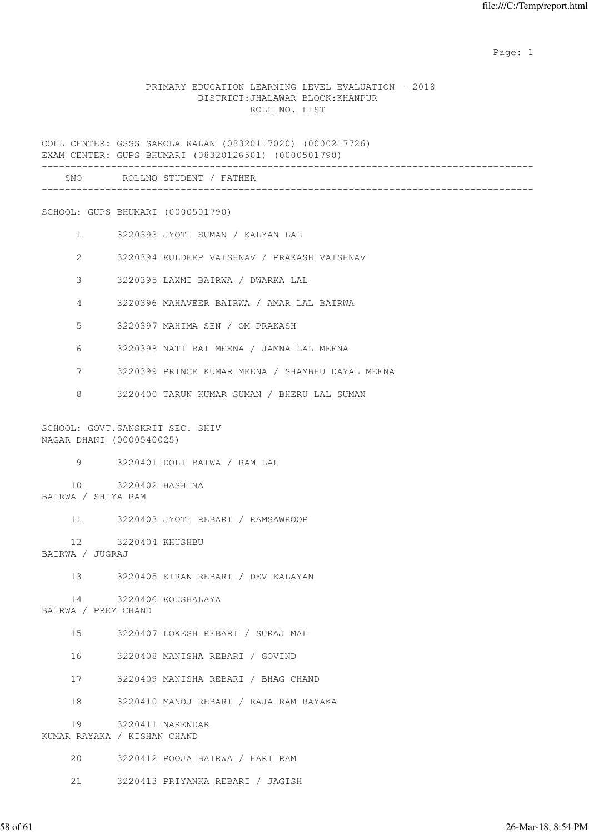## PRIMARY EDUCATION LEARNING LEVEL EVALUATION - 2018 DISTRICT:JHALAWAR BLOCK:KHANPUR ROLL NO. LIST

COLL CENTER: GSSS SAROLA KALAN (08320117020) (0000217726) EXAM CENTER: GUPS BHUMARI (08320126501) (0000501790)

| <b>SNC</b><br>__ | ז זר<br>NIC.<br>--- | רות התרודה <sub>י</sub><br>CT. |  |  |
|------------------|---------------------|--------------------------------|--|--|
|                  |                     |                                |  |  |

SCHOOL: GUPS BHUMARI (0000501790)

- 1 3220393 JYOTI SUMAN / KALYAN LAL
- 2 3220394 KULDEEP VAISHNAV / PRAKASH VAISHNAV
- 3 3220395 LAXMI BAIRWA / DWARKA LAL
- 4 3220396 MAHAVEER BAIRWA / AMAR LAL BAIRWA
- 5 3220397 MAHIMA SEN / OM PRAKASH
- 6 3220398 NATI BAI MEENA / JAMNA LAL MEENA
- 7 3220399 PRINCE KUMAR MEENA / SHAMBHU DAYAL MEENA
- 8 3220400 TARUN KUMAR SUMAN / BHERU LAL SUMAN

SCHOOL: GOVT.SANSKRIT SEC. SHIV NAGAR DHANI (0000540025)

9 3220401 DOLI BAIWA / RAM LAL

 10 3220402 HASHINA BAIRWA / SHIYA RAM

11 3220403 JYOTI REBARI / RAMSAWROOP

 12 3220404 KHUSHBU BAIRWA / JUGRAJ

13 3220405 KIRAN REBARI / DEV KALAYAN

 14 3220406 KOUSHALAYA BAIRWA / PREM CHAND

15 3220407 LOKESH REBARI / SURAJ MAL

16 3220408 MANISHA REBARI / GOVIND

17 3220409 MANISHA REBARI / BHAG CHAND

18 3220410 MANOJ REBARI / RAJA RAM RAYAKA

 19 3220411 NARENDAR KUMAR RAYAKA / KISHAN CHAND

20 3220412 POOJA BAIRWA / HARI RAM

21 3220413 PRIYANKA REBARI / JAGISH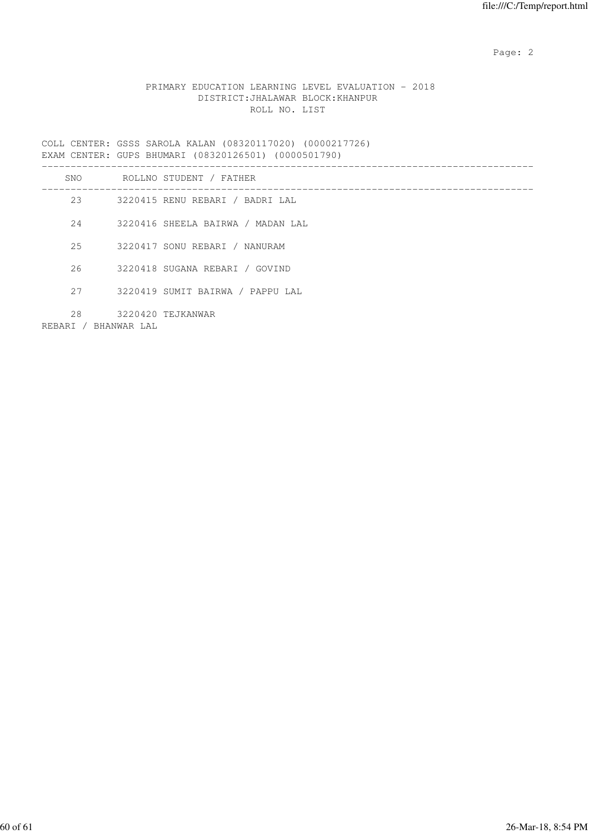## PRIMARY EDUCATION LEARNING LEVEL EVALUATION - 2018 DISTRICT:JHALAWAR BLOCK:KHANPUR ROLL NO. LIST

COLL CENTER: GSSS SAROLA KALAN (08320117020) (0000217726) EXAM CENTER: GUPS BHUMARI (08320126501) (0000501790) ------------------------------------------------------------------------------------- SNO ROLLNO STUDENT / FATHER ------------------------------------------------------------------------------------- 23 3220415 RENU REBARI / BADRI LAL 24 3220416 SHEELA BAIRWA / MADAN LAL 25 3220417 SONU REBARI / NANURAM 26 3220418 SUGANA REBARI / GOVIND 27 3220419 SUMIT BAIRWA / PAPPU LAL 28 3220420 TEJKANWAR REBARI / BHANWAR LAL